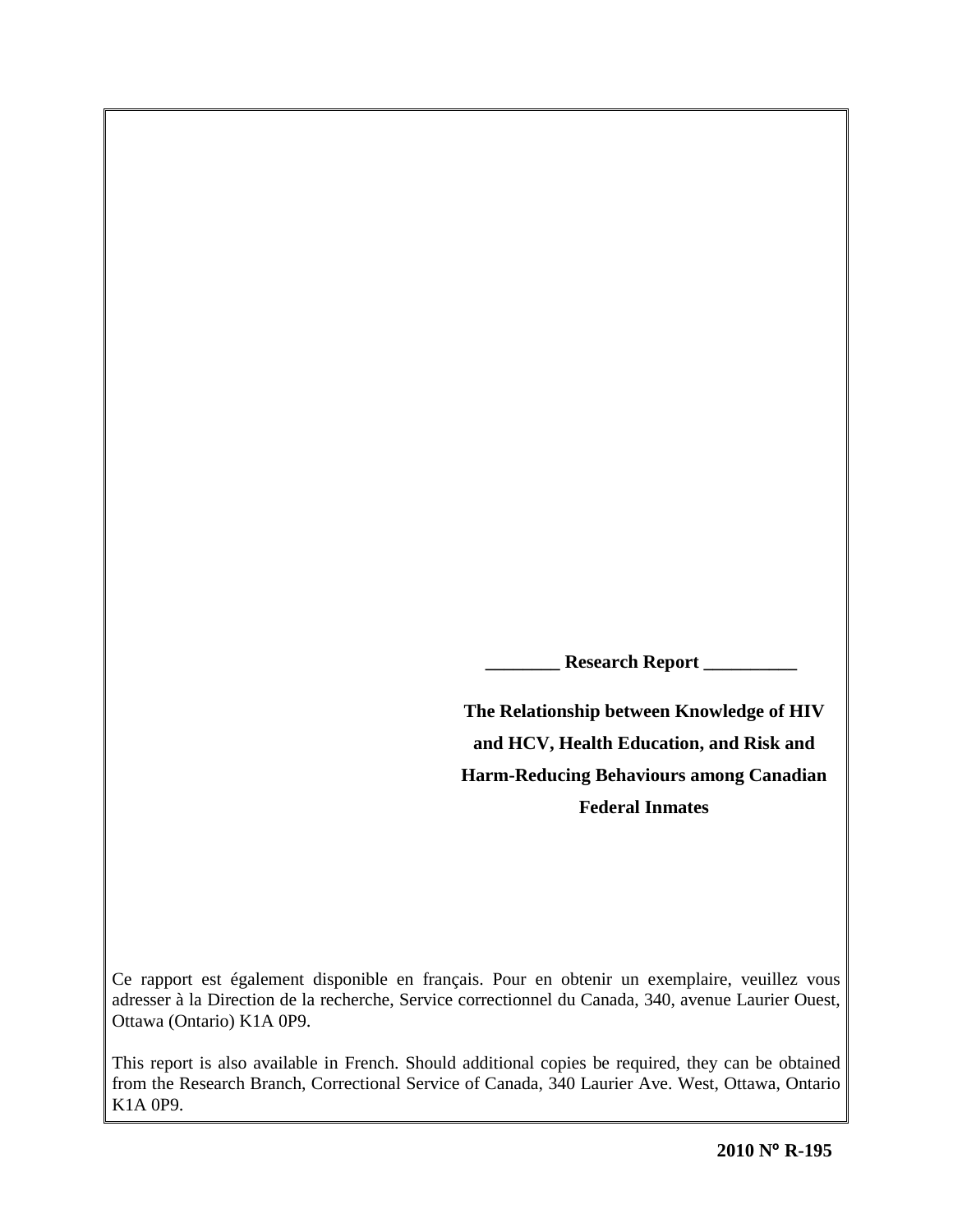**\_\_\_\_\_\_\_\_ Research Report \_\_\_\_\_\_\_\_\_\_** 

**The Relationship between Knowledge of HIV and HCV, Health Education, and Risk and Harm-Reducing Behaviours among Canadian Federal Inmates**

Ce rapport est également disponible en français. Pour en obtenir un exemplaire, veuillez vous adresser à la Direction de la recherche, Service correctionnel du Canada, 340, avenue Laurier Ouest, Ottawa (Ontario) K1A 0P9.

This report is also available in French. Should additional copies be required, they can be obtained from the Research Branch, Correctional Service of Canada, 340 Laurier Ave. West, Ottawa, Ontario K1A 0P9.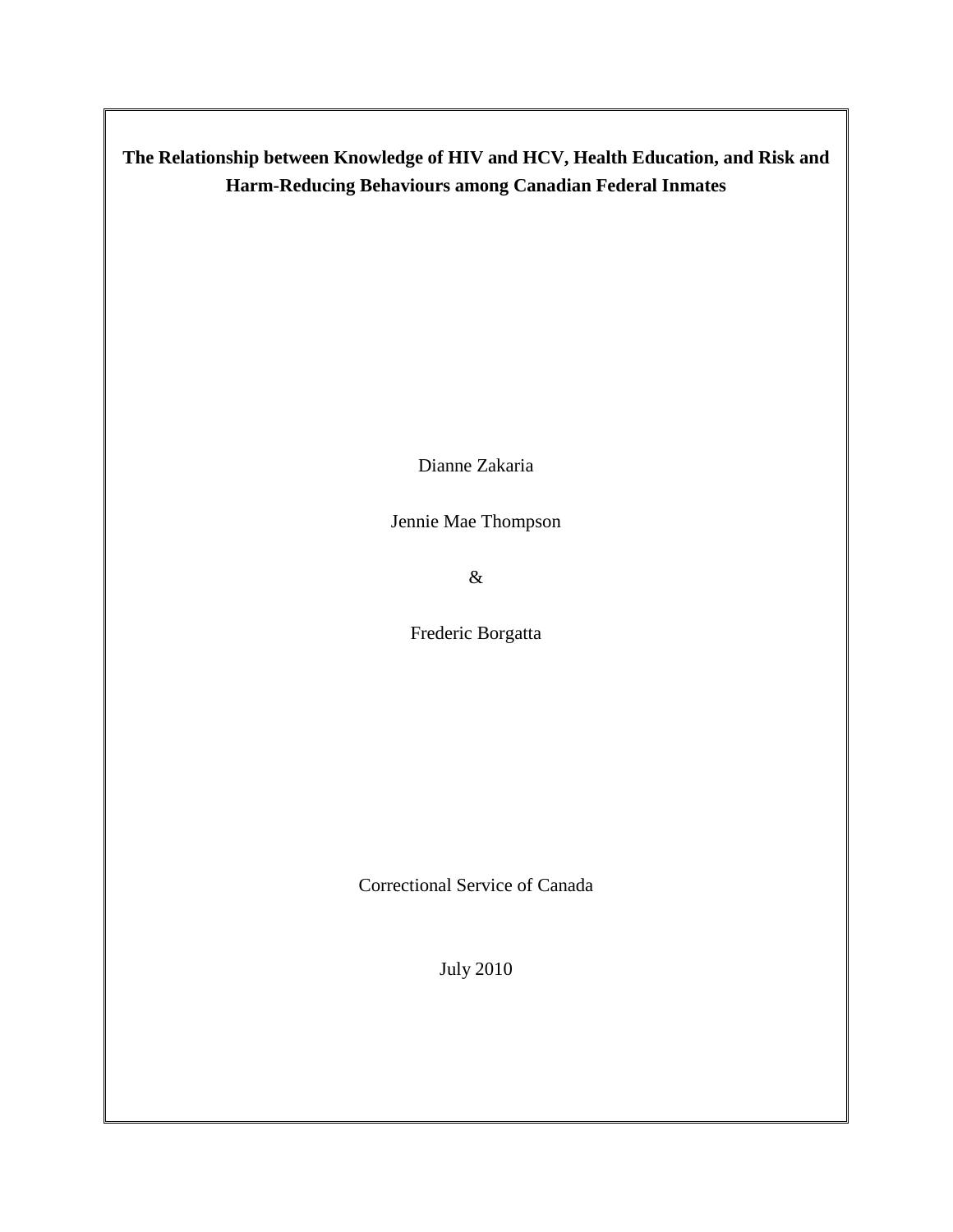**The Relationship between Knowledge of HIV and HCV, Health Education, and Risk and Harm-Reducing Behaviours among Canadian Federal Inmates**

Dianne Zakaria

Jennie Mae Thompson

&

Frederic Borgatta

Correctional Service of Canada

July 2010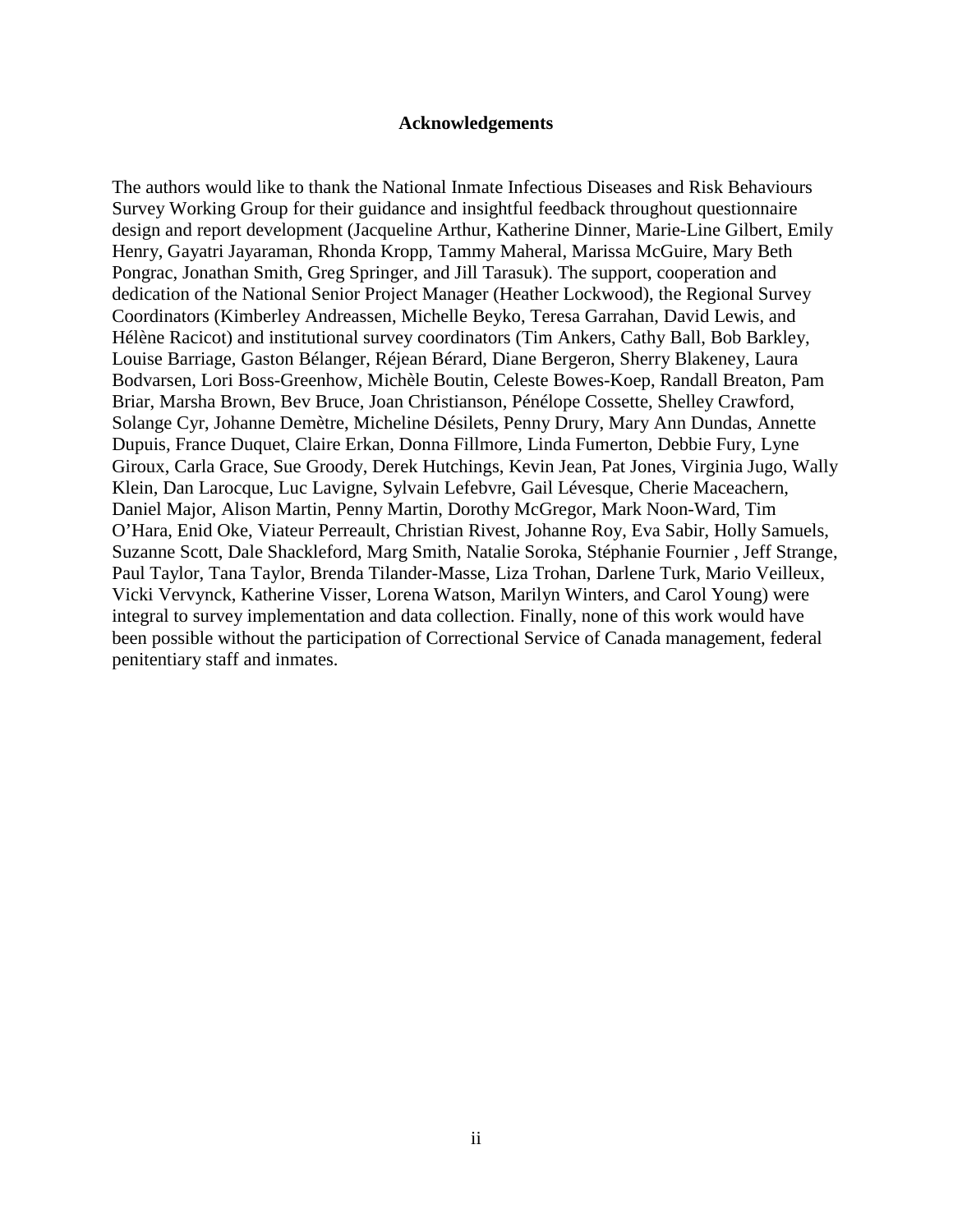## **Acknowledgements**

<span id="page-4-0"></span>The authors would like to thank the National Inmate Infectious Diseases and Risk Behaviours Survey Working Group for their guidance and insightful feedback throughout questionnaire design and report development (Jacqueline Arthur, Katherine Dinner, Marie-Line Gilbert, Emily Henry, Gayatri Jayaraman, Rhonda Kropp, Tammy Maheral, Marissa McGuire, Mary Beth Pongrac, Jonathan Smith, Greg Springer, and Jill Tarasuk). The support, cooperation and dedication of the National Senior Project Manager (Heather Lockwood), the Regional Survey Coordinators (Kimberley Andreassen, Michelle Beyko, Teresa Garrahan, David Lewis, and Hélène Racicot) and institutional survey coordinators (Tim Ankers, Cathy Ball, Bob Barkley, Louise Barriage, Gaston Bélanger, Réjean Bérard, Diane Bergeron, Sherry Blakeney, Laura Bodvarsen, Lori Boss-Greenhow, Michèle Boutin, Celeste Bowes-Koep, Randall Breaton, Pam Briar, Marsha Brown, Bev Bruce, Joan Christianson, Pénélope Cossette, Shelley Crawford, Solange Cyr, Johanne Demètre, Micheline Désilets, Penny Drury, Mary Ann Dundas, Annette Dupuis, France Duquet, Claire Erkan, Donna Fillmore, Linda Fumerton, Debbie Fury, Lyne Giroux, Carla Grace, Sue Groody, Derek Hutchings, Kevin Jean, Pat Jones, Virginia Jugo, Wally Klein, Dan Larocque, Luc Lavigne, Sylvain Lefebvre, Gail Lévesque, Cherie Maceachern, Daniel Major, Alison Martin, Penny Martin, Dorothy McGregor, Mark Noon-Ward, Tim O'Hara, Enid Oke, Viateur Perreault, Christian Rivest, Johanne Roy, Eva Sabir, Holly Samuels, Suzanne Scott, Dale Shackleford, Marg Smith, Natalie Soroka, Stéphanie Fournier , Jeff Strange, Paul Taylor, Tana Taylor, Brenda Tilander-Masse, Liza Trohan, Darlene Turk, Mario Veilleux, Vicki Vervynck, Katherine Visser, Lorena Watson, Marilyn Winters, and Carol Young) were integral to survey implementation and data collection. Finally, none of this work would have been possible without the participation of Correctional Service of Canada management, federal penitentiary staff and inmates.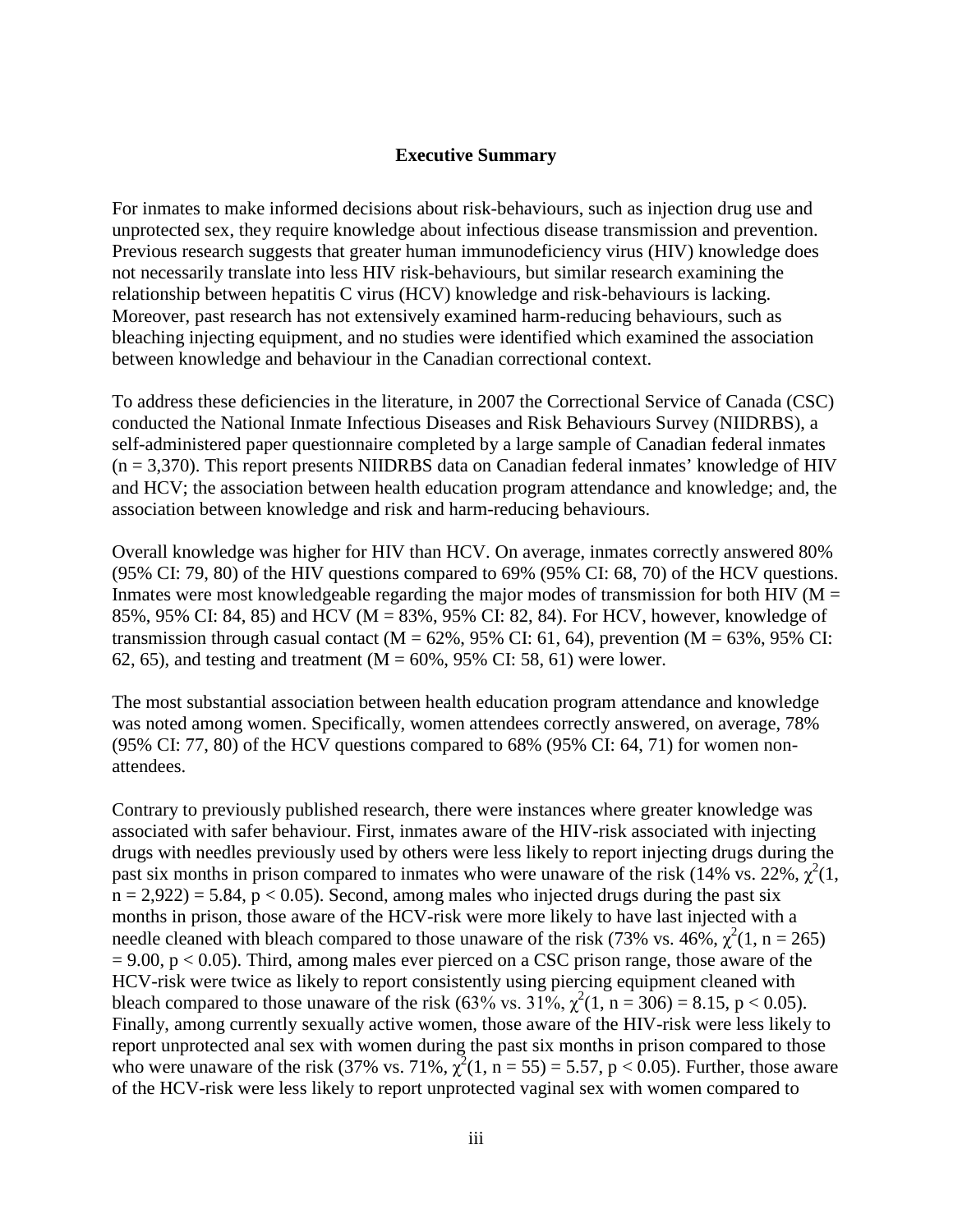## **Executive Summary**

<span id="page-6-0"></span>For inmates to make informed decisions about risk-behaviours, such as injection drug use and unprotected sex, they require knowledge about infectious disease transmission and prevention. Previous research suggests that greater human immunodeficiency virus (HIV) knowledge does not necessarily translate into less HIV risk-behaviours, but similar research examining the relationship between hepatitis C virus (HCV) knowledge and risk-behaviours is lacking. Moreover, past research has not extensively examined harm-reducing behaviours, such as bleaching injecting equipment, and no studies were identified which examined the association between knowledge and behaviour in the Canadian correctional context.

To address these deficiencies in the literature, in 2007 the Correctional Service of Canada (CSC) conducted the National Inmate Infectious Diseases and Risk Behaviours Survey (NIIDRBS), a self-administered paper questionnaire completed by a large sample of Canadian federal inmates  $(n = 3,370)$ . This report presents NIIDRBS data on Canadian federal inmates' knowledge of HIV and HCV; the association between health education program attendance and knowledge; and, the association between knowledge and risk and harm-reducing behaviours.

Overall knowledge was higher for HIV than HCV. On average, inmates correctly answered 80% (95% CI: 79, 80) of the HIV questions compared to 69% (95% CI: 68, 70) of the HCV questions. Inmates were most knowledgeable regarding the major modes of transmission for both HIV ( $M =$ 85%, 95% CI: 84, 85) and HCV (M = 83%, 95% CI: 82, 84). For HCV, however, knowledge of transmission through casual contact ( $M = 62\%$ , 95% CI: 61, 64), prevention ( $M = 63\%$ , 95% CI: 62, 65), and testing and treatment ( $M = 60\%$ , 95% CI: 58, 61) were lower.

The most substantial association between health education program attendance and knowledge was noted among women. Specifically, women attendees correctly answered, on average, 78% (95% CI: 77, 80) of the HCV questions compared to 68% (95% CI: 64, 71) for women nonattendees.

Contrary to previously published research, there were instances where greater knowledge was associated with safer behaviour. First, inmates aware of the HIV-risk associated with injecting drugs with needles previously used by others were less likely to report injecting drugs during the past six months in prison compared to inmates who were unaware of the risk (14% vs. 22%,  $\chi^2(1)$ ,  $n = 2,922$  = 5.84,  $p < 0.05$ ). Second, among males who injected drugs during the past six months in prison, those aware of the HCV-risk were more likely to have last injected with a needle cleaned with bleach compared to those unaware of the risk (73% vs. 46%,  $\chi^2(1, n = 265)$ )  $= 9.00$ ,  $p < 0.05$ ). Third, among males ever pierced on a CSC prison range, those aware of the HCV-risk were twice as likely to report consistently using piercing equipment cleaned with bleach compared to those unaware of the risk  $(63\% \text{ vs. } 31\%, \chi^2(1, \text{n} = 306) = 8.15, \text{ p} < 0.05)$ . Finally, among currently sexually active women, those aware of the HIV-risk were less likely to report unprotected anal sex with women during the past six months in prison compared to those who were unaware of the risk (37% vs. 71%,  $\chi^2(1, n = 55) = 5.57$ , p < 0.05). Further, those aware of the HCV-risk were less likely to report unprotected vaginal sex with women compared to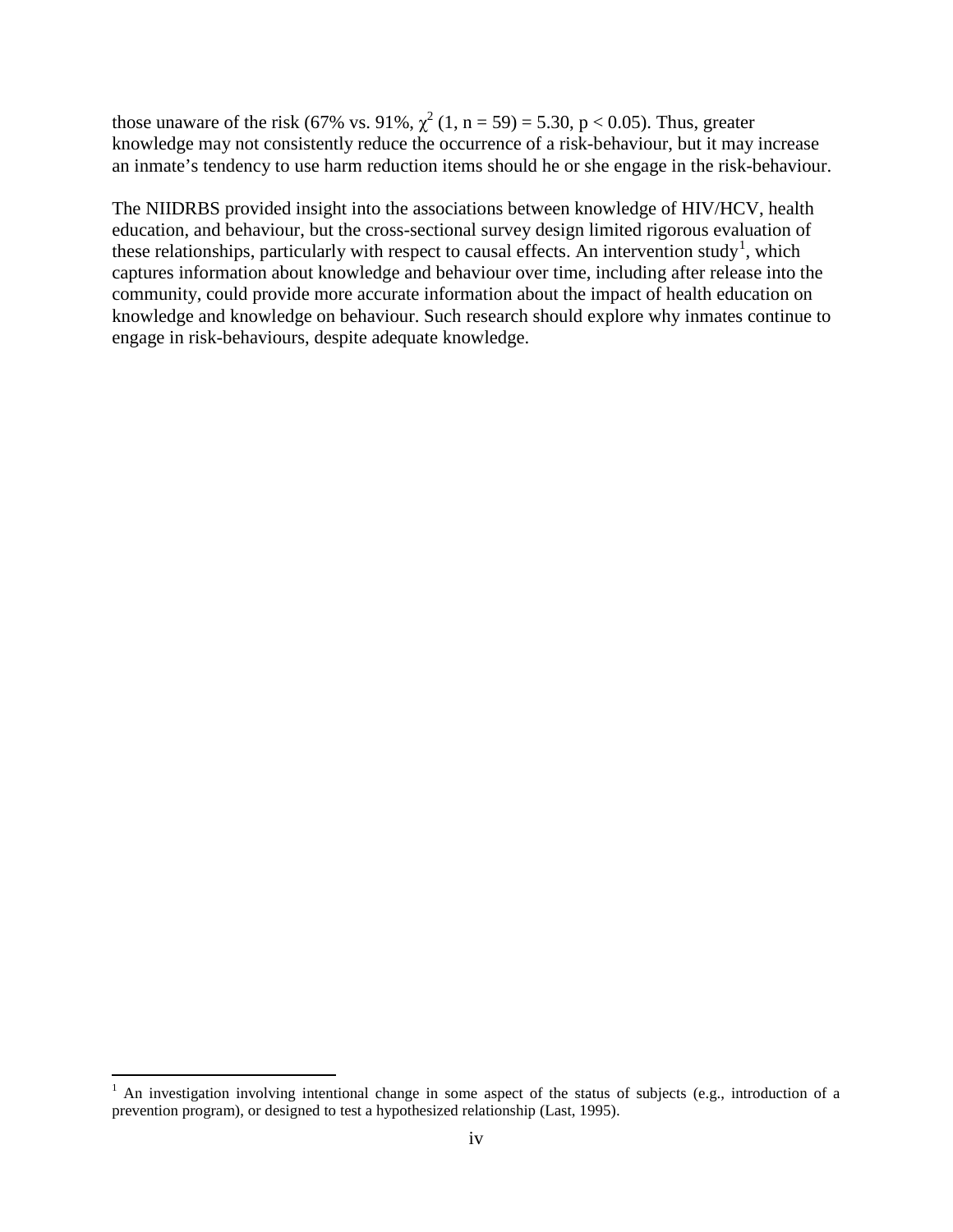those unaware of the risk (67% vs. 91%,  $\chi^2$  (1, n = 59) = 5.30, p < 0.05). Thus, greater knowledge may not consistently reduce the occurrence of a risk-behaviour, but it may increase an inmate's tendency to use harm reduction items should he or she engage in the risk-behaviour.

The NIIDRBS provided insight into the associations between knowledge of HIV/HCV, health education, and behaviour, but the cross-sectional survey design limited rigorous evaluation of these relationships, particularly with respect to causal effects. An intervention study<sup>[1](#page-7-0)</sup>, which captures information about knowledge and behaviour over time, including after release into the community, could provide more accurate information about the impact of health education on knowledge and knowledge on behaviour. Such research should explore why inmates continue to engage in risk-behaviours, despite adequate knowledge.

<span id="page-7-0"></span><sup>&</sup>lt;sup>1</sup> An investigation involving intentional change in some aspect of the status of subjects (e.g., introduction of a prevention program), or designed to test a hypothesized relationship (Last, 1995).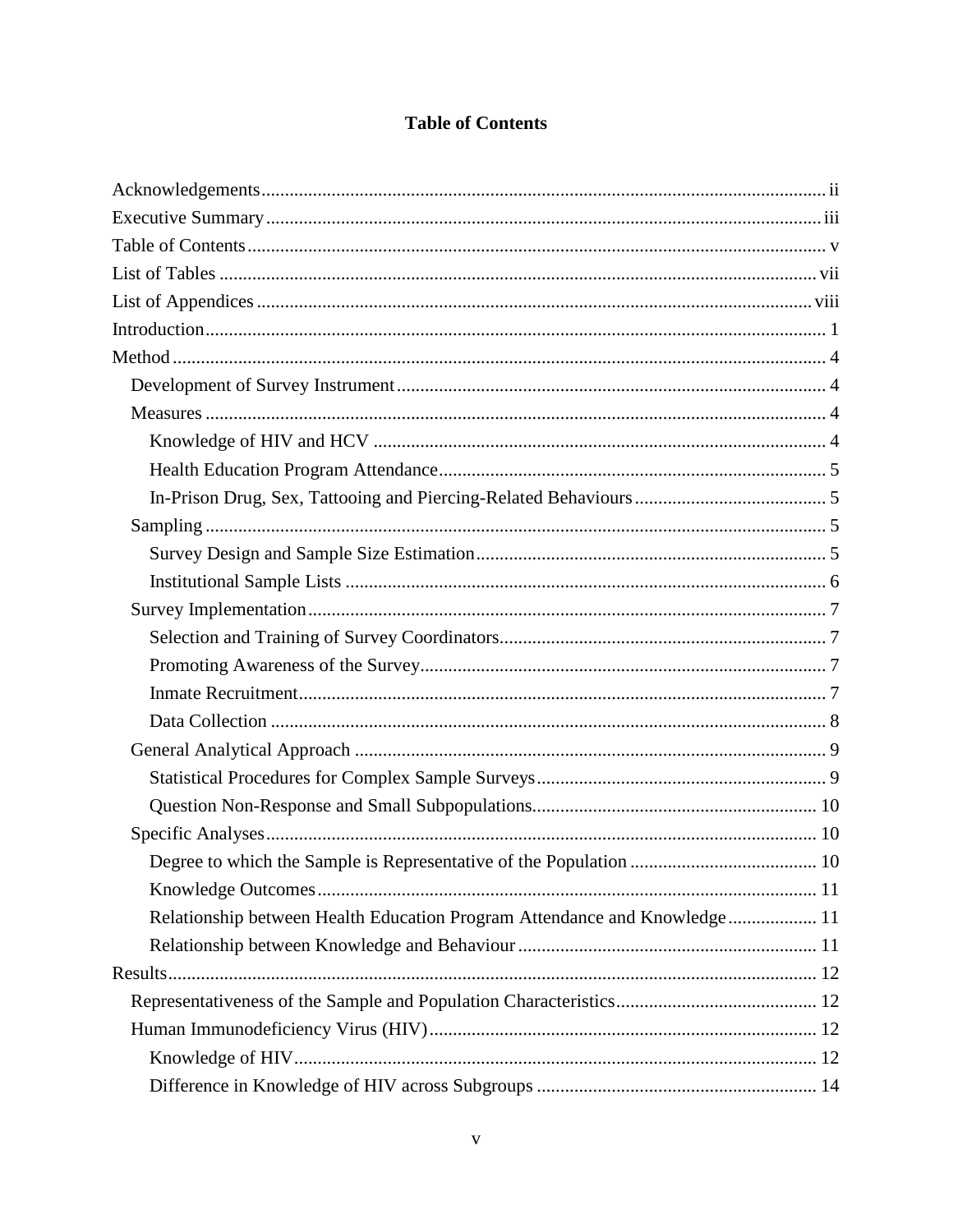# **Table of Contents**

<span id="page-9-0"></span>

| Relationship between Health Education Program Attendance and Knowledge 11 |
|---------------------------------------------------------------------------|
|                                                                           |
|                                                                           |
|                                                                           |
|                                                                           |
|                                                                           |
|                                                                           |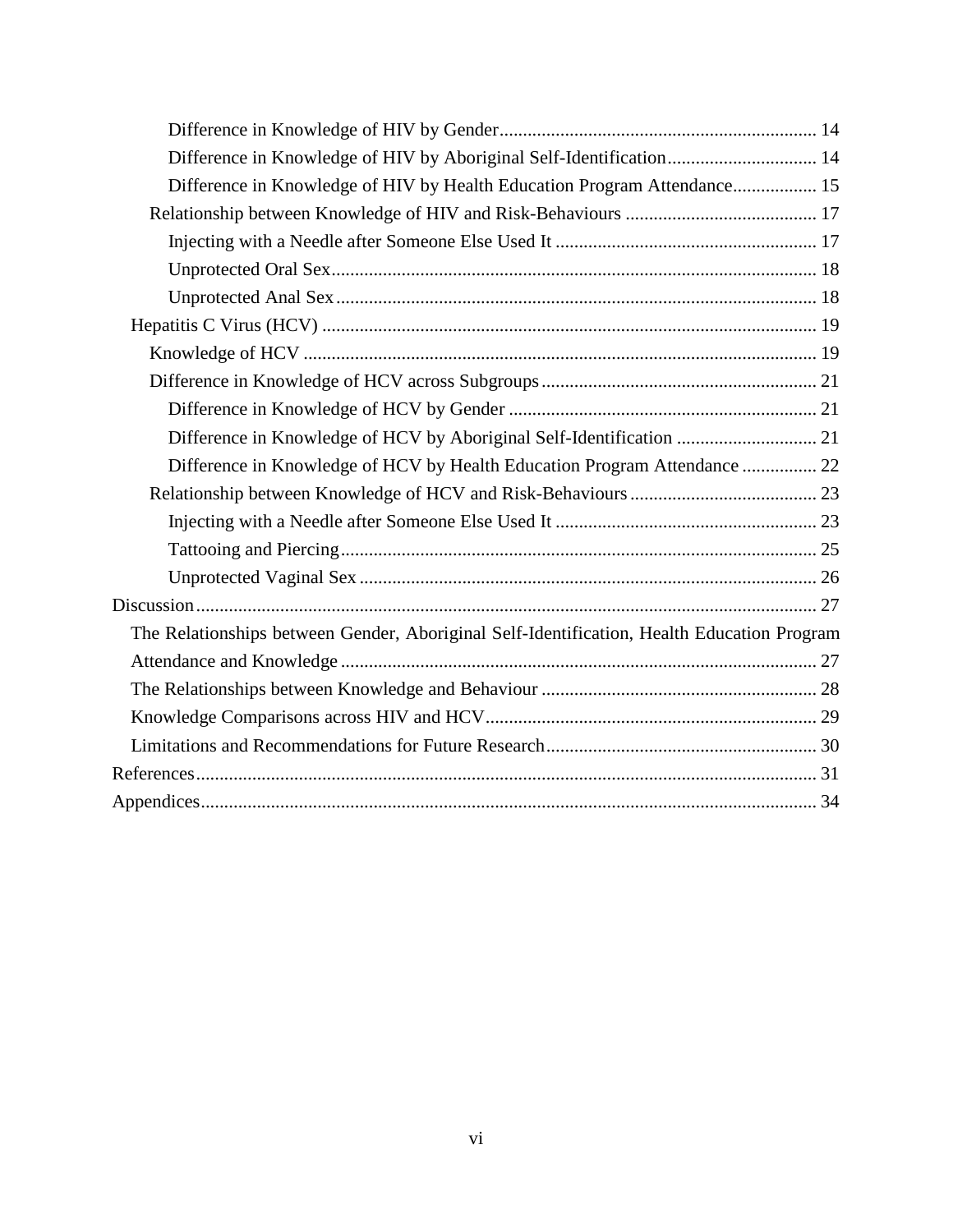| Difference in Knowledge of HIV by Aboriginal Self-Identification 14                        |  |
|--------------------------------------------------------------------------------------------|--|
| Difference in Knowledge of HIV by Health Education Program Attendance 15                   |  |
|                                                                                            |  |
|                                                                                            |  |
|                                                                                            |  |
|                                                                                            |  |
|                                                                                            |  |
|                                                                                            |  |
|                                                                                            |  |
|                                                                                            |  |
| Difference in Knowledge of HCV by Aboriginal Self-Identification  21                       |  |
| Difference in Knowledge of HCV by Health Education Program Attendance  22                  |  |
|                                                                                            |  |
|                                                                                            |  |
|                                                                                            |  |
|                                                                                            |  |
|                                                                                            |  |
| The Relationships between Gender, Aboriginal Self-Identification, Health Education Program |  |
|                                                                                            |  |
|                                                                                            |  |
|                                                                                            |  |
|                                                                                            |  |
|                                                                                            |  |
|                                                                                            |  |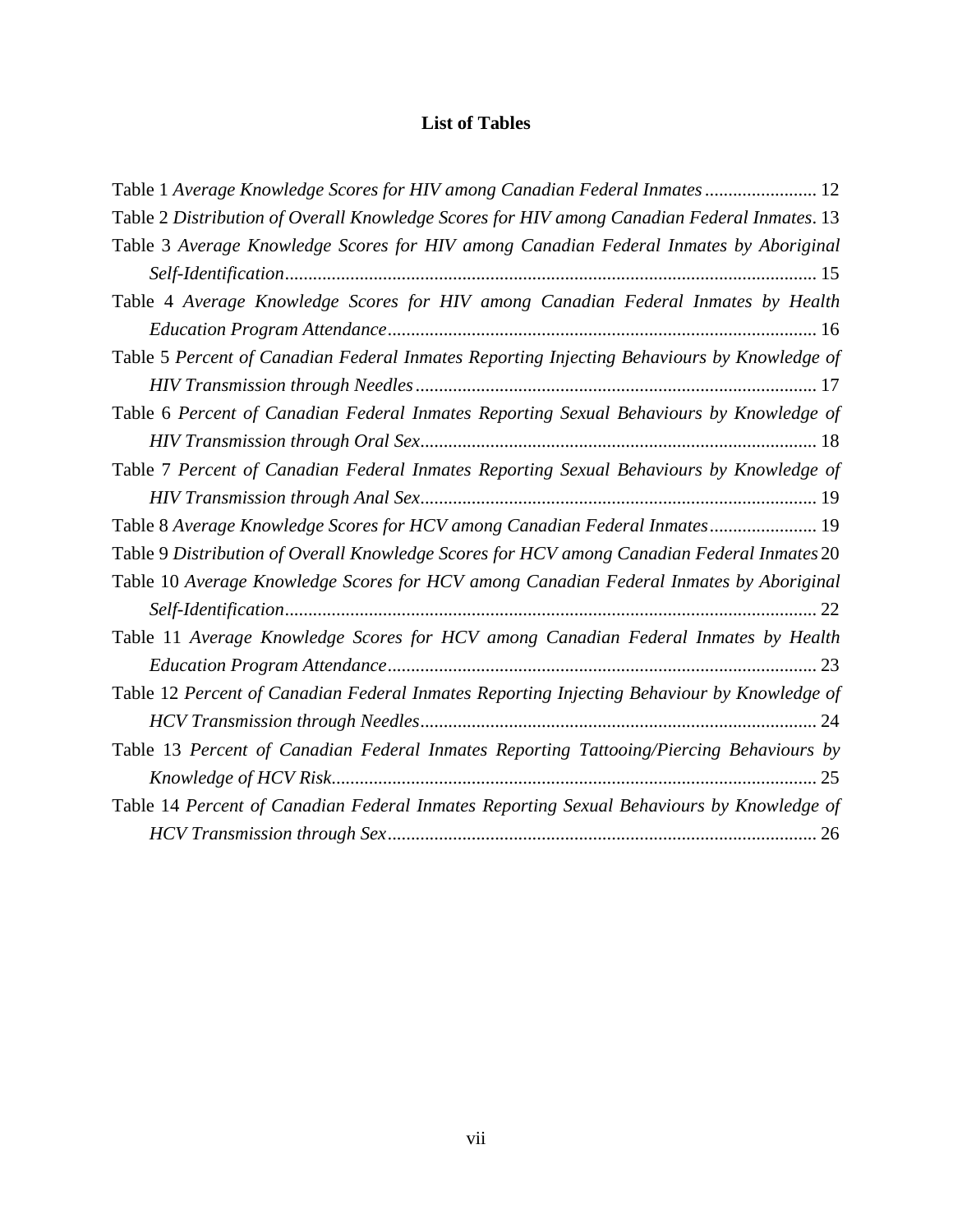# **List of Tables**

<span id="page-12-0"></span>

| Table 1 Average Knowledge Scores for HIV among Canadian Federal Inmates  12                 |
|---------------------------------------------------------------------------------------------|
| Table 2 Distribution of Overall Knowledge Scores for HIV among Canadian Federal Inmates. 13 |
| Table 3 Average Knowledge Scores for HIV among Canadian Federal Inmates by Aboriginal       |
|                                                                                             |
| Table 4 Average Knowledge Scores for HIV among Canadian Federal Inmates by Health           |
|                                                                                             |
| Table 5 Percent of Canadian Federal Inmates Reporting Injecting Behaviours by Knowledge of  |
|                                                                                             |
| Table 6 Percent of Canadian Federal Inmates Reporting Sexual Behaviours by Knowledge of     |
|                                                                                             |
| Table 7 Percent of Canadian Federal Inmates Reporting Sexual Behaviours by Knowledge of     |
|                                                                                             |
| Table 8 Average Knowledge Scores for HCV among Canadian Federal Inmates 19                  |
| Table 9 Distribution of Overall Knowledge Scores for HCV among Canadian Federal Inmates 20  |
| Table 10 Average Knowledge Scores for HCV among Canadian Federal Inmates by Aboriginal      |
|                                                                                             |
| Table 11 Average Knowledge Scores for HCV among Canadian Federal Inmates by Health          |
|                                                                                             |
| Table 12 Percent of Canadian Federal Inmates Reporting Injecting Behaviour by Knowledge of  |
|                                                                                             |
| Table 13 Percent of Canadian Federal Inmates Reporting Tattooing/Piercing Behaviours by     |
|                                                                                             |
| Table 14 Percent of Canadian Federal Inmates Reporting Sexual Behaviours by Knowledge of    |
|                                                                                             |
|                                                                                             |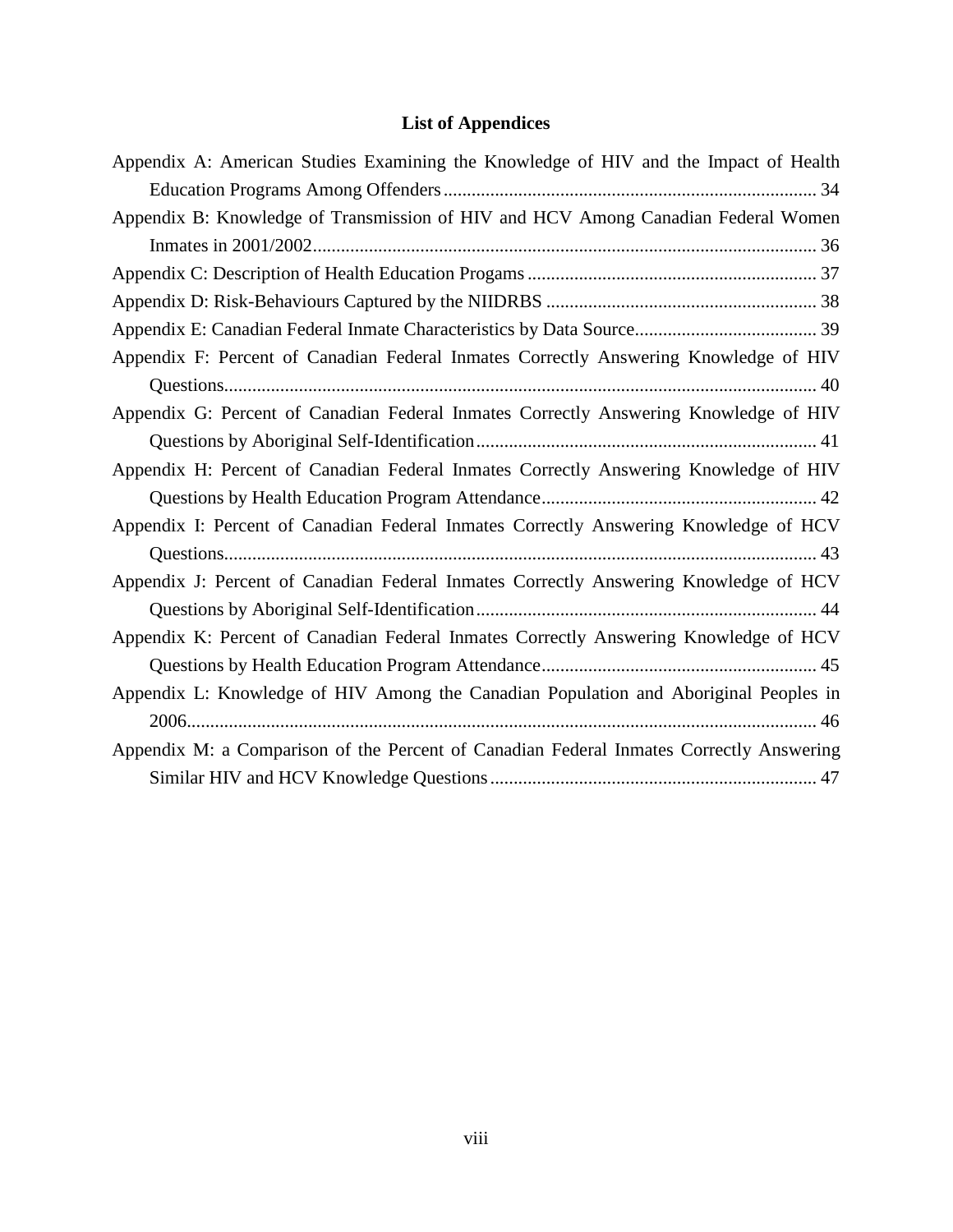# **List of Appendices**

<span id="page-14-0"></span>

| Appendix A: American Studies Examining the Knowledge of HIV and the Impact of Health    |
|-----------------------------------------------------------------------------------------|
|                                                                                         |
| Appendix B: Knowledge of Transmission of HIV and HCV Among Canadian Federal Women       |
|                                                                                         |
|                                                                                         |
|                                                                                         |
|                                                                                         |
| Appendix F: Percent of Canadian Federal Inmates Correctly Answering Knowledge of HIV    |
|                                                                                         |
| Appendix G: Percent of Canadian Federal Inmates Correctly Answering Knowledge of HIV    |
|                                                                                         |
| Appendix H: Percent of Canadian Federal Inmates Correctly Answering Knowledge of HIV    |
|                                                                                         |
| Appendix I: Percent of Canadian Federal Inmates Correctly Answering Knowledge of HCV    |
|                                                                                         |
| Appendix J: Percent of Canadian Federal Inmates Correctly Answering Knowledge of HCV    |
|                                                                                         |
| Appendix K: Percent of Canadian Federal Inmates Correctly Answering Knowledge of HCV    |
|                                                                                         |
| Appendix L: Knowledge of HIV Among the Canadian Population and Aboriginal Peoples in    |
|                                                                                         |
| Appendix M: a Comparison of the Percent of Canadian Federal Inmates Correctly Answering |
|                                                                                         |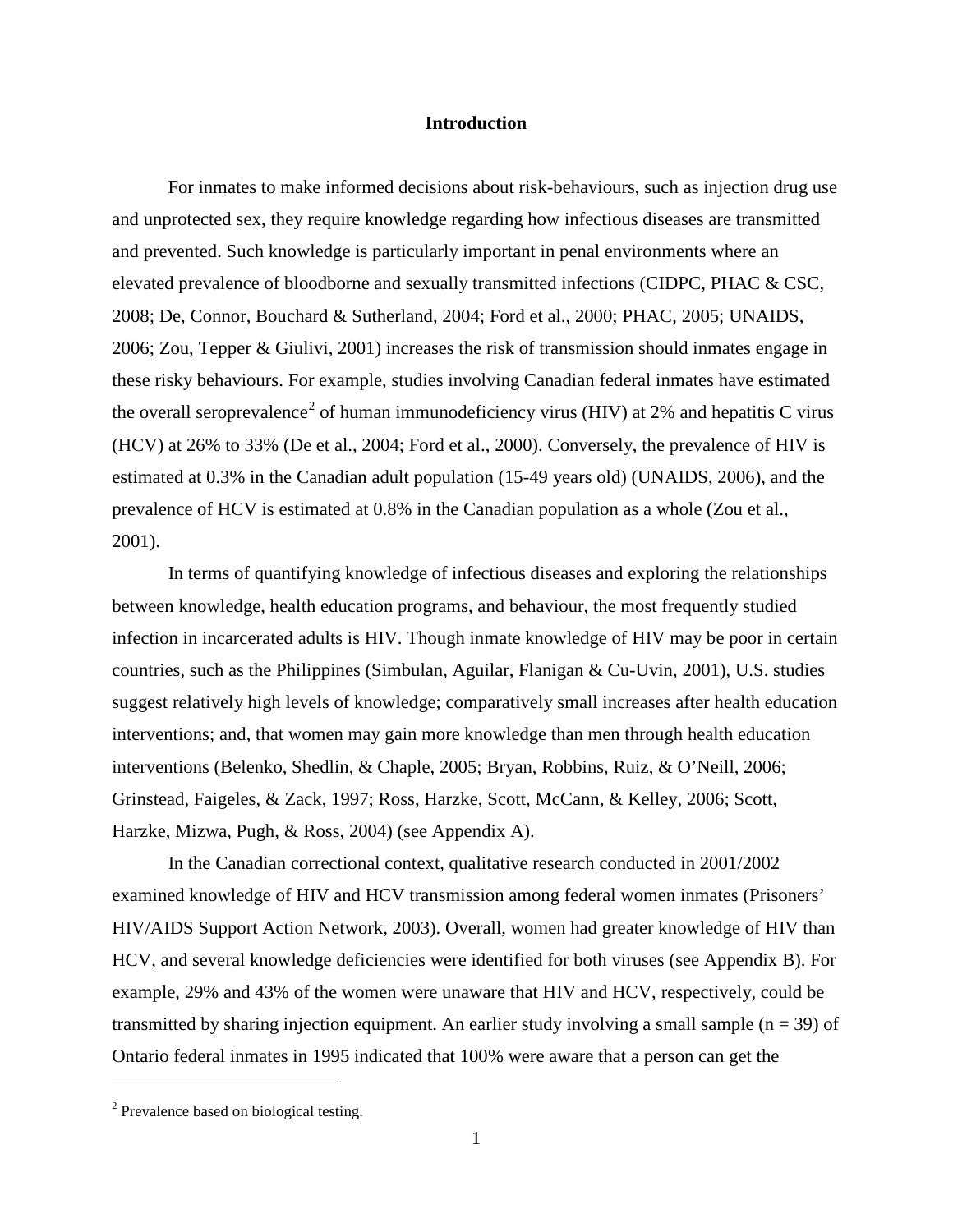## **Introduction**

<span id="page-16-0"></span>For inmates to make informed decisions about risk-behaviours, such as injection drug use and unprotected sex, they require knowledge regarding how infectious diseases are transmitted and prevented. Such knowledge is particularly important in penal environments where an elevated prevalence of bloodborne and sexually transmitted infections (CIDPC, PHAC & CSC, 2008; De, Connor, Bouchard & Sutherland, 2004; Ford et al., 2000; PHAC, 2005; UNAIDS, 2006; Zou, Tepper & Giulivi, 2001) increases the risk of transmission should inmates engage in these risky behaviours. For example, studies involving Canadian federal inmates have estimated the overall seroprevalence<sup>[2](#page-16-1)</sup> of human immunodeficiency virus (HIV) at 2% and hepatitis C virus (HCV) at 26% to 33% (De et al., 2004; Ford et al., 2000). Conversely, the prevalence of HIV is estimated at 0.3% in the Canadian adult population (15-49 years old) (UNAIDS, 2006), and the prevalence of HCV is estimated at 0.8% in the Canadian population as a whole (Zou et al., 2001).

In terms of quantifying knowledge of infectious diseases and exploring the relationships between knowledge, health education programs, and behaviour, the most frequently studied infection in incarcerated adults is HIV. Though inmate knowledge of HIV may be poor in certain countries, such as the Philippines (Simbulan, Aguilar, Flanigan & Cu-Uvin, 2001), U.S. studies suggest relatively high levels of knowledge; comparatively small increases after health education interventions; and, that women may gain more knowledge than men through health education interventions (Belenko, Shedlin, & Chaple, 2005; Bryan, Robbins, Ruiz, & O'Neill, 2006; Grinstead, Faigeles, & Zack, 1997; Ross, Harzke, Scott, McCann, & Kelley, 2006; Scott, Harzke, Mizwa, Pugh, & Ross, 2004) (see Appendix A).

In the Canadian correctional context, qualitative research conducted in 2001/2002 examined knowledge of HIV and HCV transmission among federal women inmates (Prisoners' HIV/AIDS Support Action Network, 2003). Overall, women had greater knowledge of HIV than HCV, and several knowledge deficiencies were identified for both viruses (see Appendix B). For example, 29% and 43% of the women were unaware that HIV and HCV, respectively, could be transmitted by sharing injection equipment. An earlier study involving a small sample ( $n = 39$ ) of Ontario federal inmates in 1995 indicated that 100% were aware that a person can get the

 $\overline{a}$ 

<span id="page-16-1"></span><sup>&</sup>lt;sup>2</sup> Prevalence based on biological testing.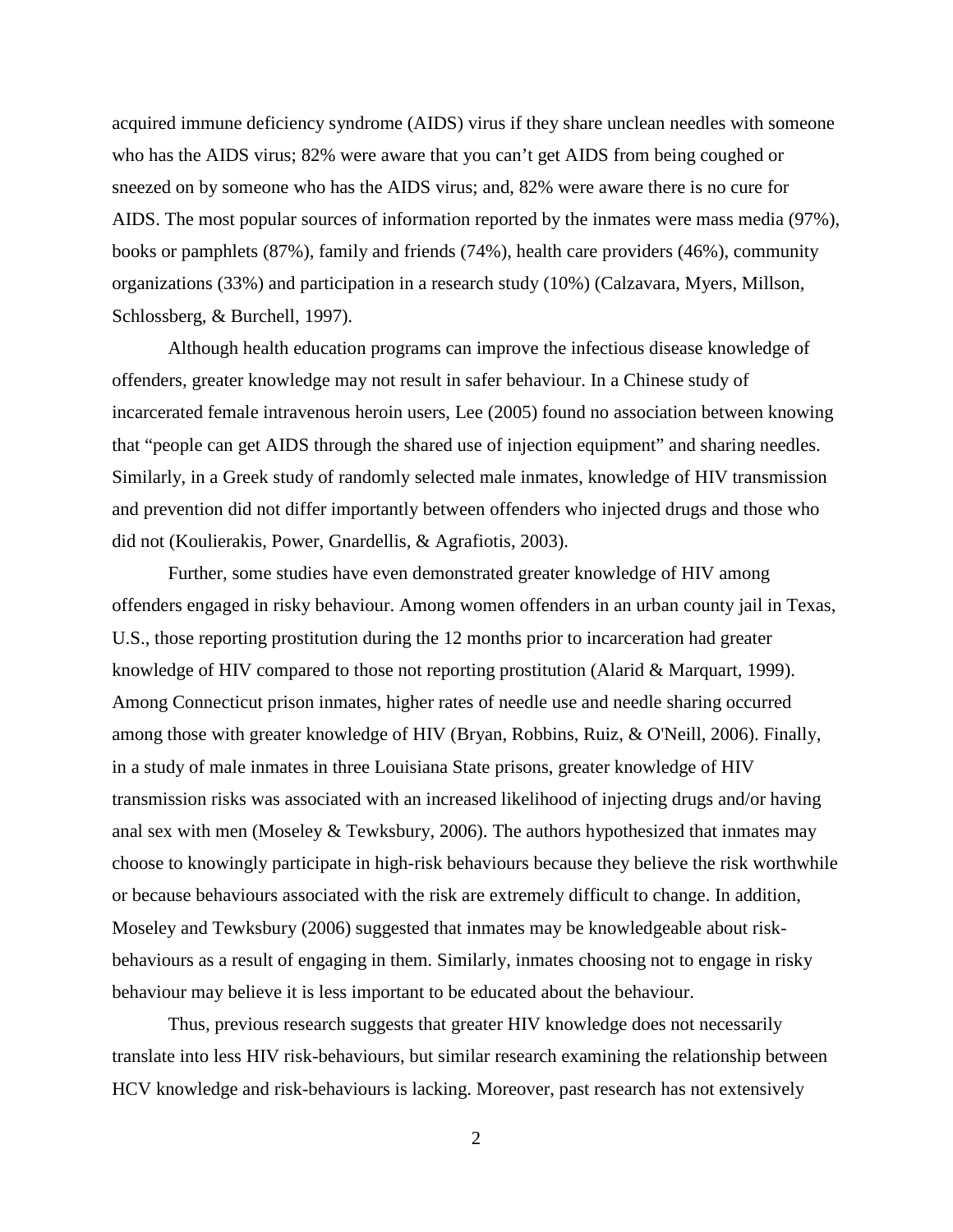acquired immune deficiency syndrome (AIDS) virus if they share unclean needles with someone who has the AIDS virus; 82% were aware that you can't get AIDS from being coughed or sneezed on by someone who has the AIDS virus; and, 82% were aware there is no cure for AIDS. The most popular sources of information reported by the inmates were mass media (97%), books or pamphlets (87%), family and friends (74%), health care providers (46%), community organizations (33%) and participation in a research study (10%) (Calzavara, Myers, Millson, Schlossberg, & Burchell, 1997).

Although health education programs can improve the infectious disease knowledge of offenders, greater knowledge may not result in safer behaviour. In a Chinese study of incarcerated female intravenous heroin users, Lee (2005) found no association between knowing that "people can get AIDS through the shared use of injection equipment" and sharing needles. Similarly, in a Greek study of randomly selected male inmates, knowledge of HIV transmission and prevention did not differ importantly between offenders who injected drugs and those who did not (Koulierakis, Power, Gnardellis, & Agrafiotis, 2003).

Further, some studies have even demonstrated greater knowledge of HIV among offenders engaged in risky behaviour. Among women offenders in an urban county jail in Texas, U.S., those reporting prostitution during the 12 months prior to incarceration had greater knowledge of HIV compared to those not reporting prostitution (Alarid & Marquart, 1999). Among Connecticut prison inmates, higher rates of needle use and needle sharing occurred among those with greater knowledge of HIV (Bryan, Robbins, Ruiz, & O'Neill, 2006). Finally, in a study of male inmates in three Louisiana State prisons, greater knowledge of HIV transmission risks was associated with an increased likelihood of injecting drugs and/or having anal sex with men (Moseley & Tewksbury, 2006). The authors hypothesized that inmates may choose to knowingly participate in high-risk behaviours because they believe the risk worthwhile or because behaviours associated with the risk are extremely difficult to change. In addition, Moseley and Tewksbury (2006) suggested that inmates may be knowledgeable about riskbehaviours as a result of engaging in them. Similarly, inmates choosing not to engage in risky behaviour may believe it is less important to be educated about the behaviour.

Thus, previous research suggests that greater HIV knowledge does not necessarily translate into less HIV risk-behaviours, but similar research examining the relationship between HCV knowledge and risk-behaviours is lacking. Moreover, past research has not extensively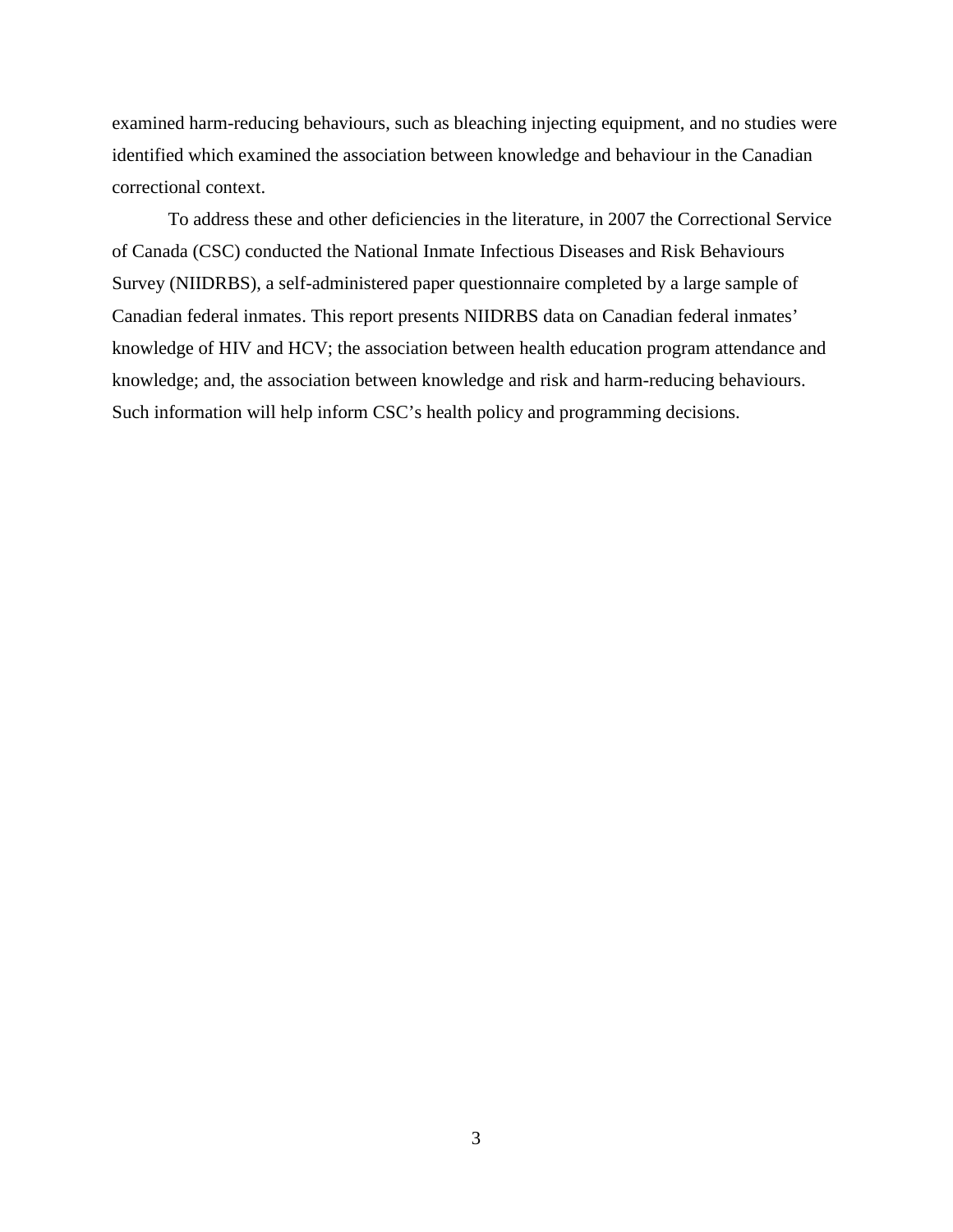examined harm-reducing behaviours, such as bleaching injecting equipment, and no studies were identified which examined the association between knowledge and behaviour in the Canadian correctional context.

To address these and other deficiencies in the literature, in 2007 the Correctional Service of Canada (CSC) conducted the National Inmate Infectious Diseases and Risk Behaviours Survey (NIIDRBS), a self-administered paper questionnaire completed by a large sample of Canadian federal inmates. This report presents NIIDRBS data on Canadian federal inmates' knowledge of HIV and HCV; the association between health education program attendance and knowledge; and, the association between knowledge and risk and harm-reducing behaviours. Such information will help inform CSC's health policy and programming decisions.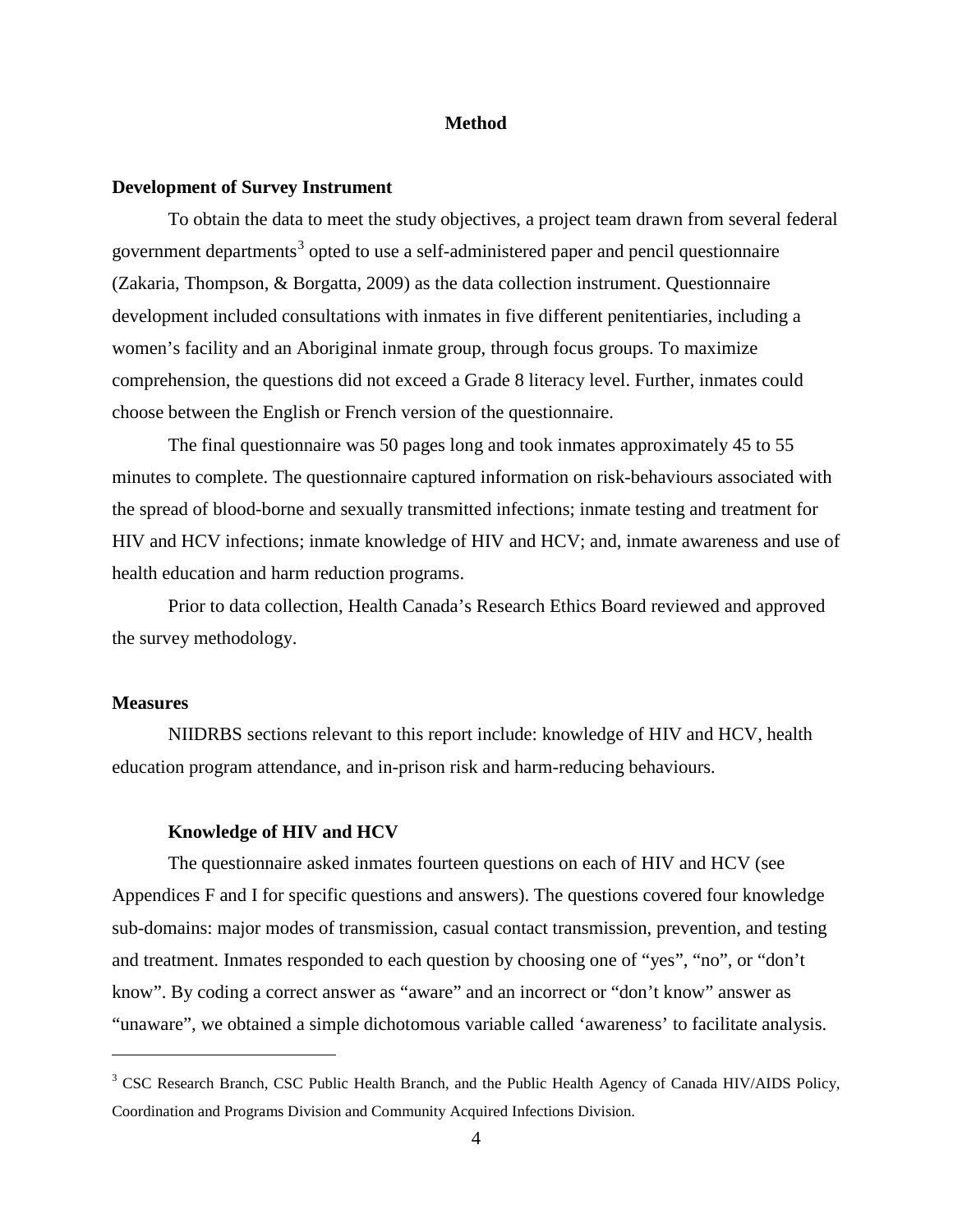#### **Method**

## <span id="page-19-1"></span><span id="page-19-0"></span>**Development of Survey Instrument**

To obtain the data to meet the study objectives, a project team drawn from several federal government departments<sup>[3](#page-19-4)</sup> opted to use a self-administered paper and pencil questionnaire (Zakaria, Thompson, & Borgatta, 2009) as the data collection instrument. Questionnaire development included consultations with inmates in five different penitentiaries, including a women's facility and an Aboriginal inmate group, through focus groups. To maximize comprehension, the questions did not exceed a Grade 8 literacy level. Further, inmates could choose between the English or French version of the questionnaire.

The final questionnaire was 50 pages long and took inmates approximately 45 to 55 minutes to complete. The questionnaire captured information on risk-behaviours associated with the spread of blood-borne and sexually transmitted infections; inmate testing and treatment for HIV and HCV infections; inmate knowledge of HIV and HCV; and, inmate awareness and use of health education and harm reduction programs.

Prior to data collection, Health Canada's Research Ethics Board reviewed and approved the survey methodology.

## <span id="page-19-2"></span>**Measures**

 $\overline{a}$ 

NIIDRBS sections relevant to this report include: knowledge of HIV and HCV, health education program attendance, and in-prison risk and harm-reducing behaviours.

## **Knowledge of HIV and HCV**

<span id="page-19-3"></span>The questionnaire asked inmates fourteen questions on each of HIV and HCV (see Appendices F and I for specific questions and answers). The questions covered four knowledge sub-domains: major modes of transmission, casual contact transmission, prevention, and testing and treatment. Inmates responded to each question by choosing one of "yes", "no", or "don't know". By coding a correct answer as "aware" and an incorrect or "don't know" answer as "unaware", we obtained a simple dichotomous variable called 'awareness' to facilitate analysis.

<span id="page-19-4"></span><sup>&</sup>lt;sup>3</sup> CSC Research Branch, CSC Public Health Branch, and the Public Health Agency of Canada HIV/AIDS Policy, Coordination and Programs Division and Community Acquired Infections Division.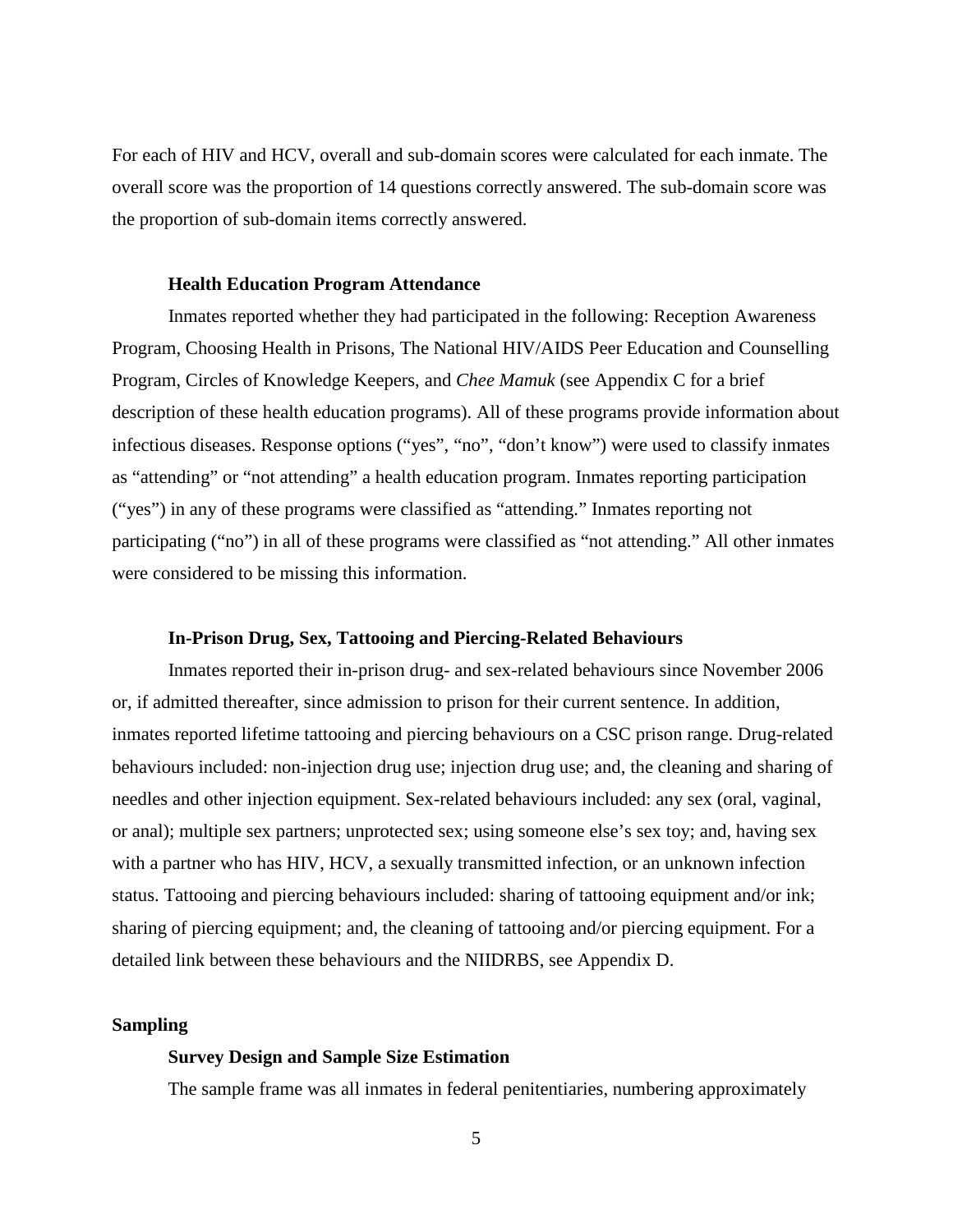For each of HIV and HCV, overall and sub-domain scores were calculated for each inmate. The overall score was the proportion of 14 questions correctly answered. The sub-domain score was the proportion of sub-domain items correctly answered.

## **Health Education Program Attendance**

<span id="page-20-0"></span>Inmates reported whether they had participated in the following: Reception Awareness Program, Choosing Health in Prisons, The National HIV/AIDS Peer Education and Counselling Program, Circles of Knowledge Keepers, and *Chee Mamuk* (see Appendix C for a brief description of these health education programs). All of these programs provide information about infectious diseases. Response options ("yes", "no", "don't know") were used to classify inmates as "attending" or "not attending" a health education program. Inmates reporting participation ("yes") in any of these programs were classified as "attending." Inmates reporting not participating ("no") in all of these programs were classified as "not attending." All other inmates were considered to be missing this information.

## **In-Prison Drug, Sex, Tattooing and Piercing-Related Behaviours**

<span id="page-20-1"></span>Inmates reported their in-prison drug- and sex-related behaviours since November 2006 or, if admitted thereafter, since admission to prison for their current sentence. In addition, inmates reported lifetime tattooing and piercing behaviours on a CSC prison range. Drug-related behaviours included: non-injection drug use; injection drug use; and, the cleaning and sharing of needles and other injection equipment. Sex-related behaviours included: any sex (oral, vaginal, or anal); multiple sex partners; unprotected sex; using someone else's sex toy; and, having sex with a partner who has HIV, HCV, a sexually transmitted infection, or an unknown infection status. Tattooing and piercing behaviours included: sharing of tattooing equipment and/or ink; sharing of piercing equipment; and, the cleaning of tattooing and/or piercing equipment. For a detailed link between these behaviours and the NIIDRBS, see Appendix D.

## <span id="page-20-3"></span><span id="page-20-2"></span>**Sampling**

### **Survey Design and Sample Size Estimation**

The sample frame was all inmates in federal penitentiaries, numbering approximately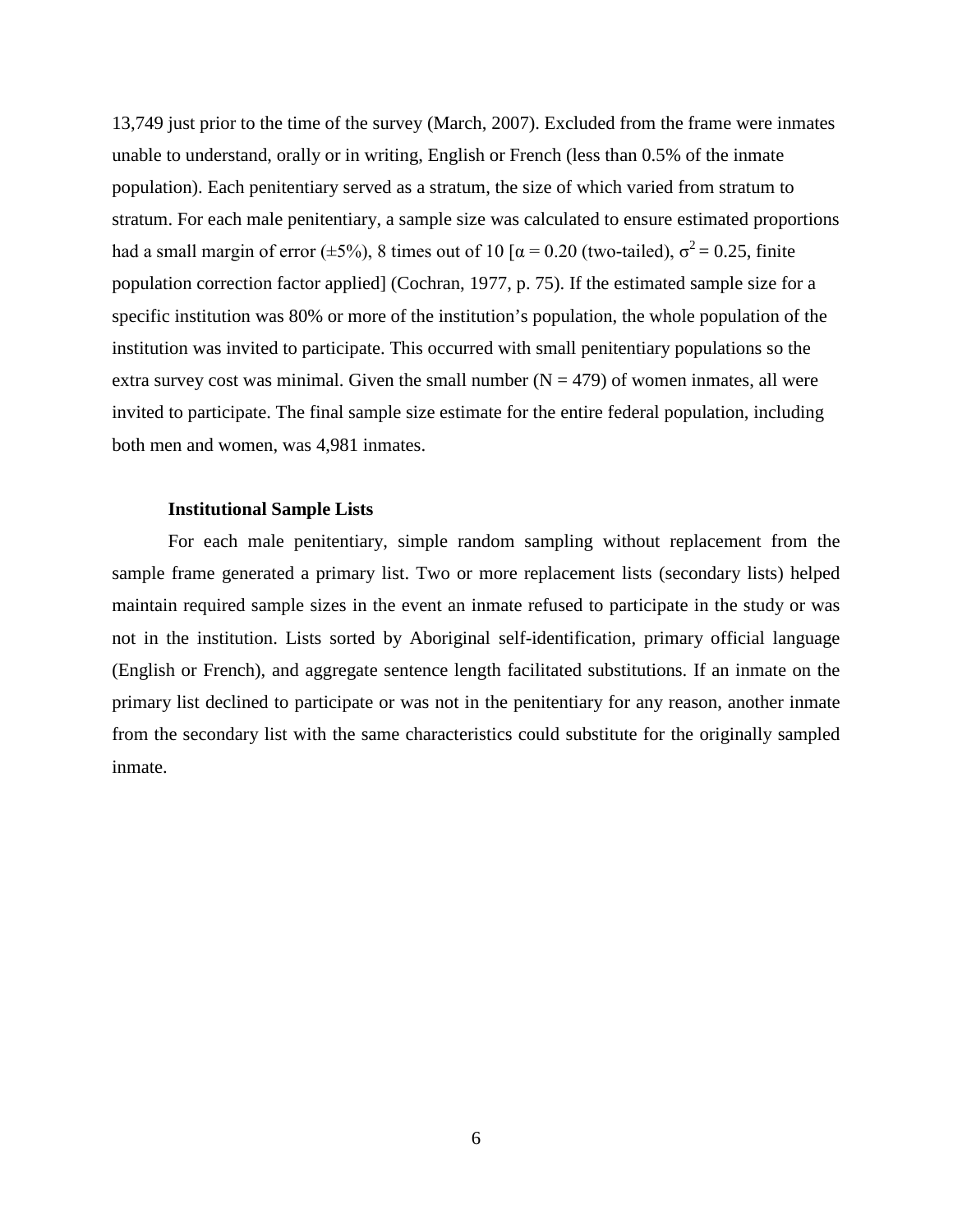13,749 just prior to the time of the survey (March, 2007). Excluded from the frame were inmates unable to understand, orally or in writing, English or French (less than 0.5% of the inmate population). Each penitentiary served as a stratum, the size of which varied from stratum to stratum. For each male penitentiary, a sample size was calculated to ensure estimated proportions had a small margin of error ( $\pm$ 5%), 8 times out of 10 [ $\alpha$  = 0.20 (two-tailed),  $\sigma$ <sup>2</sup> = 0.25, finite population correction factor applied] (Cochran, 1977, p. 75). If the estimated sample size for a specific institution was 80% or more of the institution's population, the whole population of the institution was invited to participate. This occurred with small penitentiary populations so the extra survey cost was minimal. Given the small number  $(N = 479)$  of women inmates, all were invited to participate. The final sample size estimate for the entire federal population, including both men and women, was 4,981 inmates.

## **Institutional Sample Lists**

<span id="page-21-0"></span>For each male penitentiary, simple random sampling without replacement from the sample frame generated a primary list. Two or more replacement lists (secondary lists) helped maintain required sample sizes in the event an inmate refused to participate in the study or was not in the institution. Lists sorted by Aboriginal self-identification, primary official language (English or French), and aggregate sentence length facilitated substitutions. If an inmate on the primary list declined to participate or was not in the penitentiary for any reason, another inmate from the secondary list with the same characteristics could substitute for the originally sampled inmate.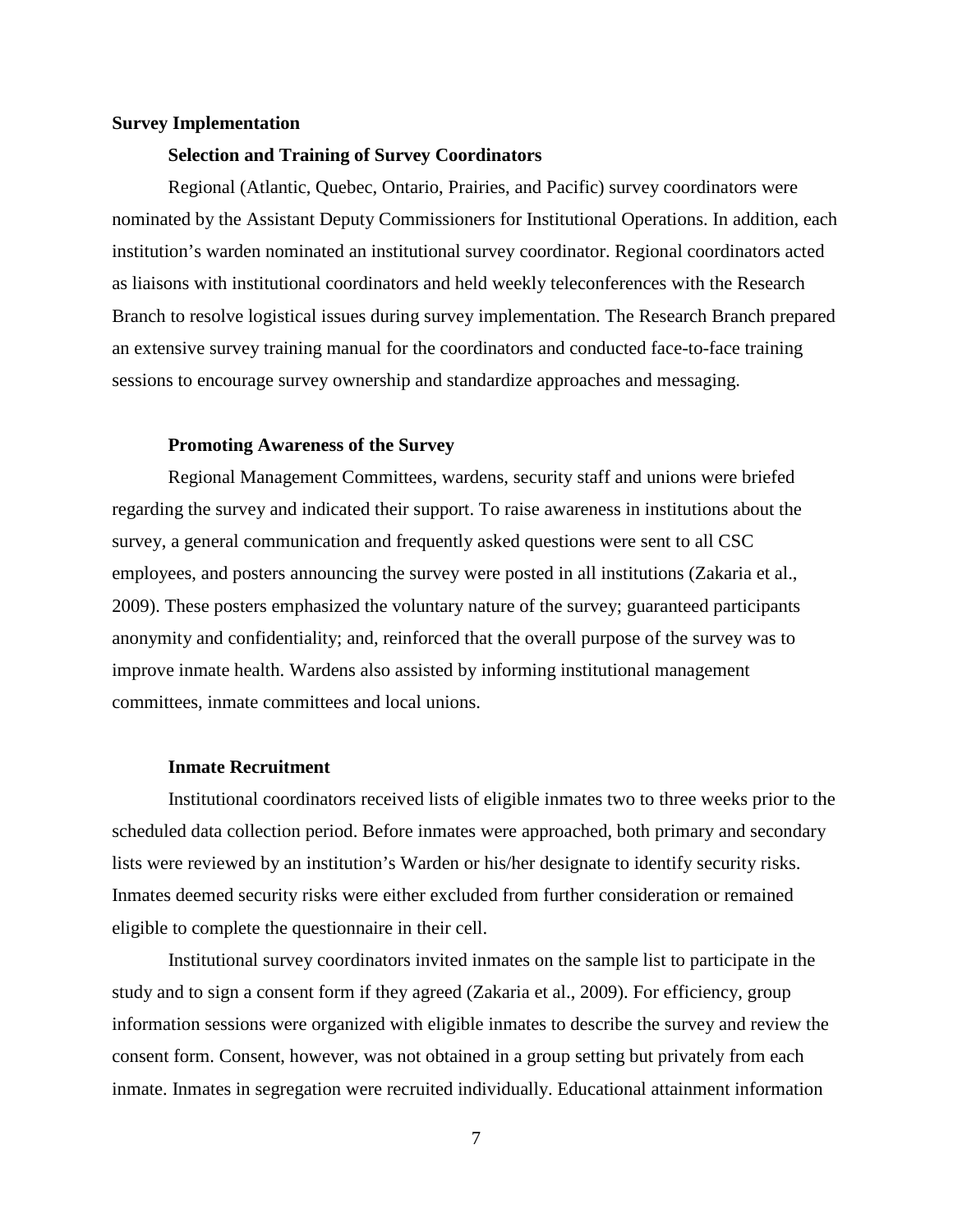## <span id="page-22-1"></span><span id="page-22-0"></span>**Survey Implementation**

## **Selection and Training of Survey Coordinators**

Regional (Atlantic, Quebec, Ontario, Prairies, and Pacific) survey coordinators were nominated by the Assistant Deputy Commissioners for Institutional Operations. In addition, each institution's warden nominated an institutional survey coordinator. Regional coordinators acted as liaisons with institutional coordinators and held weekly teleconferences with the Research Branch to resolve logistical issues during survey implementation. The Research Branch prepared an extensive survey training manual for the coordinators and conducted face-to-face training sessions to encourage survey ownership and standardize approaches and messaging.

### **Promoting Awareness of the Survey**

<span id="page-22-2"></span>Regional Management Committees, wardens, security staff and unions were briefed regarding the survey and indicated their support. To raise awareness in institutions about the survey, a general communication and frequently asked questions were sent to all CSC employees, and posters announcing the survey were posted in all institutions (Zakaria et al., 2009). These posters emphasized the voluntary nature of the survey; guaranteed participants anonymity and confidentiality; and, reinforced that the overall purpose of the survey was to improve inmate health. Wardens also assisted by informing institutional management committees, inmate committees and local unions.

### **Inmate Recruitment**

<span id="page-22-3"></span>Institutional coordinators received lists of eligible inmates two to three weeks prior to the scheduled data collection period. Before inmates were approached, both primary and secondary lists were reviewed by an institution's Warden or his/her designate to identify security risks. Inmates deemed security risks were either excluded from further consideration or remained eligible to complete the questionnaire in their cell.

Institutional survey coordinators invited inmates on the sample list to participate in the study and to sign a consent form if they agreed (Zakaria et al., 2009). For efficiency, group information sessions were organized with eligible inmates to describe the survey and review the consent form. Consent, however, was not obtained in a group setting but privately from each inmate. Inmates in segregation were recruited individually. Educational attainment information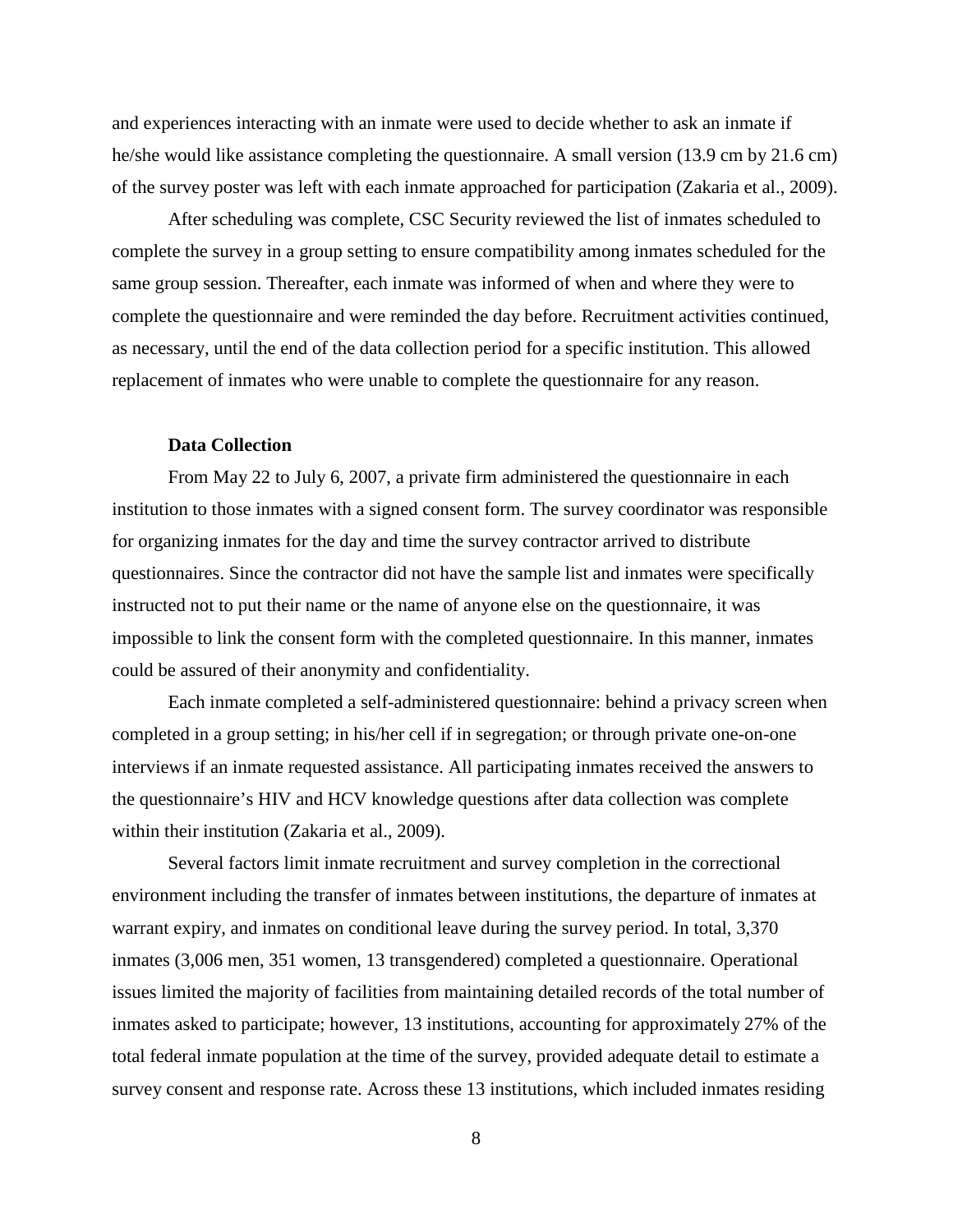and experiences interacting with an inmate were used to decide whether to ask an inmate if he/she would like assistance completing the questionnaire. A small version (13.9 cm by 21.6 cm) of the survey poster was left with each inmate approached for participation (Zakaria et al., 2009).

After scheduling was complete, CSC Security reviewed the list of inmates scheduled to complete the survey in a group setting to ensure compatibility among inmates scheduled for the same group session. Thereafter, each inmate was informed of when and where they were to complete the questionnaire and were reminded the day before. Recruitment activities continued, as necessary, until the end of the data collection period for a specific institution. This allowed replacement of inmates who were unable to complete the questionnaire for any reason.

## **Data Collection**

<span id="page-23-0"></span>From May 22 to July 6, 2007, a private firm administered the questionnaire in each institution to those inmates with a signed consent form. The survey coordinator was responsible for organizing inmates for the day and time the survey contractor arrived to distribute questionnaires. Since the contractor did not have the sample list and inmates were specifically instructed not to put their name or the name of anyone else on the questionnaire, it was impossible to link the consent form with the completed questionnaire. In this manner, inmates could be assured of their anonymity and confidentiality.

Each inmate completed a self-administered questionnaire: behind a privacy screen when completed in a group setting; in his/her cell if in segregation; or through private one-on-one interviews if an inmate requested assistance. All participating inmates received the answers to the questionnaire's HIV and HCV knowledge questions after data collection was complete within their institution (Zakaria et al., 2009).

Several factors limit inmate recruitment and survey completion in the correctional environment including the transfer of inmates between institutions, the departure of inmates at warrant expiry, and inmates on conditional leave during the survey period. In total, 3,370 inmates (3,006 men, 351 women, 13 transgendered) completed a questionnaire. Operational issues limited the majority of facilities from maintaining detailed records of the total number of inmates asked to participate; however, 13 institutions, accounting for approximately 27% of the total federal inmate population at the time of the survey, provided adequate detail to estimate a survey consent and response rate. Across these 13 institutions, which included inmates residing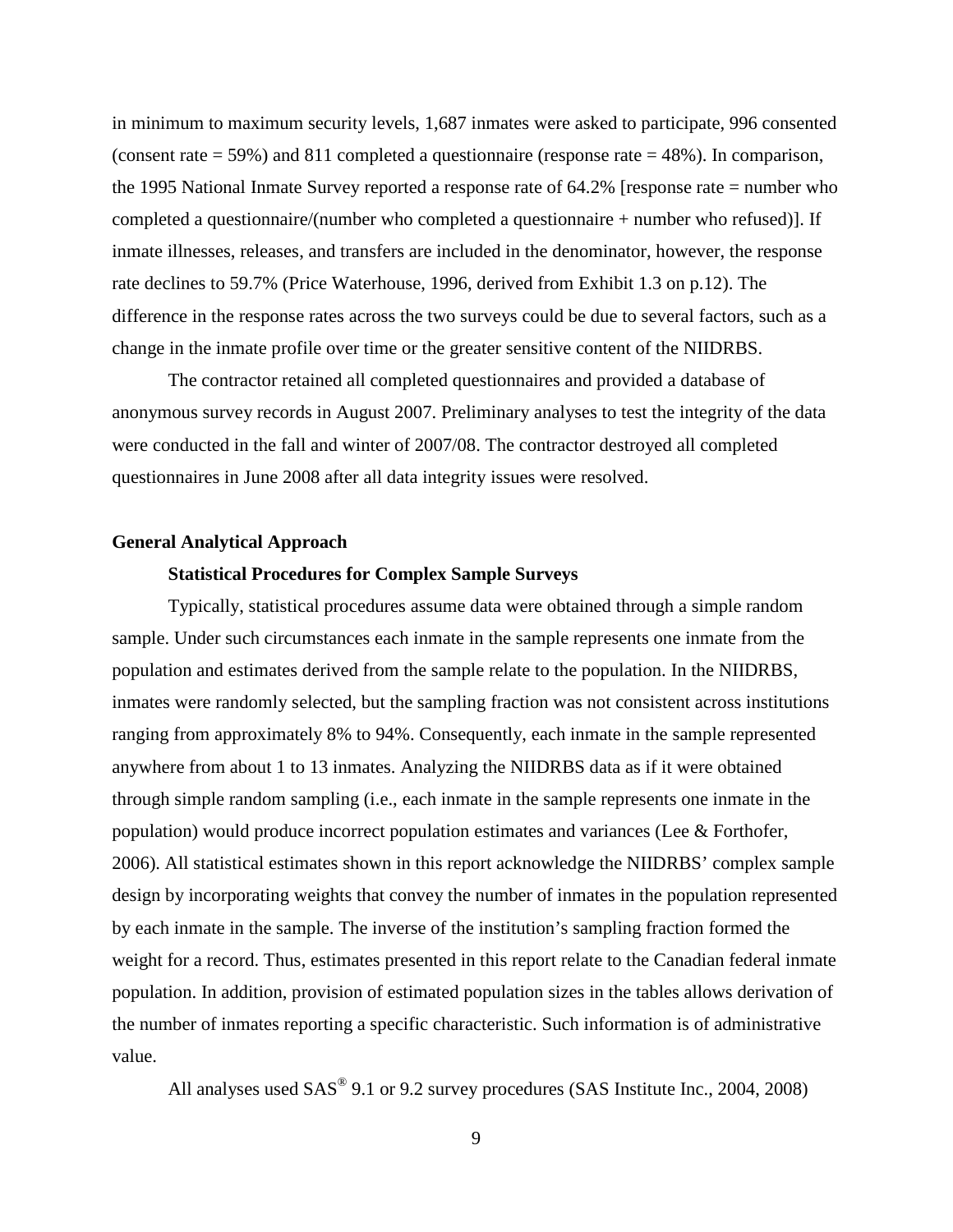in minimum to maximum security levels, 1,687 inmates were asked to participate, 996 consented (consent rate  $= 59\%$ ) and 811 completed a questionnaire (response rate  $= 48\%$ ). In comparison, the 1995 National Inmate Survey reported a response rate of 64.2% [response rate = number who completed a questionnaire/(number who completed a questionnaire + number who refused)]. If inmate illnesses, releases, and transfers are included in the denominator, however, the response rate declines to 59.7% (Price Waterhouse, 1996, derived from Exhibit 1.3 on p.12). The difference in the response rates across the two surveys could be due to several factors, such as a change in the inmate profile over time or the greater sensitive content of the NIIDRBS.

The contractor retained all completed questionnaires and provided a database of anonymous survey records in August 2007. Preliminary analyses to test the integrity of the data were conducted in the fall and winter of 2007/08. The contractor destroyed all completed questionnaires in June 2008 after all data integrity issues were resolved.

## <span id="page-24-1"></span><span id="page-24-0"></span>**General Analytical Approach**

## **Statistical Procedures for Complex Sample Surveys**

Typically, statistical procedures assume data were obtained through a simple random sample. Under such circumstances each inmate in the sample represents one inmate from the population and estimates derived from the sample relate to the population. In the NIIDRBS, inmates were randomly selected, but the sampling fraction was not consistent across institutions ranging from approximately 8% to 94%. Consequently, each inmate in the sample represented anywhere from about 1 to 13 inmates. Analyzing the NIIDRBS data as if it were obtained through simple random sampling (i.e., each inmate in the sample represents one inmate in the population) would produce incorrect population estimates and variances (Lee & Forthofer, 2006). All statistical estimates shown in this report acknowledge the NIIDRBS' complex sample design by incorporating weights that convey the number of inmates in the population represented by each inmate in the sample. The inverse of the institution's sampling fraction formed the weight for a record. Thus, estimates presented in this report relate to the Canadian federal inmate population. In addition, provision of estimated population sizes in the tables allows derivation of the number of inmates reporting a specific characteristic. Such information is of administrative value.

All analyses used  $SAS^{\circledcirc}$  9.1 or 9.2 survey procedures (SAS Institute Inc., 2004, 2008)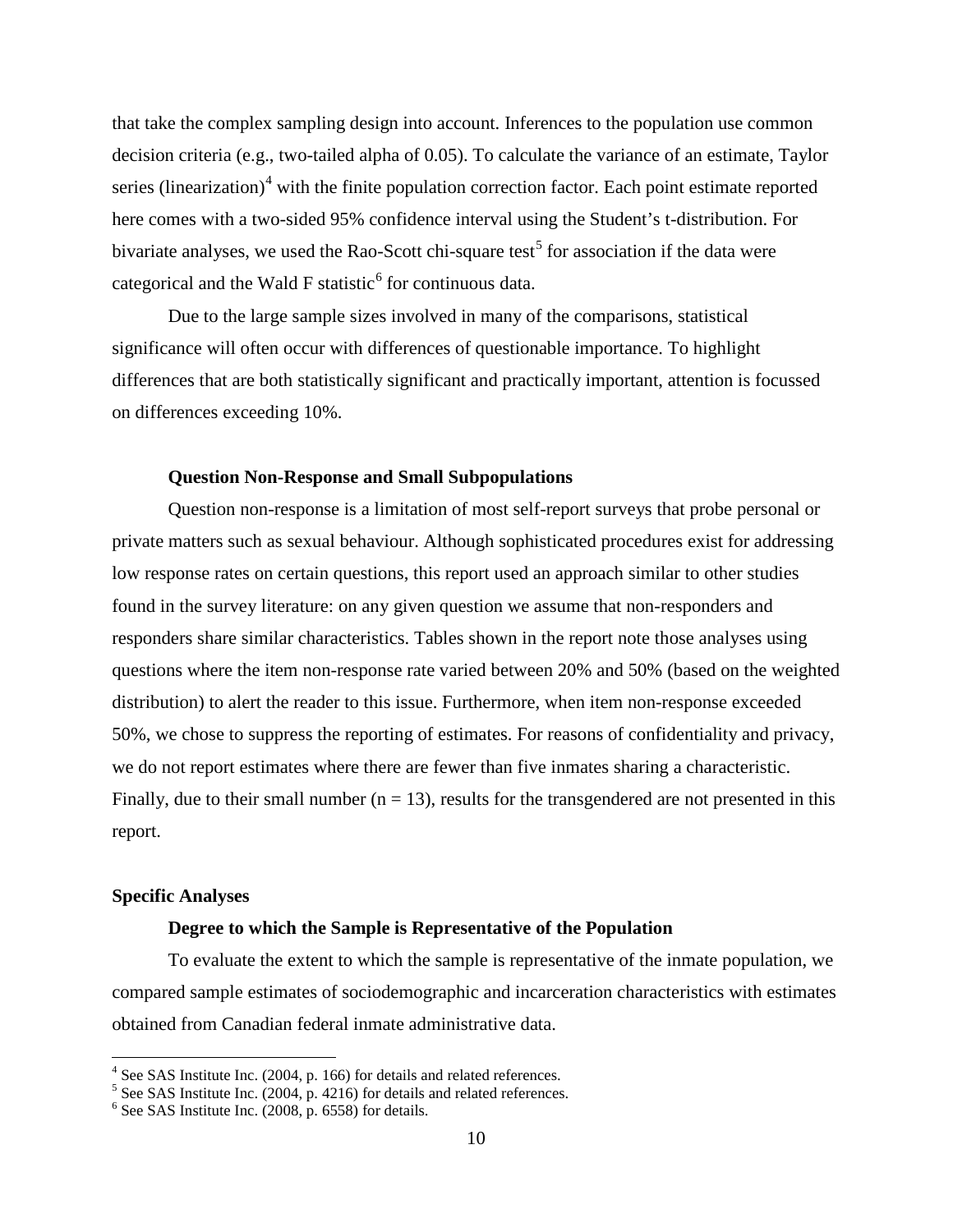that take the complex sampling design into account. Inferences to the population use common decision criteria (e.g., two-tailed alpha of 0.05). To calculate the variance of an estimate, Taylor series (linearization)<sup>[4](#page-25-3)</sup> with the finite population correction factor. Each point estimate reported here comes with a two-sided 95% confidence interval using the Student's t-distribution. For bivariate analyses, we used the Rao-Scott chi-square test<sup>[5](#page-25-4)</sup> for association if the data were categorical and the Wald F statistic<sup>[6](#page-25-5)</sup> for continuous data.

Due to the large sample sizes involved in many of the comparisons, statistical significance will often occur with differences of questionable importance. To highlight differences that are both statistically significant and practically important, attention is focussed on differences exceeding 10%.

#### **Question Non-Response and Small Subpopulations**

<span id="page-25-0"></span>Question non-response is a limitation of most self-report surveys that probe personal or private matters such as sexual behaviour. Although sophisticated procedures exist for addressing low response rates on certain questions, this report used an approach similar to other studies found in the survey literature: on any given question we assume that non-responders and responders share similar characteristics. Tables shown in the report note those analyses using questions where the item non-response rate varied between 20% and 50% (based on the weighted distribution) to alert the reader to this issue. Furthermore, when item non-response exceeded 50%, we chose to suppress the reporting of estimates. For reasons of confidentiality and privacy, we do not report estimates where there are fewer than five inmates sharing a characteristic. Finally, due to their small number  $(n = 13)$ , results for the transgendered are not presented in this report.

## <span id="page-25-2"></span><span id="page-25-1"></span>**Specific Analyses**

## **Degree to which the Sample is Representative of the Population**

To evaluate the extent to which the sample is representative of the inmate population, we compared sample estimates of sociodemographic and incarceration characteristics with estimates obtained from Canadian federal inmate administrative data.

<sup>&</sup>lt;sup>4</sup> See SAS Institute Inc. (2004, p. 166) for details and related references.

<span id="page-25-4"></span><span id="page-25-3"></span> $<sup>5</sup>$  See SAS Institute Inc. (2004, p. 4216) for details and related references.</sup>

<span id="page-25-5"></span><sup>6</sup> See SAS Institute Inc. (2008, p. 6558) for details.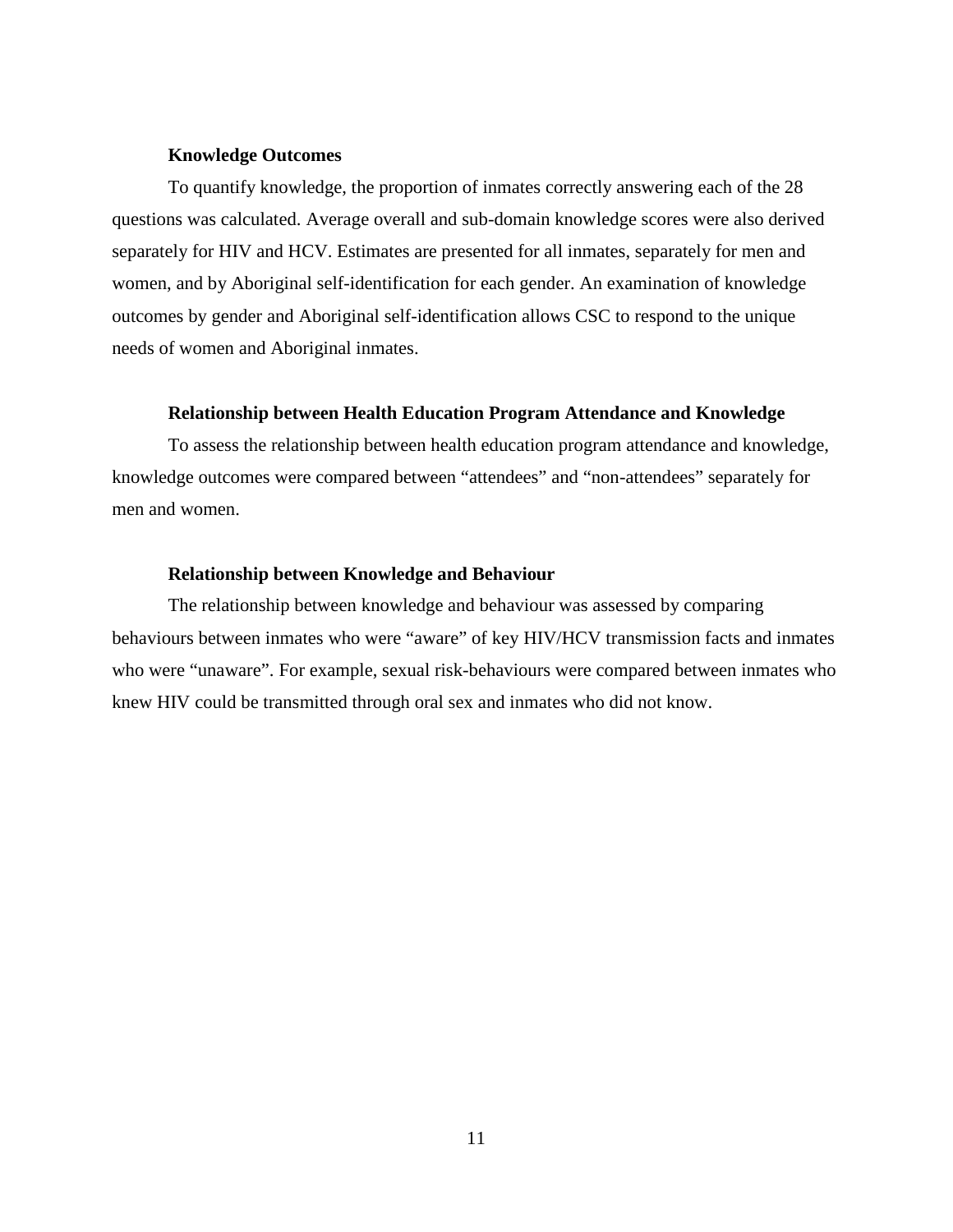## **Knowledge Outcomes**

<span id="page-26-0"></span>To quantify knowledge, the proportion of inmates correctly answering each of the 28 questions was calculated. Average overall and sub-domain knowledge scores were also derived separately for HIV and HCV. Estimates are presented for all inmates, separately for men and women, and by Aboriginal self-identification for each gender. An examination of knowledge outcomes by gender and Aboriginal self-identification allows CSC to respond to the unique needs of women and Aboriginal inmates.

## **Relationship between Health Education Program Attendance and Knowledge**

<span id="page-26-1"></span>To assess the relationship between health education program attendance and knowledge, knowledge outcomes were compared between "attendees" and "non-attendees" separately for men and women.

## **Relationship between Knowledge and Behaviour**

<span id="page-26-2"></span>The relationship between knowledge and behaviour was assessed by comparing behaviours between inmates who were "aware" of key HIV/HCV transmission facts and inmates who were "unaware". For example, sexual risk-behaviours were compared between inmates who knew HIV could be transmitted through oral sex and inmates who did not know.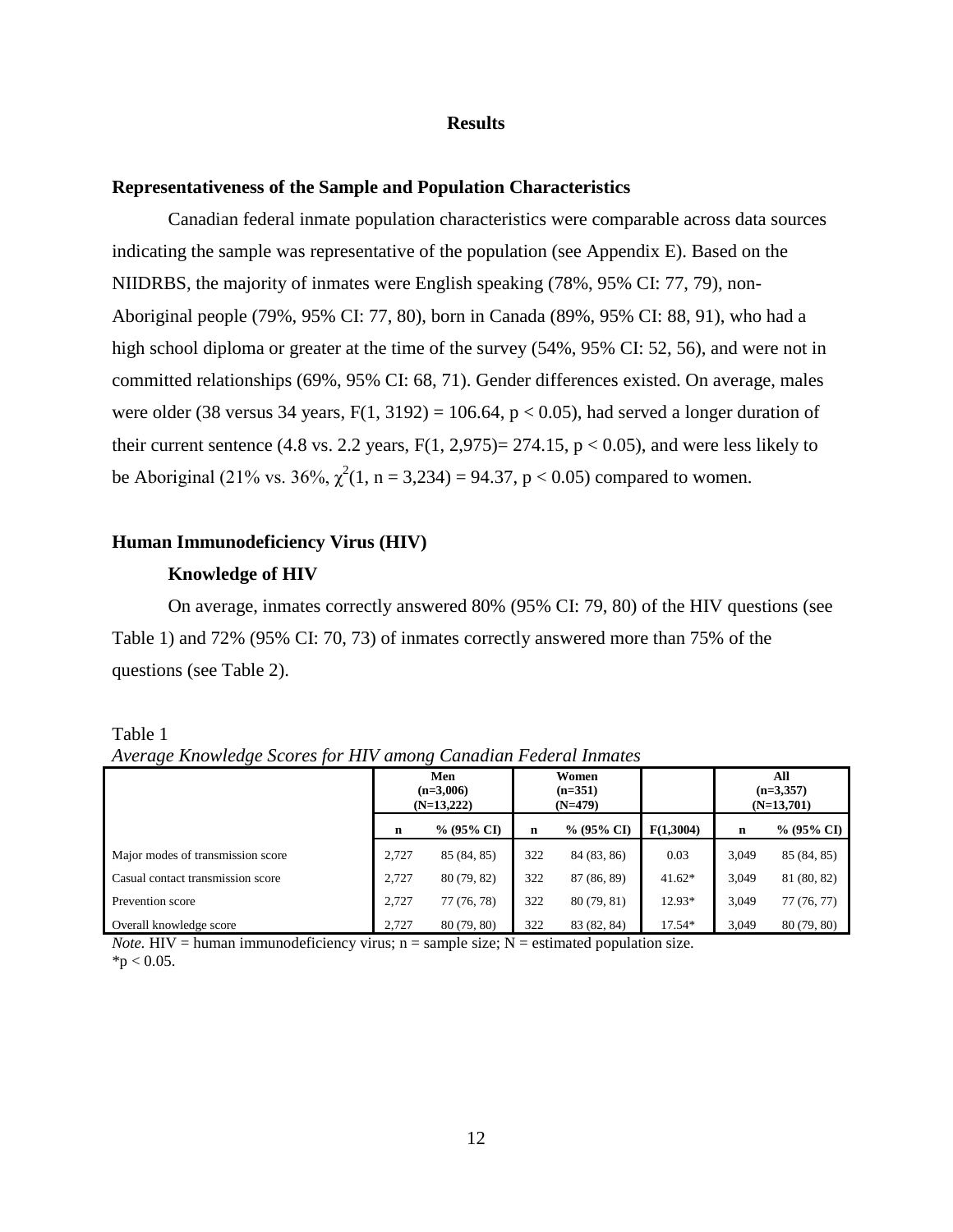#### **Results**

## <span id="page-27-1"></span><span id="page-27-0"></span>**Representativeness of the Sample and Population Characteristics**

Canadian federal inmate population characteristics were comparable across data sources indicating the sample was representative of the population (see Appendix E). Based on the NIIDRBS, the majority of inmates were English speaking (78%, 95% CI: 77, 79), non-Aboriginal people (79%, 95% CI: 77, 80), born in Canada (89%, 95% CI: 88, 91), who had a high school diploma or greater at the time of the survey (54%, 95% CI: 52, 56), and were not in committed relationships (69%, 95% CI: 68, 71). Gender differences existed. On average, males were older (38 versus 34 years,  $F(1, 3192) = 106.64$ ,  $p < 0.05$ ), had served a longer duration of their current sentence (4.8 vs. 2.2 years,  $F(1, 2,975) = 274.15$ ,  $p < 0.05$ ), and were less likely to be Aboriginal (21% vs. 36%,  $\chi^2(1, n = 3,234) = 94.37$ , p < 0.05) compared to women.

## <span id="page-27-3"></span><span id="page-27-2"></span>**Human Immunodeficiency Virus (HIV)**

#### **Knowledge of HIV**

On average, inmates correctly answered 80% (95% CI: 79, 80) of the HIV questions (see Table 1) and 72% (95% CI: 70, 73) of inmates correctly answered more than 75% of the questions (see Table 2).

<span id="page-27-4"></span>

| `able |  |
|-------|--|
|-------|--|

| $\tilde{}$<br>$\tilde{}$          |       | $\tilde{}$                         |     |                                 |           |                                    |               |  |
|-----------------------------------|-------|------------------------------------|-----|---------------------------------|-----------|------------------------------------|---------------|--|
|                                   |       | Men<br>$(n=3,006)$<br>$(N=13,222)$ |     | Women<br>$(n=351)$<br>$(N=479)$ |           | All<br>$(n=3,357)$<br>$(N=13,701)$ |               |  |
|                                   | n     | $% (95\% CI)$                      | n   | $% (95\% CI)$                   | F(1,3004) | n                                  | $\%$ (95% CI) |  |
| Major modes of transmission score | 2,727 | 85 (84, 85)                        | 322 | 84 (83, 86)                     | 0.03      | 3.049                              | 85 (84, 85)   |  |
| Casual contact transmission score | 2,727 | 80(79, 82)                         | 322 | 87 (86, 89)                     | $41.62*$  | 3.049                              | 81 (80, 82)   |  |
| Prevention score                  | 2.727 | 77 (76, 78)                        | 322 | 80 (79, 81)                     | 12.93*    | 3.049                              | 77(76, 77)    |  |
| Overall knowledge score           | 2.727 | 80(79, 80)                         | 322 | 83 (82, 84)                     | $17.54*$  | 3.049                              | 80(79, 80)    |  |

*Average Knowledge Scores for HIV among Canadian Federal Inmates*

*Note.* HIV = human immunodeficiency virus;  $n =$  sample size;  $N =$  estimated population size.  $*_{p}$  < 0.05.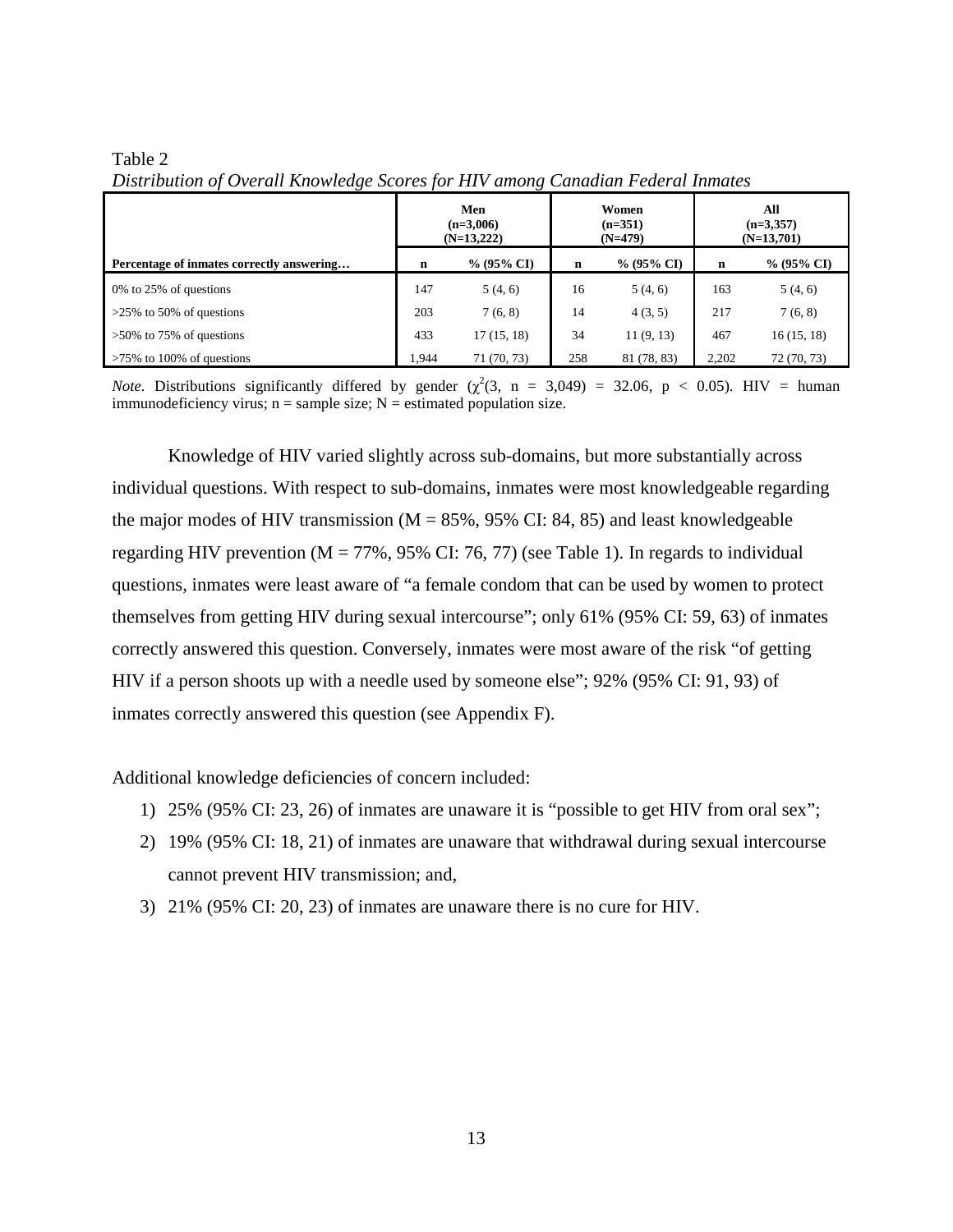|                                           |       | Men<br>$(n=3,006)$<br>$(N=13,222)$ |     | Women<br>$(n=351)$<br>$(N=479)$ |       | All<br>$(n=3,357)$<br>$(N=13,701)$ |
|-------------------------------------------|-------|------------------------------------|-----|---------------------------------|-------|------------------------------------|
| Percentage of inmates correctly answering | n     | $\%$ (95% CI)                      | n   | $% (95\% CI)$                   | n     | $% (95\% CI)$                      |
| $0\%$ to 25% of questions                 | 147   | 5(4,6)                             | 16  | 5(4, 6)                         | 163   | 5(4,6)                             |
| $>25\%$ to 50% of questions               | 203   | 7(6, 8)                            | 14  | 4(3, 5)                         | 217   | 7(6, 8)                            |
| $>50\%$ to 75% of questions               | 433   | 17(15, 18)                         | 34  | 11(9, 13)                       | 467   | 16(15, 18)                         |
| $>75\%$ to 100% of questions              | 1.944 | 71 (70, 73)                        | 258 | 81 (78, 83)                     | 2,202 | 72(70, 73)                         |

<span id="page-28-0"></span>Table 2 *Distribution of Overall Knowledge Scores for HIV among Canadian Federal Inmates*

*Note.* Distributions significantly differed by gender  $(\chi^2(3, n = 3,049) = 32.06, p < 0.05)$ . HIV = human immunodeficiency virus;  $n =$  sample size;  $N =$  estimated population size.

Knowledge of HIV varied slightly across sub-domains, but more substantially across individual questions. With respect to sub-domains, inmates were most knowledgeable regarding the major modes of HIV transmission ( $M = 85\%$ , 95% CI: 84, 85) and least knowledgeable regarding HIV prevention ( $M = 77\%$ , 95% CI: 76, 77) (see Table 1). In regards to individual questions, inmates were least aware of "a female condom that can be used by women to protect themselves from getting HIV during sexual intercourse"; only 61% (95% CI: 59, 63) of inmates correctly answered this question. Conversely, inmates were most aware of the risk "of getting HIV if a person shoots up with a needle used by someone else"; 92% (95% CI: 91, 93) of inmates correctly answered this question (see Appendix F).

Additional knowledge deficiencies of concern included:

- 1) 25% (95% CI: 23, 26) of inmates are unaware it is "possible to get HIV from oral sex";
- 2) 19% (95% CI: 18, 21) of inmates are unaware that withdrawal during sexual intercourse cannot prevent HIV transmission; and,
- 3) 21% (95% CI: 20, 23) of inmates are unaware there is no cure for HIV.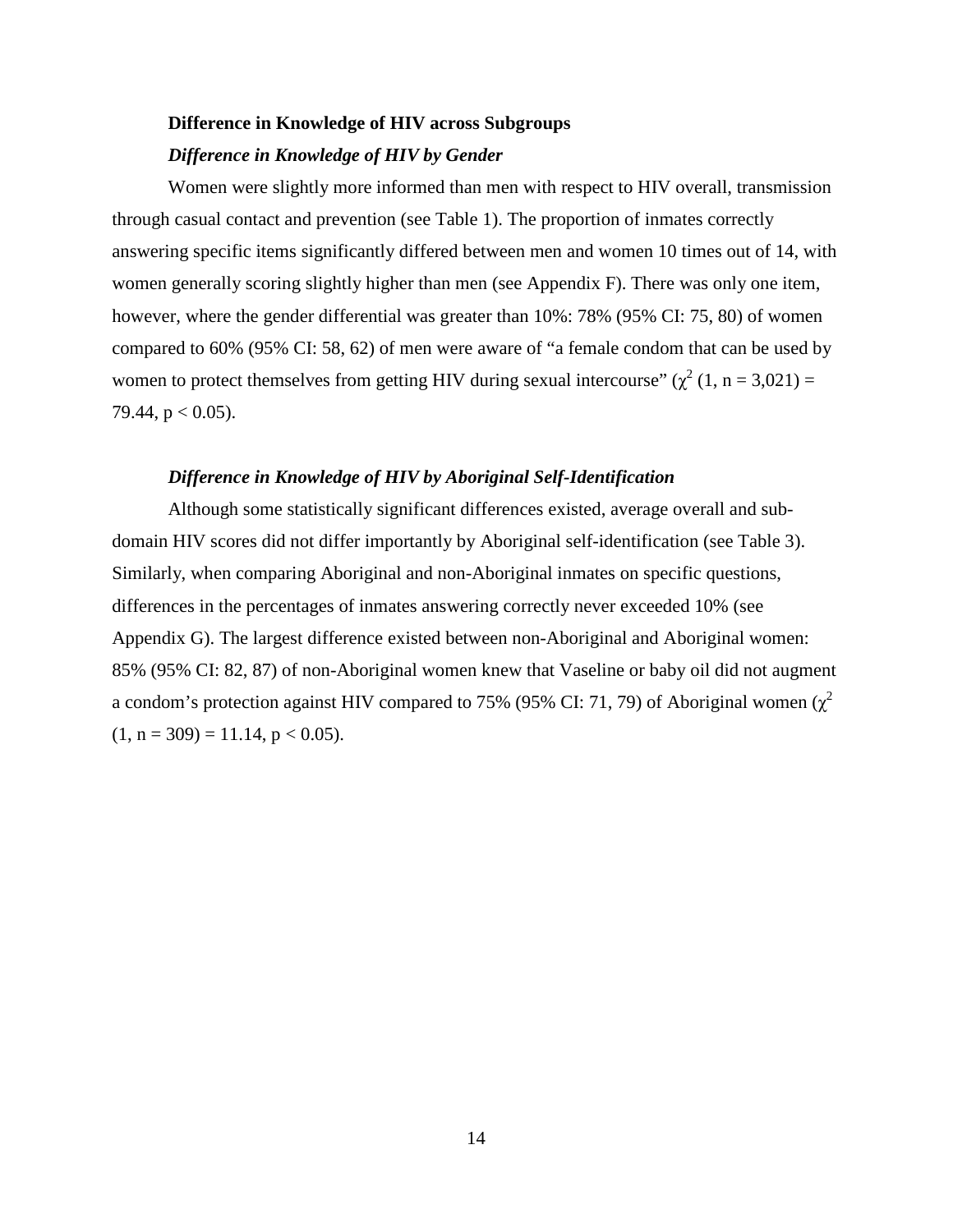# <span id="page-29-0"></span>**Difference in Knowledge of HIV across Subgroups** *Difference in Knowledge of HIV by Gender*

<span id="page-29-1"></span>Women were slightly more informed than men with respect to HIV overall, transmission through casual contact and prevention (see Table 1). The proportion of inmates correctly answering specific items significantly differed between men and women 10 times out of 14, with women generally scoring slightly higher than men (see Appendix F). There was only one item, however, where the gender differential was greater than 10%: 78% (95% CI: 75, 80) of women compared to 60% (95% CI: 58, 62) of men were aware of "a female condom that can be used by women to protect themselves from getting HIV during sexual intercourse"  $\left(\chi^2(1, n=3,021)\right)$  = 79.44,  $p < 0.05$ ).

## *Difference in Knowledge of HIV by Aboriginal Self-Identification*

<span id="page-29-2"></span>Although some statistically significant differences existed, average overall and subdomain HIV scores did not differ importantly by Aboriginal self-identification (see Table 3). Similarly, when comparing Aboriginal and non-Aboriginal inmates on specific questions, differences in the percentages of inmates answering correctly never exceeded 10% (see Appendix G). The largest difference existed between non-Aboriginal and Aboriginal women: 85% (95% CI: 82, 87) of non-Aboriginal women knew that Vaseline or baby oil did not augment a condom's protection against HIV compared to 75% (95% CI: 71, 79) of Aboriginal women ( $\chi^2$  $(1, n = 309) = 11.14, p < 0.05)$ .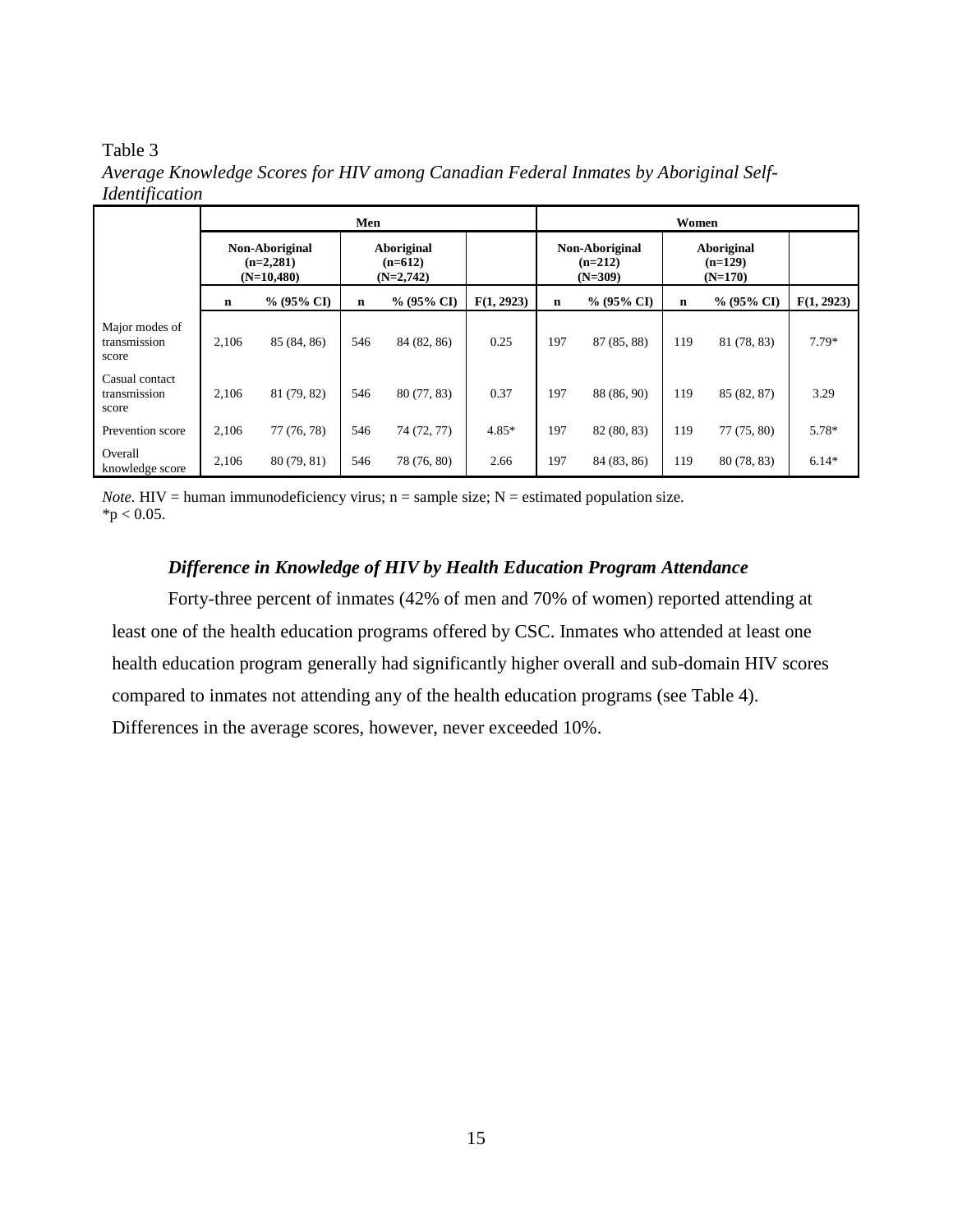## <span id="page-30-1"></span>Table 3

Major modes of transmission score

Casual contact transmission score

Overall<br>knowledge score

*Identification* **Men Women Non-Aboriginal (n=2,281) (N=10,480) Aboriginal (n=612) (N=2,742) Non-Aboriginal (n=212) (N=309) Aboriginal (n=129) (N=170)**

**n % (95% CI) n % (95% CI) F(1, 2923) n % (95% CI) n % (95% CI) F(1, 2923)**

2,106 85 (84, 86) 546 84 (82, 86) 0.25 197 87 (85, 88) 119 81 (78, 83) 7.79\*

2,106 81 (79, 82) 546 80 (77, 83) 0.37 197 88 (86, 90) 119 85 (82, 87) 3.29

|                       | Average Knowledge Scores for HIV among Canadian Federal Inmates by Aboriginal Self- |  |  |  |  |  |
|-----------------------|-------------------------------------------------------------------------------------|--|--|--|--|--|
| <i>Identification</i> |                                                                                     |  |  |  |  |  |

*Note.* HIV = human immunodeficiency virus;  $n =$  sample size;  $N =$  estimated population size.  $*$ p < 0.05.

## *Difference in Knowledge of HIV by Health Education Program Attendance*

Prevention score 2,106 77 (76, 78) 546 74 (72, 77) 4.85\* 197 82 (80, 83) 119 77 (75, 80) 5.78\*

knowledge score 2,106 80 (79, 81) 546 78 (76, 80) 2.66 197 84 (83, 86) 119 80 (78, 83) 6.14\*

<span id="page-30-0"></span>Forty-three percent of inmates (42% of men and 70% of women) reported attending at least one of the health education programs offered by CSC. Inmates who attended at least one health education program generally had significantly higher overall and sub-domain HIV scores compared to inmates not attending any of the health education programs (see Table 4). Differences in the average scores, however, never exceeded 10%.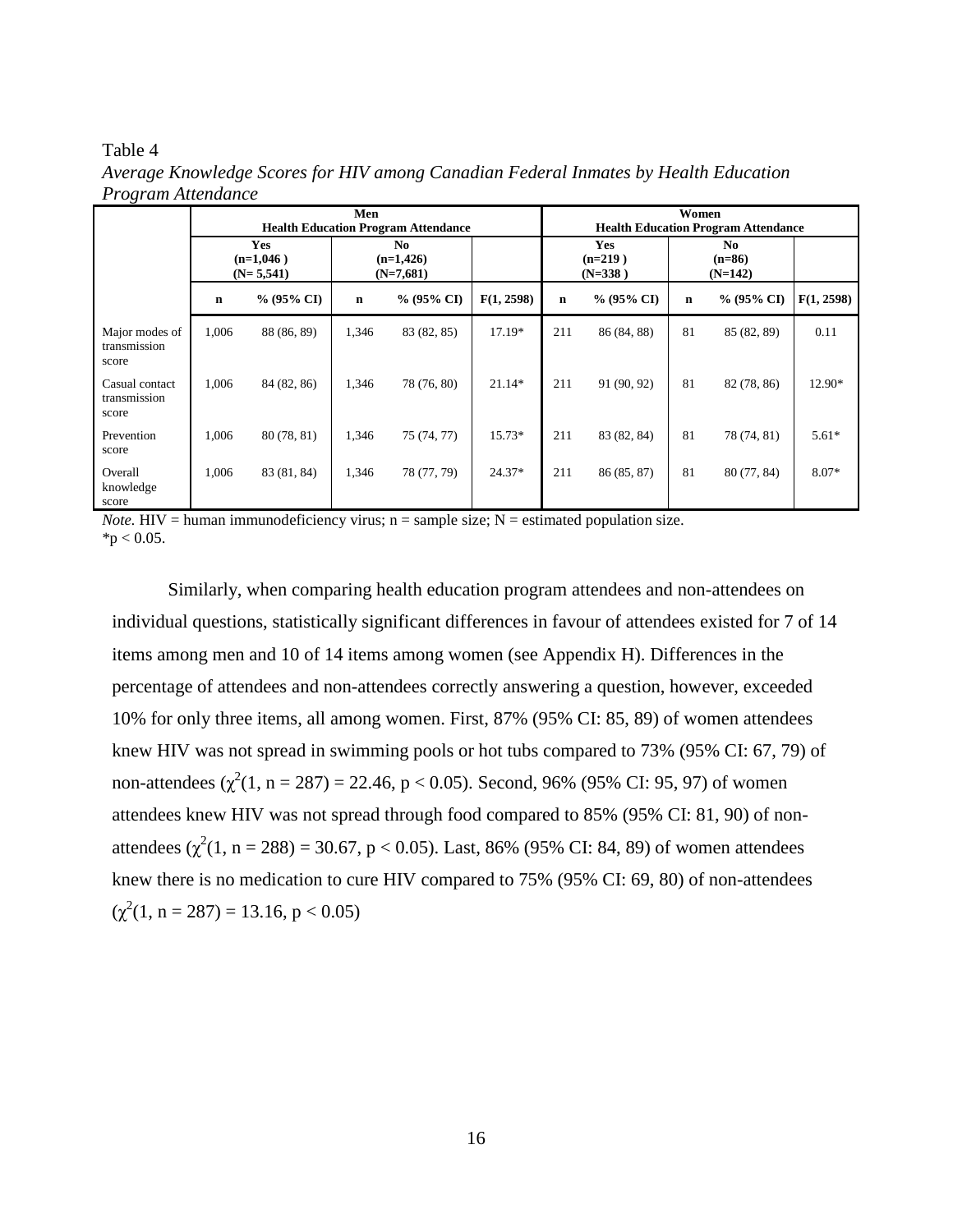#### <span id="page-31-0"></span>Table 4

|                                         |                                          |               | Men                              | <b>Health Education Program Attendance</b> | Women<br><b>Health Education Program Attendance</b> |             |               |             |                               |            |                                         |  |
|-----------------------------------------|------------------------------------------|---------------|----------------------------------|--------------------------------------------|-----------------------------------------------------|-------------|---------------|-------------|-------------------------------|------------|-----------------------------------------|--|
|                                         | <b>Yes</b><br>$(n=1,046)$<br>$(N=5,541)$ |               | No<br>$(n=1,426)$<br>$(N=7,681)$ |                                            |                                                     |             |               |             | Yes<br>$(n=219)$<br>$(N=338)$ |            | N <sub>0</sub><br>$(n=86)$<br>$(N=142)$ |  |
|                                         | $\mathbf n$                              | $\%$ (95% CI) | $\mathbf n$                      | $% (95\% CI)$                              | F(1, 2598)                                          | $\mathbf n$ | $\%$ (95% CI) | $\mathbf n$ | $% (95\% CI)$                 | F(1, 2598) |                                         |  |
| Major modes of<br>transmission<br>score | 1,006                                    | 88 (86, 89)   | 1,346                            | 83 (82, 85)                                | $17.19*$                                            | 211         | 86 (84, 88)   | 81          | 85 (82, 89)                   | 0.11       |                                         |  |
| Casual contact<br>transmission<br>score | 1,006                                    | 84 (82, 86)   | 1,346                            | 78 (76, 80)                                | $21.14*$                                            | 211         | 91 (90, 92)   | 81          | 82 (78, 86)                   | 12.90*     |                                         |  |
| Prevention<br>score                     | 1,006                                    | 80 (78, 81)   | 1,346                            | 75 (74, 77)                                | $15.73*$                                            | 211         | 83 (82, 84)   | 81          | 78 (74, 81)                   | $5.61*$    |                                         |  |
| Overall<br>knowledge<br>score           | 1,006                                    | 83 (81, 84)   | 1,346                            | 78 (77, 79)                                | 24.37*                                              | 211         | 86 (85, 87)   | 81          | 80 (77, 84)                   | $8.07*$    |                                         |  |

*Average Knowledge Scores for HIV among Canadian Federal Inmates by Health Education Program Attendance*

*Note.* HIV = human immunodeficiency virus;  $n =$  sample size;  $N =$  estimated population size.  $*_{p}$  < 0.05.

Similarly, when comparing health education program attendees and non-attendees on individual questions, statistically significant differences in favour of attendees existed for 7 of 14 items among men and 10 of 14 items among women (see Appendix H). Differences in the percentage of attendees and non-attendees correctly answering a question, however, exceeded 10% for only three items, all among women. First, 87% (95% CI: 85, 89) of women attendees knew HIV was not spread in swimming pools or hot tubs compared to 73% (95% CI: 67, 79) of non-attendees  $(\chi^2(1, n = 287) = 22.46, p < 0.05)$ . Second, 96% (95% CI: 95, 97) of women attendees knew HIV was not spread through food compared to 85% (95% CI: 81, 90) of nonattendees  $(\chi^2(1, n = 288) = 30.67, p < 0.05)$ . Last, 86% (95% CI: 84, 89) of women attendees knew there is no medication to cure HIV compared to 75% (95% CI: 69, 80) of non-attendees  $(\chi^2(1, n = 287) = 13.16, p < 0.05)$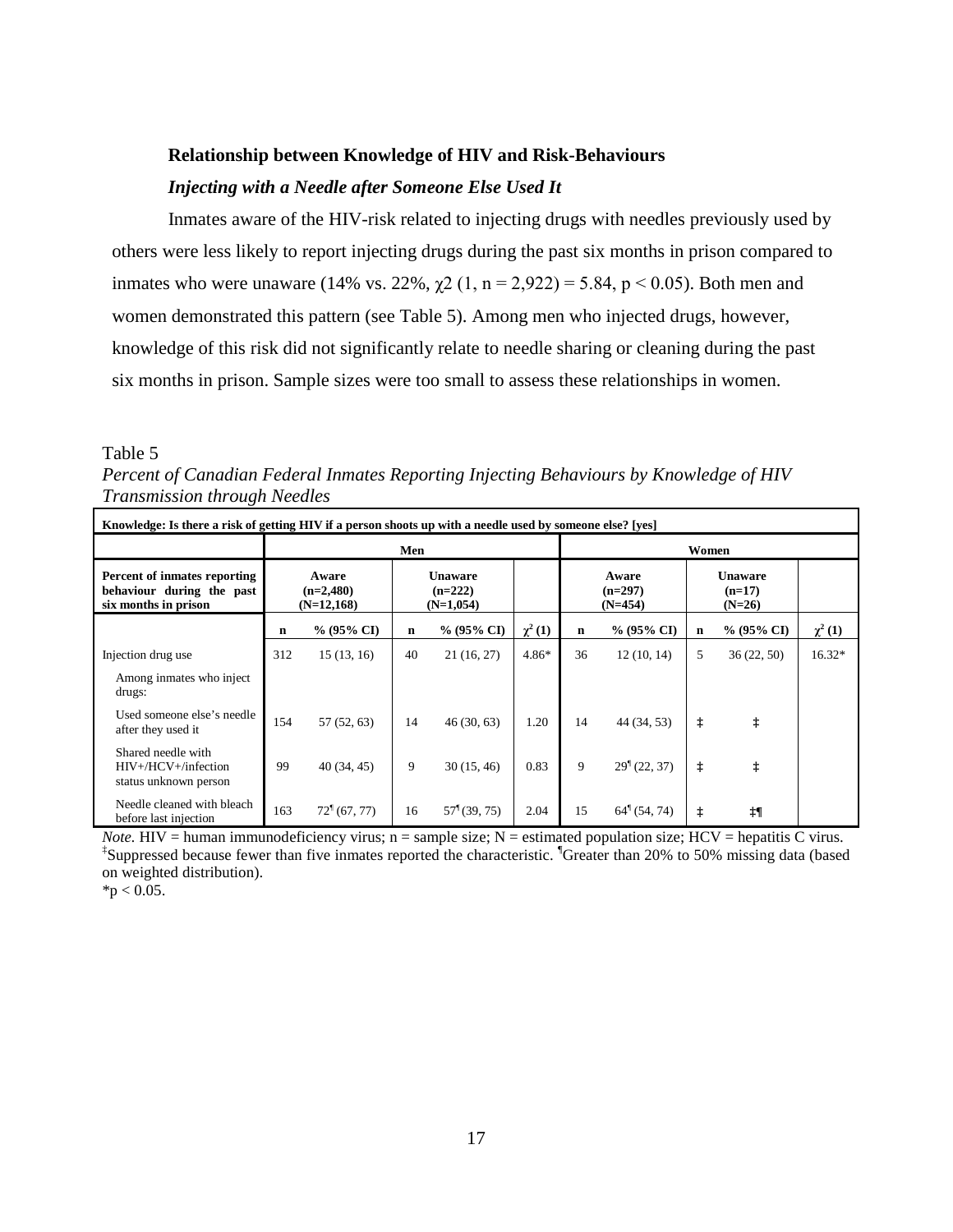## <span id="page-32-0"></span>**Relationship between Knowledge of HIV and Risk-Behaviours**

## *Injecting with a Needle after Someone Else Used It*

<span id="page-32-1"></span>Inmates aware of the HIV-risk related to injecting drugs with needles previously used by others were less likely to report injecting drugs during the past six months in prison compared to inmates who were unaware (14% vs. 22%,  $\chi$ 2 (1, n = 2,922) = 5.84, p < 0.05). Both men and women demonstrated this pattern (see Table 5). Among men who injected drugs, however, knowledge of this risk did not significantly relate to needle sharing or cleaning during the past six months in prison. Sample sizes were too small to assess these relationships in women.

#### <span id="page-32-2"></span>Table 5

*Percent of Canadian Federal Inmates Reporting Injecting Behaviours by Knowledge of HIV Transmission through Needles*

| Knowledge: Is there a risk of getting HIV if a person shoots up with a needle used by someone else? [yes] |             |                                      |             |                                            |              |                                 |                          |                                        |            |             |
|-----------------------------------------------------------------------------------------------------------|-------------|--------------------------------------|-------------|--------------------------------------------|--------------|---------------------------------|--------------------------|----------------------------------------|------------|-------------|
|                                                                                                           |             |                                      | Men         |                                            |              |                                 |                          | Women                                  |            |             |
| Percent of inmates reporting<br>behaviour during the past<br>six months in prison                         |             | Aware<br>$(n=2,480)$<br>$(N=12,168)$ |             | <b>Unaware</b><br>$(n=222)$<br>$(N=1,054)$ |              | Aware<br>$(n=297)$<br>$(N=454)$ |                          | <b>Unaware</b><br>$(n=17)$<br>$(N=26)$ |            |             |
|                                                                                                           | $\mathbf n$ | % (95% CI)                           | $\mathbf n$ | % (95% CI)                                 | $\chi^2$ (1) | n                               | $% (95\% CI)$            | $\mathbf n$                            | % (95% CI) | $\chi^2(1)$ |
| Injection drug use                                                                                        | 312         | 15(13, 16)                           | 40          | 21 (16, 27)                                | $4.86*$      | 36                              | 12(10, 14)               | 5                                      | 36(22, 50) | $16.32*$    |
| Among inmates who inject<br>drugs:                                                                        |             |                                      |             |                                            |              |                                 |                          |                                        |            |             |
| Used someone else's needle<br>after they used it                                                          | 154         | 57 (52, 63)                          | 14          | 46(30, 63)                                 | 1.20         | 14                              | 44 (34, 53)              | $\ddagger$                             | $\ddagger$ |             |
| Shared needle with<br>HIV+/HCV+/infection<br>status unknown person                                        | 99          | 40(34, 45)                           | 9           | 30(15, 46)                                 | 0.83         | 9                               | 29 <sup>1</sup> (22, 37) | $^\ddag$                               | $\ddagger$ |             |
| Needle cleaned with bleach<br>before last injection                                                       | 163         | $72^{\frac{1}{2}}(67, 77)$           | 16          | 57 <sup>1</sup> (39, 75)                   | 2.04         | 15                              | $64^{\dagger}$ (54, 74)  | İ                                      | ‡¶         |             |

*Note.* HIV = human immunodeficiency virus;  $n =$  sample size;  $N =$  estimated population size; HCV = hepatitis C virus. ‡ Suppressed because fewer than five inmates reported the characteristic. ¶ Greater than 20% to 50% missing data (based on weighted distribution).

 $*$ p < 0.05.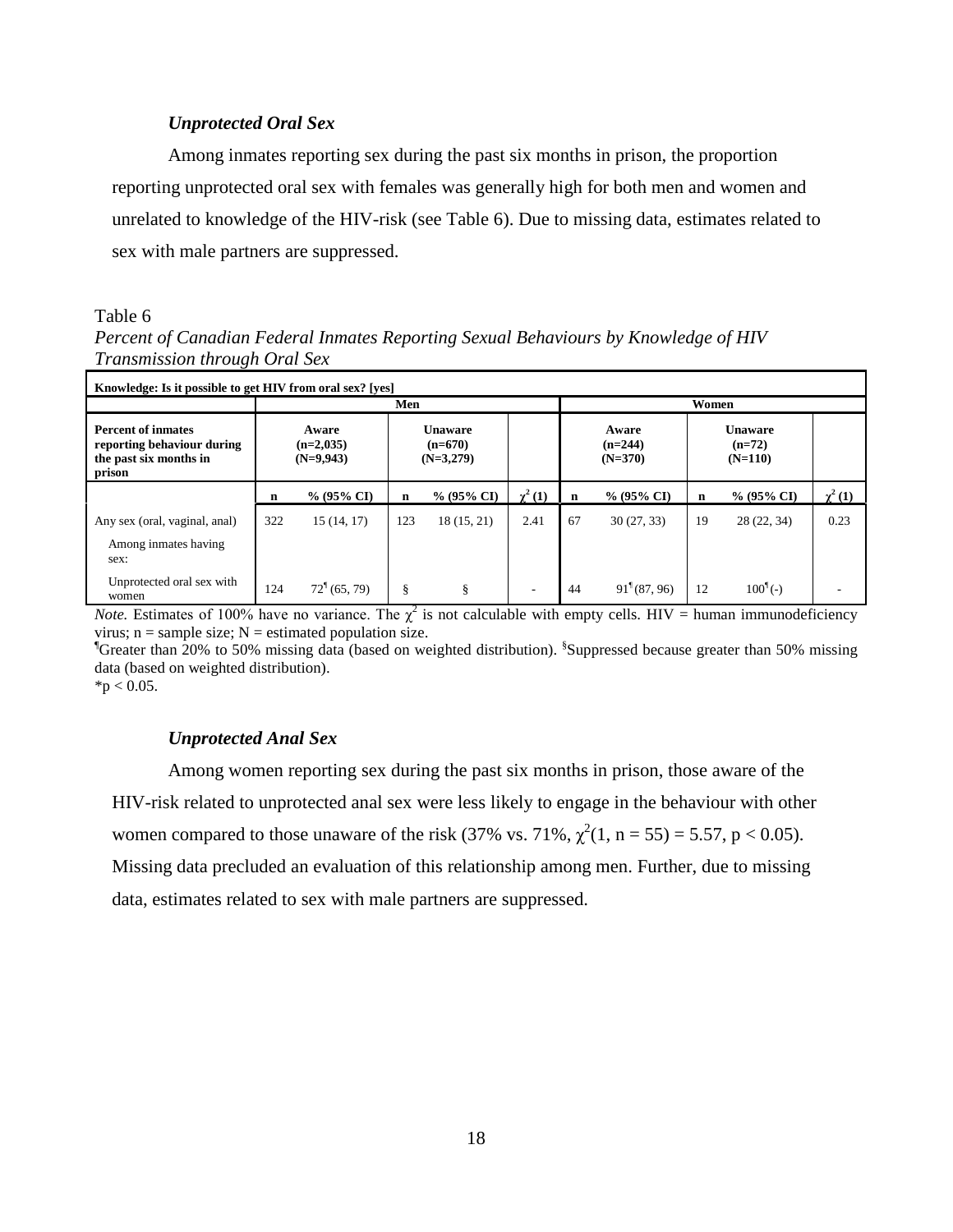## *Unprotected Oral Sex*

<span id="page-33-0"></span>Among inmates reporting sex during the past six months in prison, the proportion reporting unprotected oral sex with females was generally high for both men and women and unrelated to knowledge of the HIV-risk (see Table 6). Due to missing data, estimates related to sex with male partners are suppressed.

#### <span id="page-33-2"></span>Table 6

*Percent of Canadian Federal Inmates Reporting Sexual Behaviours by Knowledge of HIV Transmission through Oral Sex*

| Knowledge: Is it possible to get HIV from oral sex? [yes]                                   |     |                                     |             |                                            |                                                                            |    |                            |    |                         |             |
|---------------------------------------------------------------------------------------------|-----|-------------------------------------|-------------|--------------------------------------------|----------------------------------------------------------------------------|----|----------------------------|----|-------------------------|-------------|
|                                                                                             |     |                                     |             | Men<br>Women                               |                                                                            |    |                            |    |                         |             |
| <b>Percent of inmates</b><br>reporting behaviour during<br>the past six months in<br>prison |     | Aware<br>$(n=2,035)$<br>$(N=9,943)$ |             | <b>Unaware</b><br>$(n=670)$<br>$(N=3,279)$ | <b>Unaware</b><br>Aware<br>$(n=244)$<br>$(n=72)$<br>$(N=370)$<br>$(N=110)$ |    |                            |    |                         |             |
|                                                                                             | n   | $% (95\% CI)$                       | $\mathbf n$ | $% (95\% CI)$                              | $\chi^2(1)$                                                                | n  | $% (95\% CI)$              | n  | $% (95\% CI)$           | $\chi^2(1)$ |
| Any sex (oral, vaginal, anal)<br>Among inmates having<br>sex:                               | 322 | 15(14, 17)                          | 123         | 18(15, 21)                                 | 2.41                                                                       | 67 | 30(27, 33)                 | 19 | 28(22, 34)              | 0.23        |
| Unprotected oral sex with<br>women                                                          | 124 | $72^{\frac{1}{3}}(65, 79)$          | ş           | ş                                          |                                                                            | 44 | $91^{\frac{1}{1}}(87, 96)$ | 12 | $100^{\frac{1}{2}}$ (-) |             |

*Note.* Estimates of 100% have no variance. The  $\chi^2$  is not calculable with empty cells. HIV = human immunodeficiency virus;  $n =$  sample size;  $N =$  estimated population size.

<sup>1</sup>Greater than 20% to 50% missing data (based on weighted distribution). <sup>§</sup>Suppressed because greater than 50% missing data (based on weighted distribution).

 $*$ p < 0.05.

## *Unprotected Anal Sex*

<span id="page-33-1"></span>Among women reporting sex during the past six months in prison, those aware of the HIV-risk related to unprotected anal sex were less likely to engage in the behaviour with other women compared to those unaware of the risk (37% vs. 71%,  $\chi^2(1, n = 55) = 5.57$ , p < 0.05). Missing data precluded an evaluation of this relationship among men. Further, due to missing data, estimates related to sex with male partners are suppressed.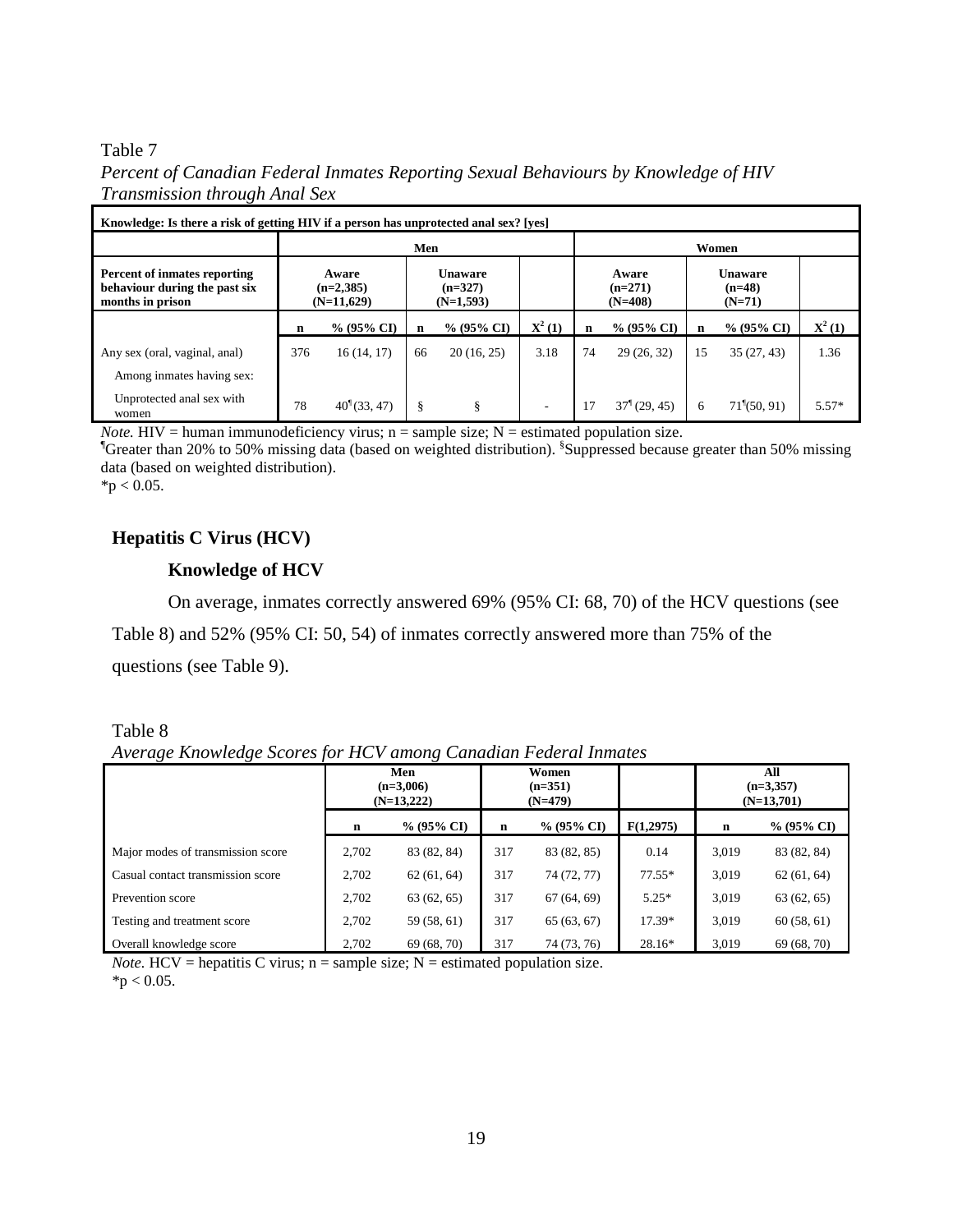## <span id="page-34-2"></span>Table 7

## *Percent of Canadian Federal Inmates Reporting Sexual Behaviours by Knowledge of HIV Transmission through Anal Sex*

| Knowledge: Is there a risk of getting HIV if a person has unprotected anal sex? [yes] |                                                                                    |                    |                    |            |                 |                                 |                       |                                        |                            |                    |  |
|---------------------------------------------------------------------------------------|------------------------------------------------------------------------------------|--------------------|--------------------|------------|-----------------|---------------------------------|-----------------------|----------------------------------------|----------------------------|--------------------|--|
|                                                                                       |                                                                                    |                    | Men                |            | Women           |                                 |                       |                                        |                            |                    |  |
| Percent of inmates reporting<br>behaviour during the past six<br>months in prison     | <b>Unaware</b><br>Aware<br>$(n=327)$<br>$(n=2,385)$<br>$(N=11,629)$<br>$(N=1,593)$ |                    |                    |            |                 | Aware<br>$(n=271)$<br>$(N=408)$ |                       | <b>Unaware</b><br>$(n=48)$<br>$(N=71)$ |                            |                    |  |
|                                                                                       | n                                                                                  | $% (95\% CI)$      | $% (95\% CI)$<br>n |            | ${\bf X}^2$ (1) | n                               | $% (95\% CI)$         | n                                      | $% (95\% CI)$              | $\mathbf{X}^2$ (1) |  |
| Any sex (oral, vaginal, anal)                                                         | 376                                                                                | 16(14, 17)         | 66                 | 20(16, 25) | 3.18            | 74                              | 29(26, 32)            | 15                                     | 35(27, 43)                 | 1.36               |  |
| Among inmates having sex:                                                             |                                                                                    |                    |                    |            |                 |                                 |                       |                                        |                            |                    |  |
| Unprotected anal sex with<br>women                                                    | 78                                                                                 | $40^{\{}$ (33, 47) | ş                  | ş          | ۰               | 17                              | $37^{\circ}$ (29, 45) | 6                                      | $71^{\frac{6}{3}}(50, 91)$ | $5.57*$            |  |

*Note.*  $HIV =$  human immunodeficiency virus;  $n =$  sample size;  $N =$  estimated population size.

<sup>1</sup>Greater than 20% to 50% missing data (based on weighted distribution). <sup>§</sup>Suppressed because greater than 50% missing data (based on weighted distribution).

 $*p < 0.05$ .

## <span id="page-34-1"></span><span id="page-34-0"></span>**Hepatitis C Virus (HCV)**

## **Knowledge of HCV**

On average, inmates correctly answered 69% (95% CI: 68, 70) of the HCV questions (see Table 8) and 52% (95% CI: 50, 54) of inmates correctly answered more than 75% of the questions (see Table 9).

## <span id="page-34-3"></span>Table 8

*Average Knowledge Scores for HCV among Canadian Federal Inmates*

|                                   | Men<br>$(n=3,006)$<br>$(N=13,222)$ |               |             | Women<br>$(n=351)$<br>$(N=479)$ |           |             | All<br>$(n=3,357)$<br>$(N=13,701)$ |
|-----------------------------------|------------------------------------|---------------|-------------|---------------------------------|-----------|-------------|------------------------------------|
|                                   | n                                  | $\%$ (95% CI) | $\mathbf n$ | $% (95\% CI)$                   | F(1,2975) | $\mathbf n$ | $% (95\% CI)$                      |
| Major modes of transmission score | 2.702                              | 83 (82, 84)   | 317         | 83 (82, 85)                     | 0.14      | 3.019       | 83 (82, 84)                        |
| Casual contact transmission score | 2.702                              | 62(61, 64)    | 317         | 74 (72, 77)                     | $77.55*$  | 3.019       | 62(61, 64)                         |
| Prevention score                  | 2.702                              | 63(62, 65)    | 317         | 67(64, 69)                      | $5.25*$   | 3,019       | 63(62, 65)                         |
| Testing and treatment score       | 2.702                              | 59 (58, 61)   | 317         | 65(63, 67)                      | 17.39*    | 3.019       | 60(58, 61)                         |
| Overall knowledge score           | 2.702                              | 69 (68, 70)   | 317         | 74 (73, 76)                     | $28.16*$  | 3,019       | 69 (68, 70)                        |

*Note.*  $HCV =$  hepatitis C virus;  $n =$  sample size;  $N =$  estimated population size.  $*$ p < 0.05.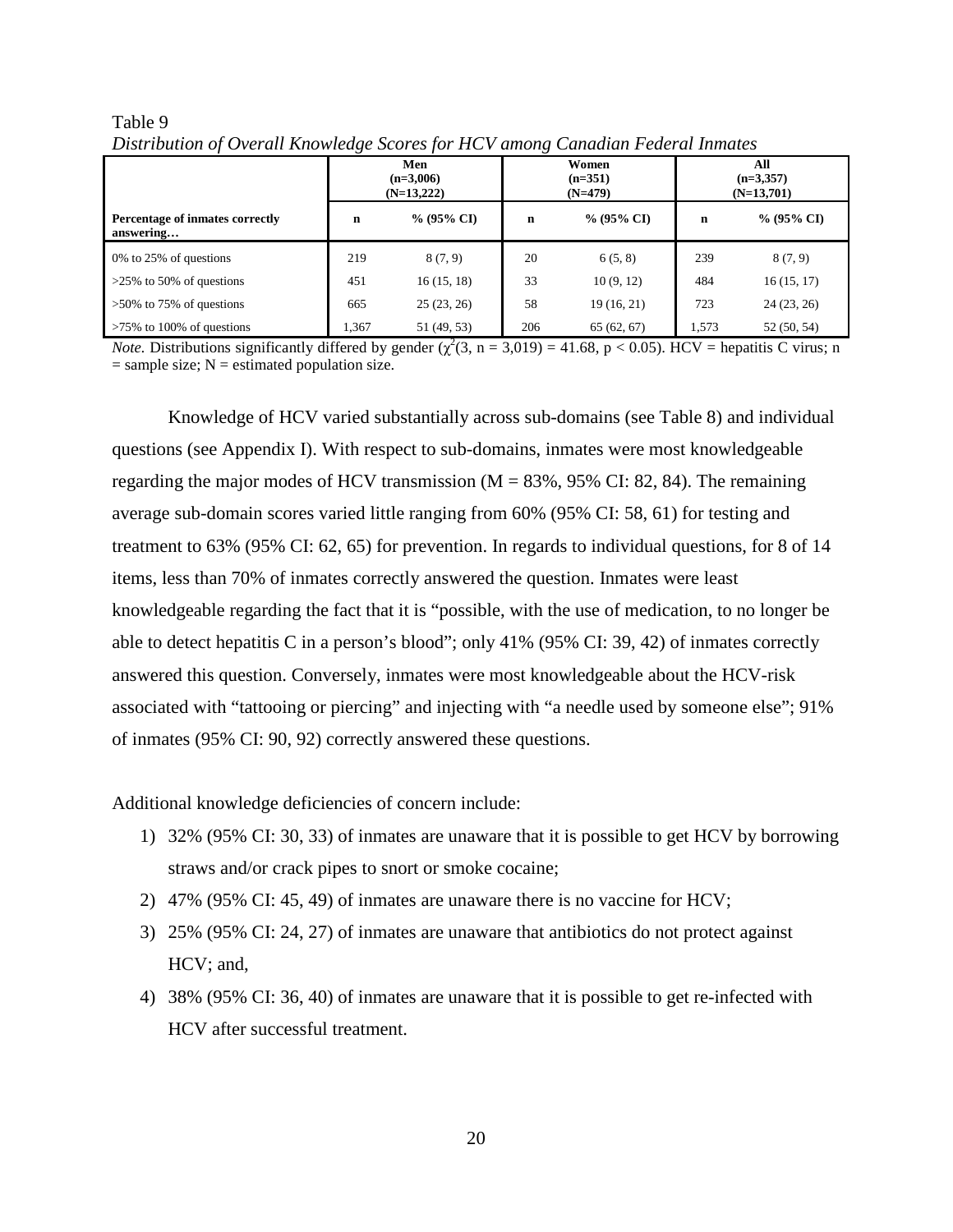|                                              |             | Men<br>$(n=3,006)$<br>$(N=13,222)$ |     | Women<br>$(n=351)$<br>$(N=479)$ | All<br>$(n=3,357)$<br>$(N=13,701)$ |               |
|----------------------------------------------|-------------|------------------------------------|-----|---------------------------------|------------------------------------|---------------|
| Percentage of inmates correctly<br>answering | $\mathbf n$ | $% (95\% CI)$                      | n   | $% (95\% CI)$                   | n                                  | $% (95\% CI)$ |
| $0\%$ to 25% of questions                    | 219         | 8(7, 9)                            | 20  | 6(5, 8)                         | 239                                | 8(7, 9)       |
| $>25\%$ to 50% of questions                  | 451         | 16(15, 18)                         | 33  | 10(9, 12)                       | 484                                | 16(15, 17)    |
| $>50\%$ to 75% of questions                  | 665         | 25(23, 26)                         | 58  | 19(16, 21)                      | 723                                | 24(23, 26)    |
| $>75\%$ to 100% of questions                 | 1,367       | 51 (49, 53)                        | 206 | 65(62, 67)                      | 1,573                              | 52(50, 54)    |

<span id="page-35-0"></span>Table 9 *Distribution of Overall Knowledge Scores for HCV among Canadian Federal Inmates*

*Note.* Distributions significantly differed by gender  $(\chi^2(3, n = 3,019) = 41.68, p < 0.05)$ . HCV = hepatitis C virus; n  $=$  sample size;  $N =$  estimated population size.

Knowledge of HCV varied substantially across sub-domains (see Table 8) and individual questions (see Appendix I). With respect to sub-domains, inmates were most knowledgeable regarding the major modes of HCV transmission ( $M = 83\%$ , 95% CI: 82, 84). The remaining average sub-domain scores varied little ranging from 60% (95% CI: 58, 61) for testing and treatment to 63% (95% CI: 62, 65) for prevention. In regards to individual questions, for 8 of 14 items, less than 70% of inmates correctly answered the question. Inmates were least knowledgeable regarding the fact that it is "possible, with the use of medication, to no longer be able to detect hepatitis C in a person's blood"; only 41% (95% CI: 39, 42) of inmates correctly answered this question. Conversely, inmates were most knowledgeable about the HCV-risk associated with "tattooing or piercing" and injecting with "a needle used by someone else"; 91% of inmates (95% CI: 90, 92) correctly answered these questions.

Additional knowledge deficiencies of concern include:

- 1) 32% (95% CI: 30, 33) of inmates are unaware that it is possible to get HCV by borrowing straws and/or crack pipes to snort or smoke cocaine;
- 2) 47% (95% CI: 45, 49) of inmates are unaware there is no vaccine for HCV;
- 3) 25% (95% CI: 24, 27) of inmates are unaware that antibiotics do not protect against HCV; and,
- 4) 38% (95% CI: 36, 40) of inmates are unaware that it is possible to get re-infected with HCV after successful treatment.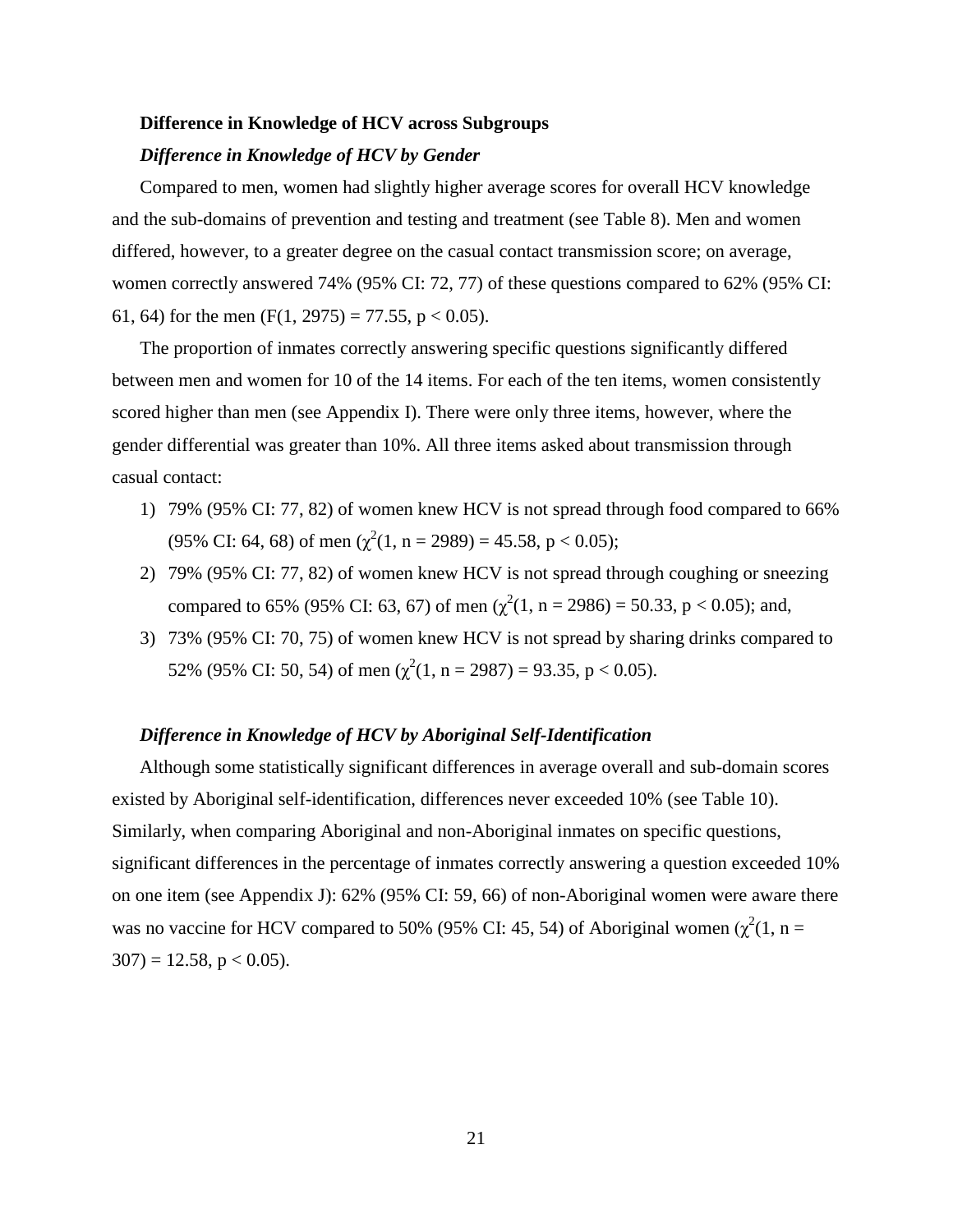## <span id="page-36-0"></span>**Difference in Knowledge of HCV across Subgroups**

## <span id="page-36-1"></span>*Difference in Knowledge of HCV by Gender*

Compared to men, women had slightly higher average scores for overall HCV knowledge and the sub-domains of prevention and testing and treatment (see Table 8). Men and women differed, however, to a greater degree on the casual contact transmission score; on average, women correctly answered 74% (95% CI: 72, 77) of these questions compared to 62% (95% CI: 61, 64) for the men  $(F(1, 2975) = 77.55, p < 0.05)$ .

The proportion of inmates correctly answering specific questions significantly differed between men and women for 10 of the 14 items. For each of the ten items, women consistently scored higher than men (see Appendix I). There were only three items, however, where the gender differential was greater than 10%. All three items asked about transmission through casual contact:

- 1) 79% (95% CI: 77, 82) of women knew HCV is not spread through food compared to 66% (95% CI: 64, 68) of men  $(\chi^2(1, n = 2989) = 45.58, p < 0.05)$ ;
- 2) 79% (95% CI: 77, 82) of women knew HCV is not spread through coughing or sneezing compared to 65% (95% CI: 63, 67) of men ( $\chi^2(1, n = 2986) = 50.33$ , p < 0.05); and,
- 3) 73% (95% CI: 70, 75) of women knew HCV is not spread by sharing drinks compared to 52% (95% CI: 50, 54) of men  $(\chi^2(1, n = 2987) = 93.35, p < 0.05)$ .

## <span id="page-36-2"></span>*Difference in Knowledge of HCV by Aboriginal Self-Identification*

Although some statistically significant differences in average overall and sub-domain scores existed by Aboriginal self-identification, differences never exceeded 10% (see Table 10). Similarly, when comparing Aboriginal and non-Aboriginal inmates on specific questions, significant differences in the percentage of inmates correctly answering a question exceeded 10% on one item (see Appendix J): 62% (95% CI: 59, 66) of non-Aboriginal women were aware there was no vaccine for HCV compared to 50% (95% CI: 45, 54) of Aboriginal women ( $\chi^2(1, n =$  $307$ ) = 12.58, p < 0.05).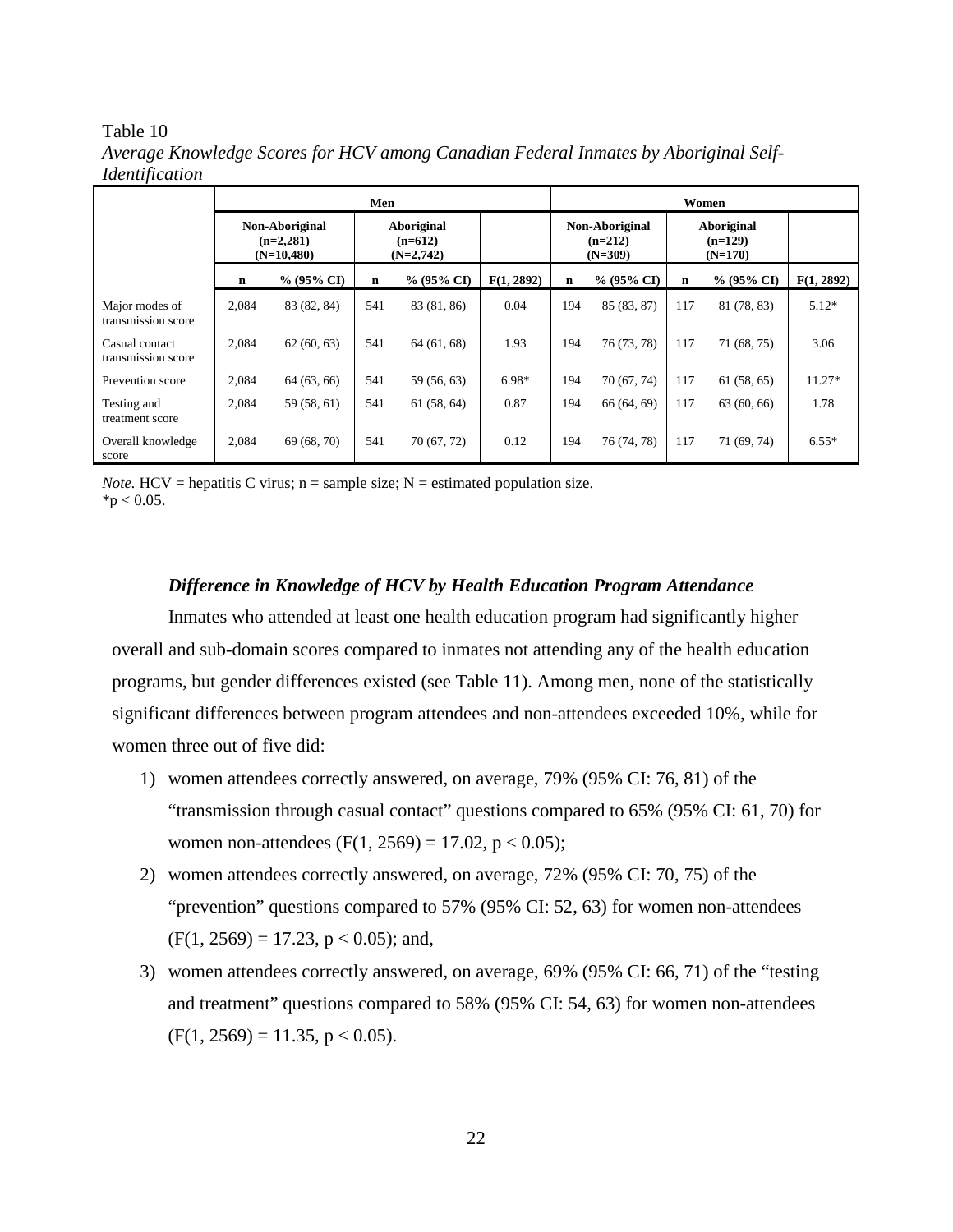#### <span id="page-37-1"></span>Table 10

|                                      |                                               |               | Men                                    |               |            |             |                                          |             | Women                                |            |
|--------------------------------------|-----------------------------------------------|---------------|----------------------------------------|---------------|------------|-------------|------------------------------------------|-------------|--------------------------------------|------------|
|                                      | Non-Aboriginal<br>$(n=2,281)$<br>$(N=10,480)$ |               | Aboriginal<br>$(n=612)$<br>$(N=2,742)$ |               |            |             | Non-Aboriginal<br>$(n=212)$<br>$(N=309)$ |             | Aboriginal<br>$(n=129)$<br>$(N=170)$ |            |
|                                      | n                                             | $% (95\% CI)$ | $\mathbf n$                            | $% (95\% CI)$ | F(1, 2892) | $\mathbf n$ | $% (95\% CI)$                            | $\mathbf n$ | $% (95\% CI)$                        | F(1, 2892) |
| Major modes of<br>transmission score | 2,084                                         | 83 (82, 84)   | 541                                    | 83 (81, 86)   | 0.04       | 194         | 85 (83, 87)                              | 117         | 81 (78, 83)                          | $5.12*$    |
| Casual contact<br>transmission score | 2,084                                         | 62(60, 63)    | 541                                    | 64(61, 68)    | 1.93       | 194         | 76 (73, 78)                              | 117         | 71 (68, 75)                          | 3.06       |
| Prevention score                     | 2,084                                         | 64 (63, 66)   | 541                                    | 59 (56, 63)   | 6.98*      | 194         | 70 (67, 74)                              | 117         | 61(58, 65)                           | $11.27*$   |
| Testing and<br>treatment score       | 2,084                                         | 59 (58, 61)   | 541                                    | 61(58, 64)    | 0.87       | 194         | 66 (64, 69)                              | 117         | 63(60, 66)                           | 1.78       |
| Overall knowledge<br>score           | 2,084                                         | 69 (68, 70)   | 541                                    | 70(67, 72)    | 0.12       | 194         | 76 (74, 78)                              | 117         | 71 (69, 74)                          | $6.55*$    |

*Average Knowledge Scores for HCV among Canadian Federal Inmates by Aboriginal Self-Identification*

<span id="page-37-0"></span>*Note.*  $HCV =$  hepatitis C virus;  $n =$  sample size;  $N =$  estimated population size.  $*$ p < 0.05.

## *Difference in Knowledge of HCV by Health Education Program Attendance*

Inmates who attended at least one health education program had significantly higher overall and sub-domain scores compared to inmates not attending any of the health education programs, but gender differences existed (see Table 11). Among men, none of the statistically significant differences between program attendees and non-attendees exceeded 10%, while for women three out of five did:

- 1) women attendees correctly answered, on average, 79% (95% CI: 76, 81) of the "transmission through casual contact" questions compared to 65% (95% CI: 61, 70) for women non-attendees (F(1, 2569) = 17.02,  $p < 0.05$ );
- 2) women attendees correctly answered, on average, 72% (95% CI: 70, 75) of the "prevention" questions compared to 57% (95% CI: 52, 63) for women non-attendees  $(F(1, 2569) = 17.23, p < 0.05)$ ; and,
- 3) women attendees correctly answered, on average, 69% (95% CI: 66, 71) of the "testing and treatment" questions compared to 58% (95% CI: 54, 63) for women non-attendees  $(F(1, 2569) = 11.35, p < 0.05)$ .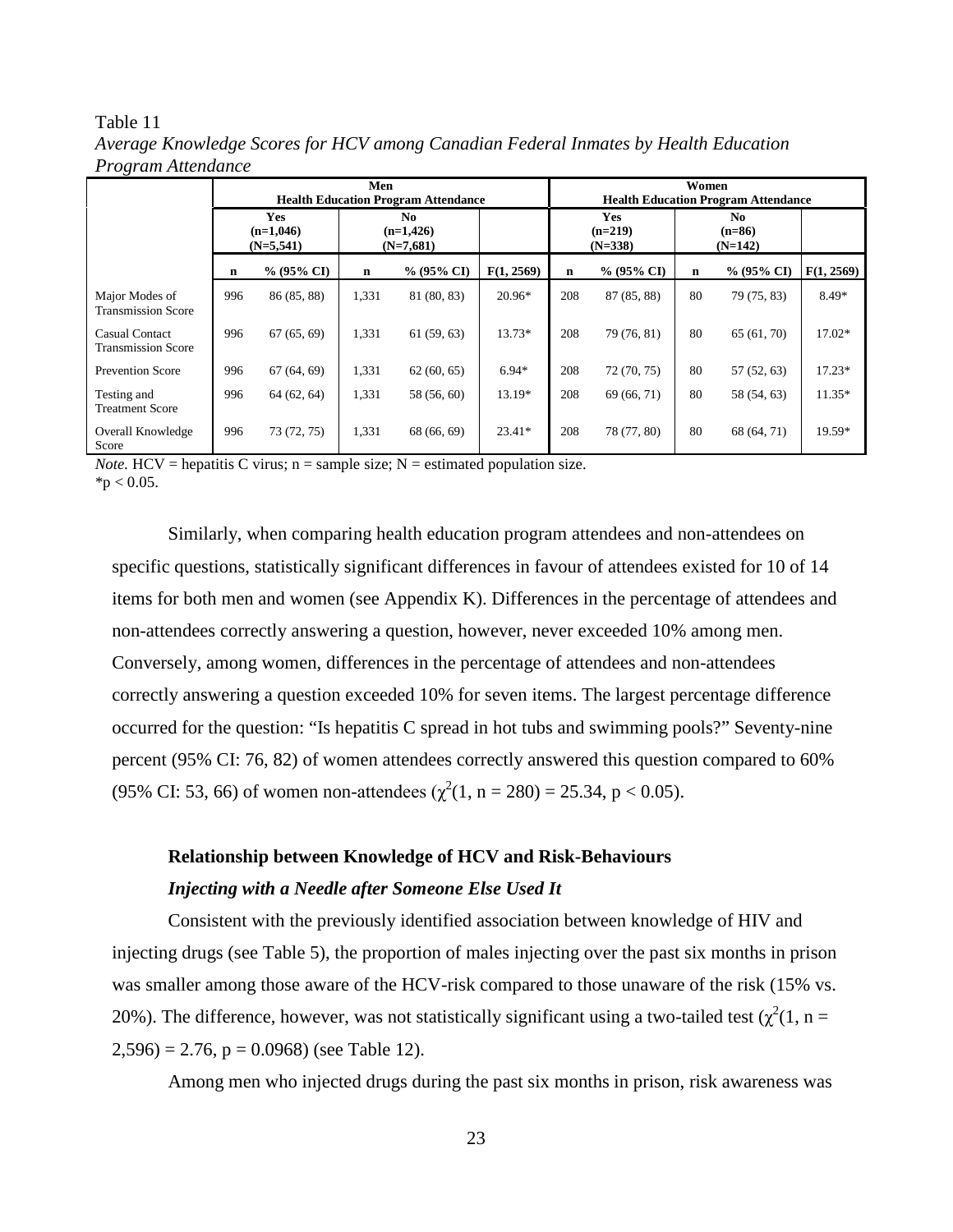### <span id="page-38-2"></span>Table 11

*Average Knowledge Scores for HCV among Canadian Federal Inmates by Health Education Program Attendance*

|                                                    |                                          |               | Men                                          | <b>Health Education Program Attendance</b> |            |             | Women<br><b>Health Education Program Attendance</b> |             |                                         |            |  |  |  |
|----------------------------------------------------|------------------------------------------|---------------|----------------------------------------------|--------------------------------------------|------------|-------------|-----------------------------------------------------|-------------|-----------------------------------------|------------|--|--|--|
|                                                    | <b>Yes</b><br>$(n=1,046)$<br>$(N=5,541)$ |               | N <sub>0</sub><br>$(n=1,426)$<br>$(N=7,681)$ |                                            |            |             | <b>Yes</b><br>$(n=219)$<br>$(N=338)$                |             | N <sub>0</sub><br>$(n=86)$<br>$(N=142)$ |            |  |  |  |
|                                                    | $\mathbf n$                              | $% (95\% CI)$ | $\mathbf n$                                  | $% (95\% CI)$                              | F(1, 2569) | $\mathbf n$ | $\%$ (95% CI)                                       | $\mathbf n$ | $% (95\% CI)$                           | F(1, 2569) |  |  |  |
| Major Modes of<br><b>Transmission Score</b>        | 996                                      | 86 (85, 88)   | 1,331                                        | 81 (80, 83)                                | $20.96*$   | 208         | 87 (85, 88)                                         | 80          | 79 (75, 83)                             | $8.49*$    |  |  |  |
| <b>Casual Contact</b><br><b>Transmission Score</b> | 996                                      | 67(65, 69)    | 1,331                                        | 61(59, 63)                                 | 13.73*     | 208         | 79 (76, 81)                                         | 80          | 65(61, 70)                              | 17.02*     |  |  |  |
| <b>Prevention Score</b>                            | 996                                      | 67(64, 69)    | 1,331                                        | 62(60, 65)                                 | $6.94*$    | 208         | 72 (70, 75)                                         | 80          | 57(52, 63)                              | $17.23*$   |  |  |  |
| Testing and<br><b>Treatment Score</b>              | 996                                      | 64(62, 64)    | 1,331                                        | 58 (56, 60)                                | 13.19*     | 208         | 69 (66, 71)                                         | 80          | 58 (54, 63)                             | $11.35*$   |  |  |  |
| Overall Knowledge<br>Score                         | 996                                      | 73 (72, 75)   | 1,331                                        | 68 (66, 69)                                | $23.41*$   | 208         | 78 (77, 80)                                         | 80          | 68 (64, 71)                             | 19.59*     |  |  |  |

*Note.*  $HCV =$  hepatitis C virus;  $n =$  sample size;  $N =$  estimated population size.  $*$ p < 0.05.

Similarly, when comparing health education program attendees and non-attendees on specific questions, statistically significant differences in favour of attendees existed for 10 of 14 items for both men and women (see Appendix K). Differences in the percentage of attendees and non-attendees correctly answering a question, however, never exceeded 10% among men. Conversely, among women, differences in the percentage of attendees and non-attendees correctly answering a question exceeded 10% for seven items. The largest percentage difference occurred for the question: "Is hepatitis C spread in hot tubs and swimming pools?" Seventy-nine percent (95% CI: 76, 82) of women attendees correctly answered this question compared to 60% (95% CI: 53, 66) of women non-attendees  $(\chi^2(1, n = 280) = 25.34, p < 0.05)$ .

# <span id="page-38-0"></span>**Relationship between Knowledge of HCV and Risk-Behaviours** *Injecting with a Needle after Someone Else Used It*

<span id="page-38-1"></span>Consistent with the previously identified association between knowledge of HIV and injecting drugs (see Table 5), the proportion of males injecting over the past six months in prison was smaller among those aware of the HCV-risk compared to those unaware of the risk (15% vs. 20%). The difference, however, was not statistically significant using a two-tailed test ( $\chi^2(1, n =$  $2,596$ ) = 2.76, p = 0.0968) (see Table 12).

Among men who injected drugs during the past six months in prison, risk awareness was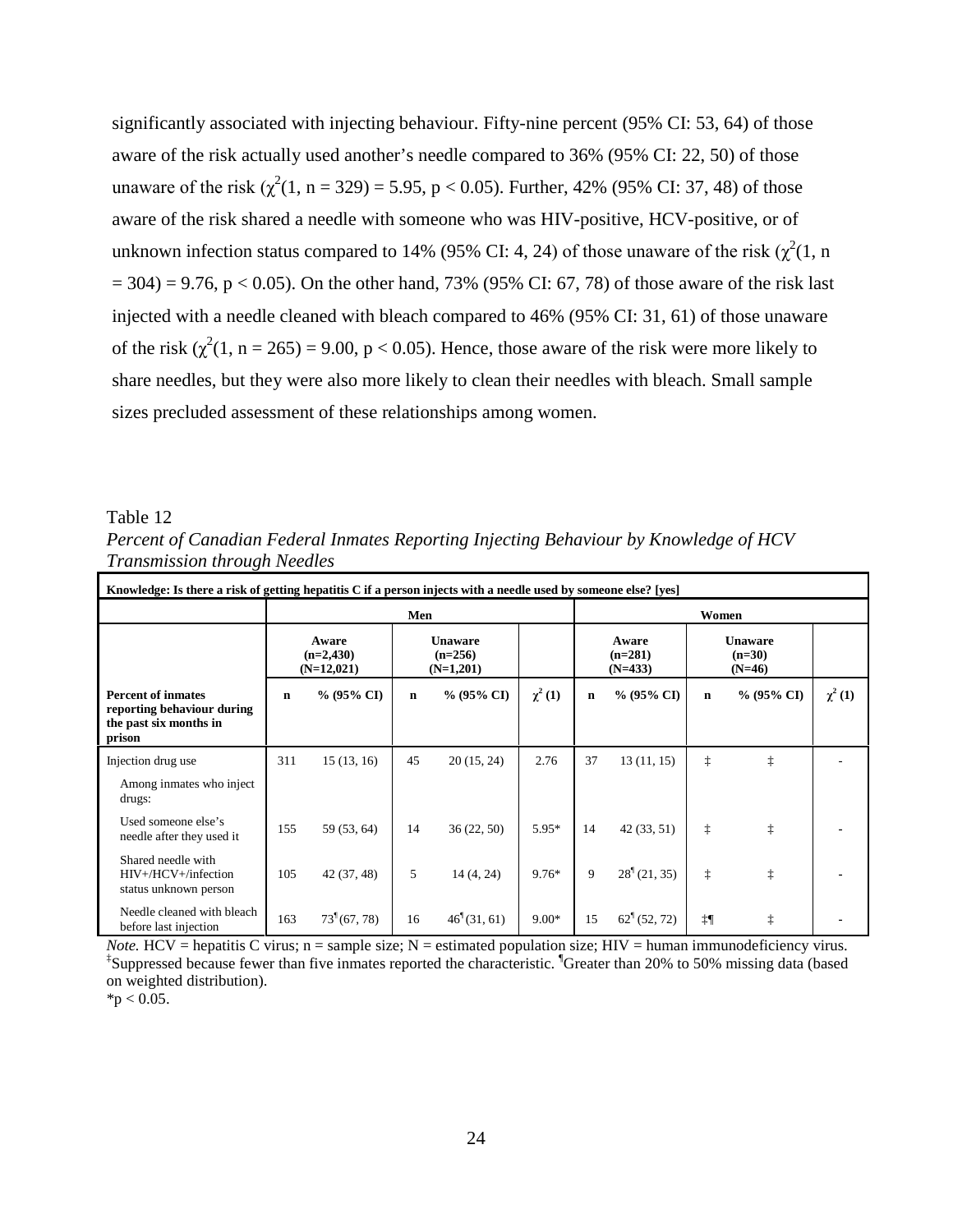significantly associated with injecting behaviour. Fifty-nine percent (95% CI: 53, 64) of those aware of the risk actually used another's needle compared to 36% (95% CI: 22, 50) of those unaware of the risk  $(\chi^2(1, n = 329) = 5.95, p < 0.05)$ . Further, 42% (95% CI: 37, 48) of those aware of the risk shared a needle with someone who was HIV-positive, HCV-positive, or of unknown infection status compared to 14% (95% CI: 4, 24) of those unaware of the risk ( $\chi^2(1, n)$  $= 304$ ) = 9.76, p < 0.05). On the other hand, 73% (95% CI: 67, 78) of those aware of the risk last injected with a needle cleaned with bleach compared to 46% (95% CI: 31, 61) of those unaware of the risk  $(\chi^2(1, n = 265) = 9.00, p < 0.05)$ . Hence, those aware of the risk were more likely to share needles, but they were also more likely to clean their needles with bleach. Small sample sizes precluded assessment of these relationships among women.

#### <span id="page-39-1"></span>Table 12

*Percent of Canadian Federal Inmates Reporting Injecting Behaviour by Knowledge of HCV Transmission through Needles*

| Knowledge: Is there a risk of getting hepatitis C if a person injects with a needle used by someone else? [yes] |             |                                      |                                            |                  |              |                                 |                          |                                 |            |              |
|-----------------------------------------------------------------------------------------------------------------|-------------|--------------------------------------|--------------------------------------------|------------------|--------------|---------------------------------|--------------------------|---------------------------------|------------|--------------|
|                                                                                                                 |             |                                      | Men                                        |                  | Women        |                                 |                          |                                 |            |              |
|                                                                                                                 |             | Aware<br>$(n=2,430)$<br>$(N=12,021)$ | <b>Unaware</b><br>$(n=256)$<br>$(N=1,201)$ |                  |              | Aware<br>$(n=281)$<br>$(N=433)$ |                          | Unaware<br>$(n=30)$<br>$(N=46)$ |            |              |
| <b>Percent of inmates</b><br>reporting behaviour during<br>the past six months in<br>prison                     | $\mathbf n$ | $% (95\% CI)$                        | $\mathbf n$                                | $\%$ (95% CI)    | $\chi^2$ (1) | $\mathbf n$                     | % (95% CI)               | $\mathbf n$                     | % (95% CI) | $\chi^2$ (1) |
| Injection drug use<br>Among inmates who inject<br>drugs:                                                        | 311         | 15(13, 16)                           | 45                                         | 20(15, 24)       | 2.76         | 37                              | 13(11, 15)               | $\ddagger$                      | ţ          |              |
| Used someone else's<br>needle after they used it                                                                | 155         | 59 (53, 64)                          | 14                                         | 36(22, 50)       | $5.95*$      | 14                              | 42(33, 51)               | $\ddagger$                      | ţ          |              |
| Shared needle with<br>$HIV+/HCV+/infection$<br>status unknown person                                            | 105         | 42 (37, 48)                          | 5                                          | 14(4, 24)        | $9.76*$      | 9                               | 28 <sup>1</sup> (21, 35) | $\ddagger$                      | ţ          |              |
| Needle cleaned with bleach<br>before last injection                                                             | 163         | $73^{\frac{1}{2}}(67, 78)$           | 16                                         | $46^{\{}31, 61)$ | $9.00*$      | 15                              | $62^{\dagger}$ (52, 72)  | ‡¶                              | ţ          |              |

*Note.* HCV = hepatitis C virus; n = sample size; N = estimated population size; HIV = human immunodeficiency virus. ‡ Suppressed because fewer than five inmates reported the characteristic. ¶ Greater than 20% to 50% missing data (based on weighted distribution).

<span id="page-39-0"></span> $*$ p < 0.05.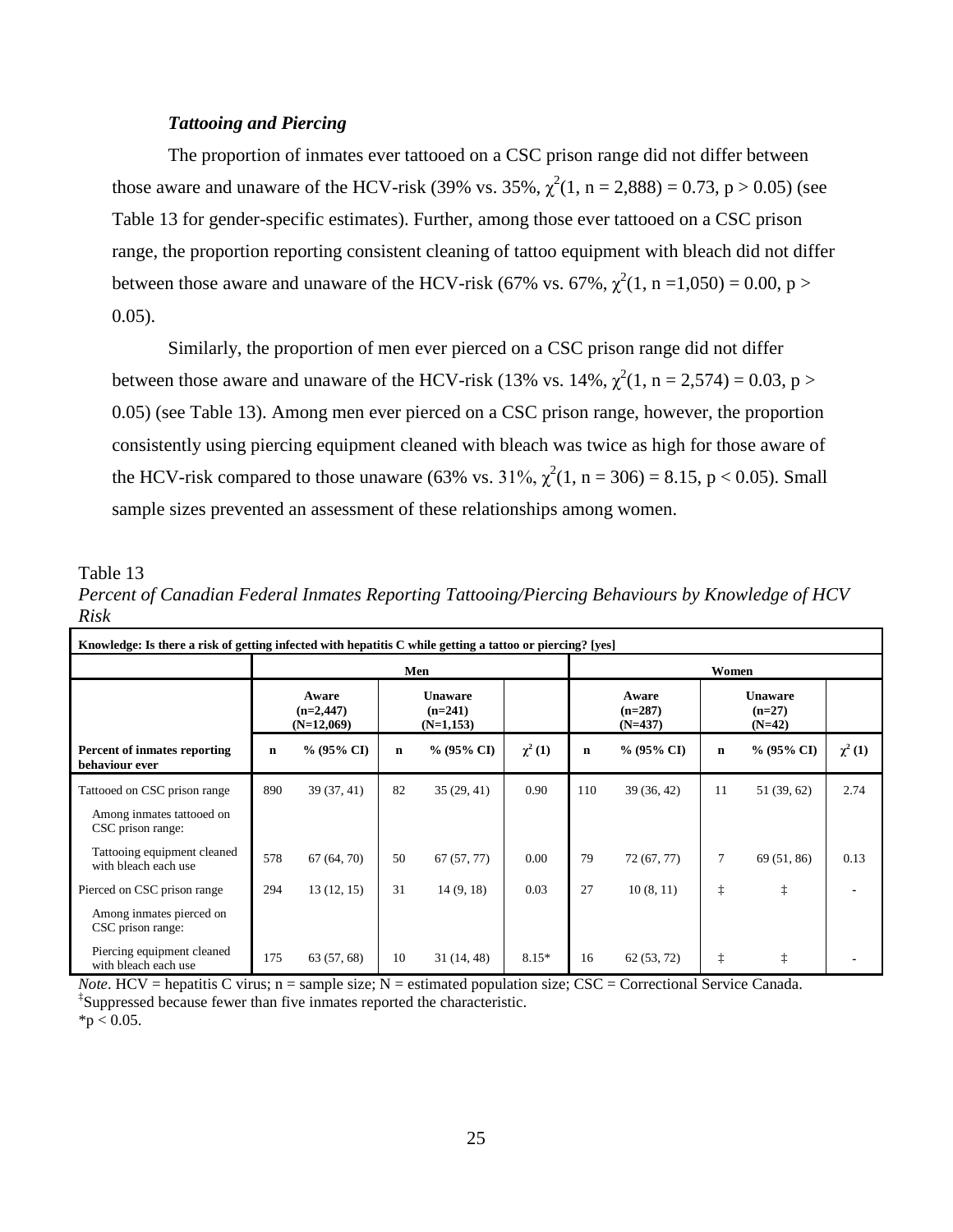## *Tattooing and Piercing*

The proportion of inmates ever tattooed on a CSC prison range did not differ between those aware and unaware of the HCV-risk (39% vs. 35%,  $\chi^2(1, n = 2,888) = 0.73$ , p > 0.05) (see Table 13 for gender-specific estimates). Further, among those ever tattooed on a CSC prison range, the proportion reporting consistent cleaning of tattoo equipment with bleach did not differ between those aware and unaware of the HCV-risk (67% vs. 67%,  $\chi^2(1, n = 1,050) = 0.00, p >$ 0.05).

Similarly, the proportion of men ever pierced on a CSC prison range did not differ between those aware and unaware of the HCV-risk (13% vs. 14%,  $\chi^2(1, n = 2.574) = 0.03$ , p > 0.05) (see Table 13). Among men ever pierced on a CSC prison range, however, the proportion consistently using piercing equipment cleaned with bleach was twice as high for those aware of the HCV-risk compared to those unaware (63% vs. 31%,  $\chi^2(1, n = 306) = 8.15$ , p < 0.05). Small sample sizes prevented an assessment of these relationships among women.

### <span id="page-40-1"></span>Table 13

*Percent of Canadian Federal Inmates Reporting Tattooing/Piercing Behaviours by Knowledge of HCV Risk*

| Knowledge: Is there a risk of getting infected with hepatitis C while getting a tattoo or piercing? [yes] |             |                                      |                                            |               |              |                                 |               |                                        |               |              |
|-----------------------------------------------------------------------------------------------------------|-------------|--------------------------------------|--------------------------------------------|---------------|--------------|---------------------------------|---------------|----------------------------------------|---------------|--------------|
|                                                                                                           |             |                                      | Men                                        |               | Women        |                                 |               |                                        |               |              |
|                                                                                                           |             | Aware<br>$(n=2,447)$<br>$(N=12,069)$ | <b>Unaware</b><br>$(n=241)$<br>$(N=1,153)$ |               |              | Aware<br>$(n=287)$<br>$(N=437)$ |               | <b>Unaware</b><br>$(n=27)$<br>$(N=42)$ |               |              |
| <b>Percent of inmates reporting</b><br>behaviour ever                                                     | $\mathbf n$ | $% (95\% CI)$                        | $\mathbf n$                                | $% (95\% CI)$ | $\chi^2$ (1) | $\mathbf n$                     | $% (95\% CI)$ | n                                      | $% (95\% CI)$ | $\chi^2$ (1) |
| Tattooed on CSC prison range                                                                              | 890         | 39 (37, 41)                          | 82                                         | 35(29, 41)    | 0.90         | 110                             | 39(36, 42)    | 11                                     | 51 (39, 62)   | 2.74         |
| Among inmates tattooed on<br>CSC prison range:                                                            |             |                                      |                                            |               |              |                                 |               |                                        |               |              |
| Tattooing equipment cleaned<br>with bleach each use                                                       | 578         | 67(64, 70)                           | 50                                         | 67(57, 77)    | 0.00         | 79                              | 72 (67, 77)   | $\tau$                                 | 69 (51, 86)   | 0.13         |
| Pierced on CSC prison range                                                                               | 294         | 13(12, 15)                           | 31                                         | 14(9, 18)     | 0.03         | 27                              | 10(8, 11)     | ţ                                      | ţ             |              |
| Among inmates pierced on<br>CSC prison range:                                                             |             |                                      |                                            |               |              |                                 |               |                                        |               |              |
| Piercing equipment cleaned<br>with bleach each use                                                        | 175         | 63 (57, 68)                          | 10                                         | 31 (14, 48)   | $8.15*$      | 16                              | 62 (53, 72)   | ţ                                      | ţ             |              |

<span id="page-40-0"></span>*Note*. HCV = hepatitis C virus; n = sample size; N = estimated population size; CSC = Correctional Service Canada. ‡ Suppressed because fewer than five inmates reported the characteristic.  $*_{p} < 0.05$ .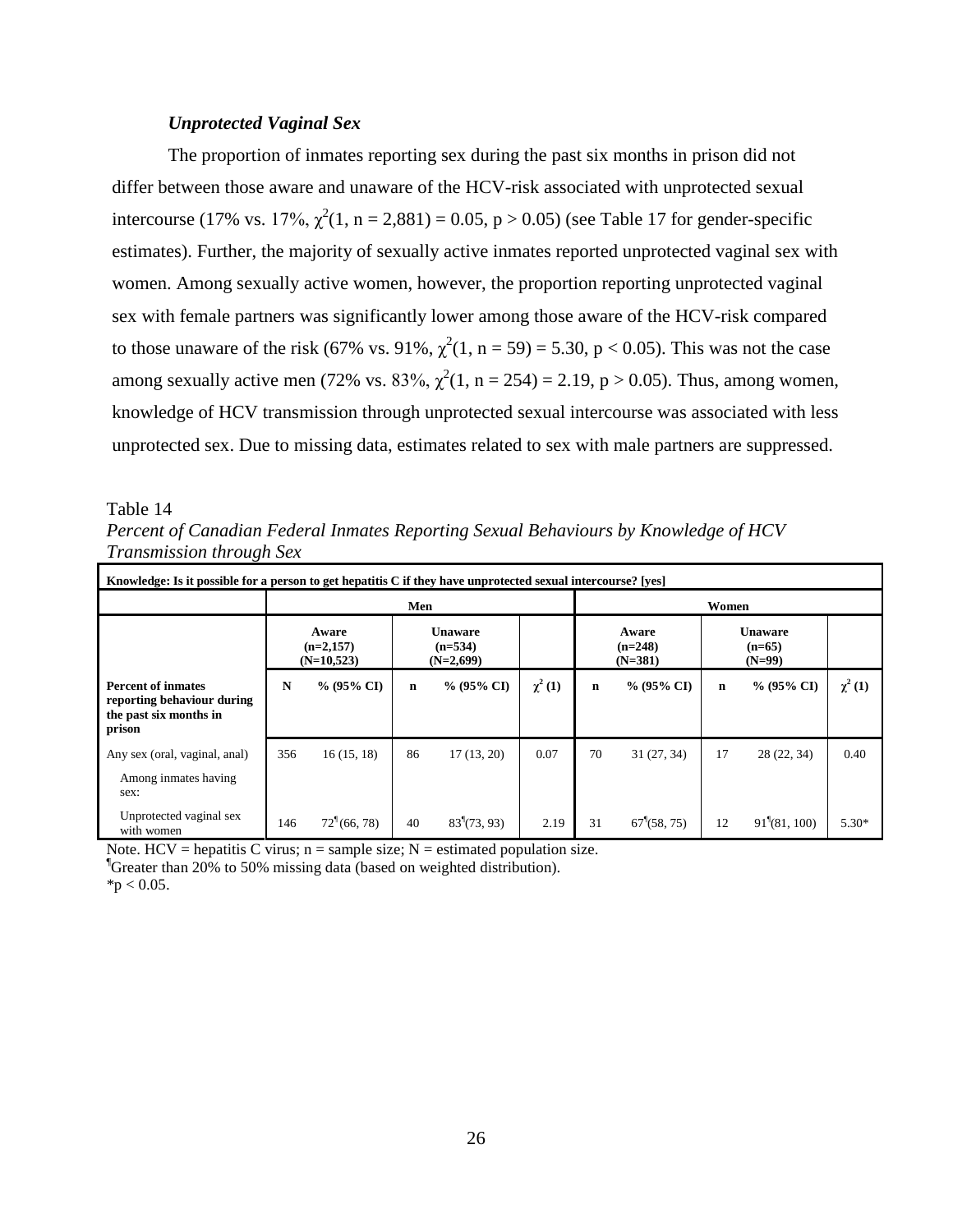## *Unprotected Vaginal Sex*

The proportion of inmates reporting sex during the past six months in prison did not differ between those aware and unaware of the HCV-risk associated with unprotected sexual intercourse (17% vs. 17%,  $\chi^2(1, n = 2,881) = 0.05$ , p > 0.05) (see Table 17 for gender-specific estimates). Further, the majority of sexually active inmates reported unprotected vaginal sex with women. Among sexually active women, however, the proportion reporting unprotected vaginal sex with female partners was significantly lower among those aware of the HCV-risk compared to those unaware of the risk (67% vs. 91%,  $\chi^2(1, n = 59) = 5.30, p < 0.05$ ). This was not the case among sexually active men (72% vs. 83%,  $\chi^2(1, n = 254) = 2.19$ , p > 0.05). Thus, among women, knowledge of HCV transmission through unprotected sexual intercourse was associated with less unprotected sex. Due to missing data, estimates related to sex with male partners are suppressed.

<span id="page-41-0"></span>

| Table 14                                                                            |  |
|-------------------------------------------------------------------------------------|--|
| Percent of Canadian Federal Inmates Reporting Sexual Behaviours by Knowledge of HCV |  |
| <i>Transmission through Sex</i>                                                     |  |

| Knowledge: Is it possible for a person to get hepatitis C if they have unprotected sexual intercourse? [yes] |                                      |                |                                            |                          |             |                                 |                            |                                        |                             |              |
|--------------------------------------------------------------------------------------------------------------|--------------------------------------|----------------|--------------------------------------------|--------------------------|-------------|---------------------------------|----------------------------|----------------------------------------|-----------------------------|--------------|
|                                                                                                              |                                      |                | Men                                        |                          | Women       |                                 |                            |                                        |                             |              |
|                                                                                                              | Aware<br>$(n=2,157)$<br>$(N=10,523)$ |                | <b>Unaware</b><br>$(n=534)$<br>$(N=2,699)$ |                          |             | Aware<br>$(n=248)$<br>$(N=381)$ |                            | <b>Unaware</b><br>$(n=65)$<br>$(N=99)$ |                             |              |
| <b>Percent of inmates</b><br>reporting behaviour during<br>the past six months in<br>prison                  | N                                    | $% (95\% CI)$  | n                                          | $% (95\% CI)$            | $\chi^2(1)$ | $\mathbf n$                     | $% (95\% CI)$              | $\mathbf n$                            | $% (95\% CI)$               | $\chi^2$ (1) |
| Any sex (oral, vaginal, anal)<br>Among inmates having<br>sex:                                                | 356                                  | 16(15, 18)     | 86                                         | 17(13, 20)               | 0.07        | 70                              | 31(27, 34)                 | 17                                     | 28(22, 34)                  | 0.40         |
| Unprotected vaginal sex<br>with women                                                                        | 146                                  | $72^1(66, 78)$ | 40                                         | 83 <sup>1</sup> (73, 93) | 2.19        | 31                              | $67^{\frac{1}{2}}(58, 75)$ | 12                                     | $91^{\frac{6}{3}}(81, 100)$ | $5.30*$      |

Note. HCV = hepatitis C virus;  $n =$  sample size; N = estimated population size. Greater than 20% to 50% missing data (based on weighted distribution).

 $*$ p < 0.05.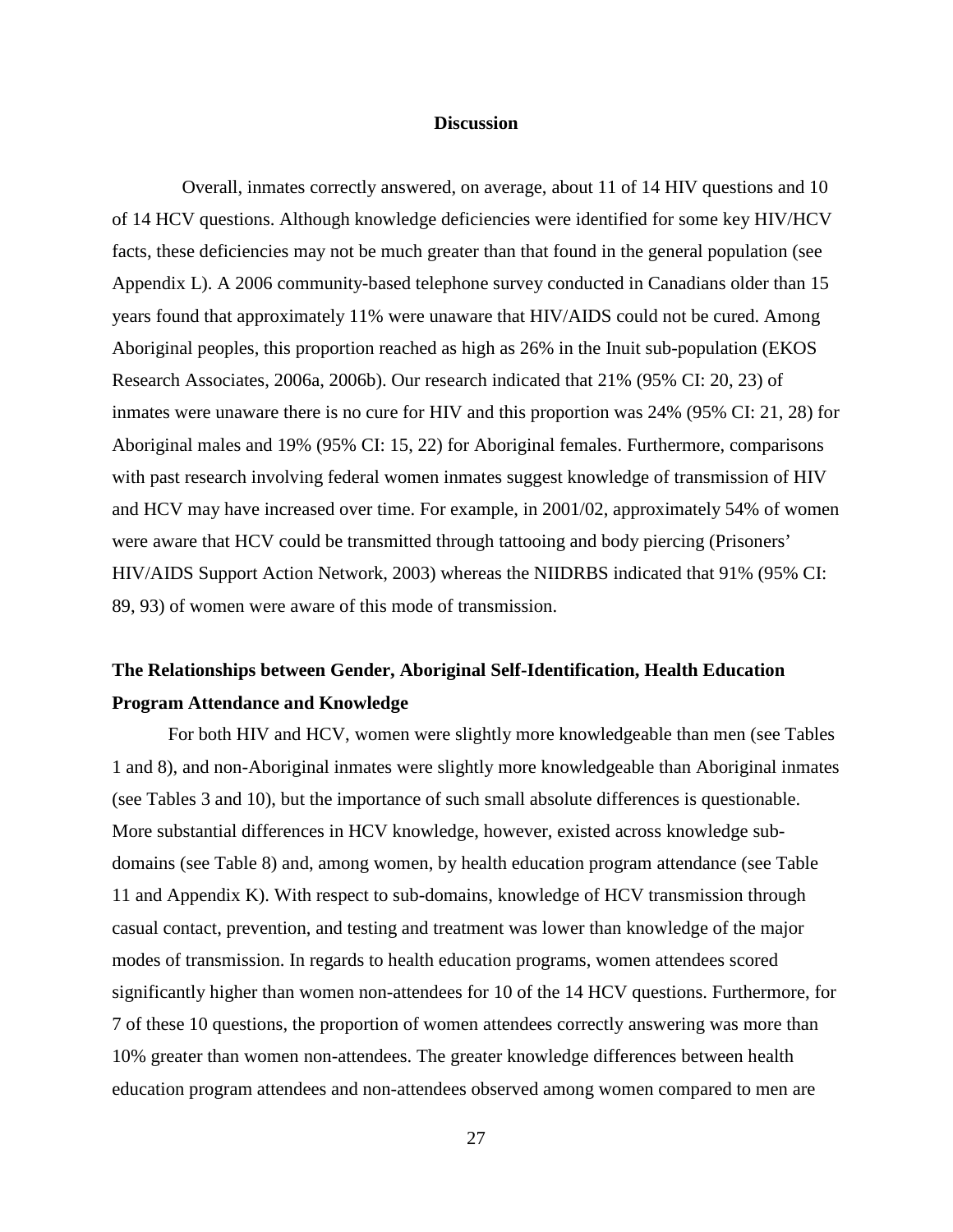## **Discussion**

<span id="page-42-0"></span>Overall, inmates correctly answered, on average, about 11 of 14 HIV questions and 10 of 14 HCV questions. Although knowledge deficiencies were identified for some key HIV/HCV facts, these deficiencies may not be much greater than that found in the general population (see Appendix L). A 2006 community-based telephone survey conducted in Canadians older than 15 years found that approximately 11% were unaware that HIV/AIDS could not be cured. Among Aboriginal peoples, this proportion reached as high as 26% in the Inuit sub-population (EKOS Research Associates, 2006a, 2006b). Our research indicated that 21% (95% CI: 20, 23) of inmates were unaware there is no cure for HIV and this proportion was 24% (95% CI: 21, 28) for Aboriginal males and 19% (95% CI: 15, 22) for Aboriginal females. Furthermore, comparisons with past research involving federal women inmates suggest knowledge of transmission of HIV and HCV may have increased over time. For example, in 2001/02, approximately 54% of women were aware that HCV could be transmitted through tattooing and body piercing (Prisoners' HIV/AIDS Support Action Network, 2003) whereas the NIIDRBS indicated that 91% (95% CI: 89, 93) of women were aware of this mode of transmission.

# <span id="page-42-1"></span>**The Relationships between Gender, Aboriginal Self-Identification, Health Education Program Attendance and Knowledge**

For both HIV and HCV, women were slightly more knowledgeable than men (see Tables 1 and 8), and non-Aboriginal inmates were slightly more knowledgeable than Aboriginal inmates (see Tables 3 and 10), but the importance of such small absolute differences is questionable. More substantial differences in HCV knowledge, however, existed across knowledge subdomains (see Table 8) and, among women, by health education program attendance (see Table 11 and Appendix K). With respect to sub-domains, knowledge of HCV transmission through casual contact, prevention, and testing and treatment was lower than knowledge of the major modes of transmission. In regards to health education programs, women attendees scored significantly higher than women non-attendees for 10 of the 14 HCV questions. Furthermore, for 7 of these 10 questions, the proportion of women attendees correctly answering was more than 10% greater than women non-attendees. The greater knowledge differences between health education program attendees and non-attendees observed among women compared to men are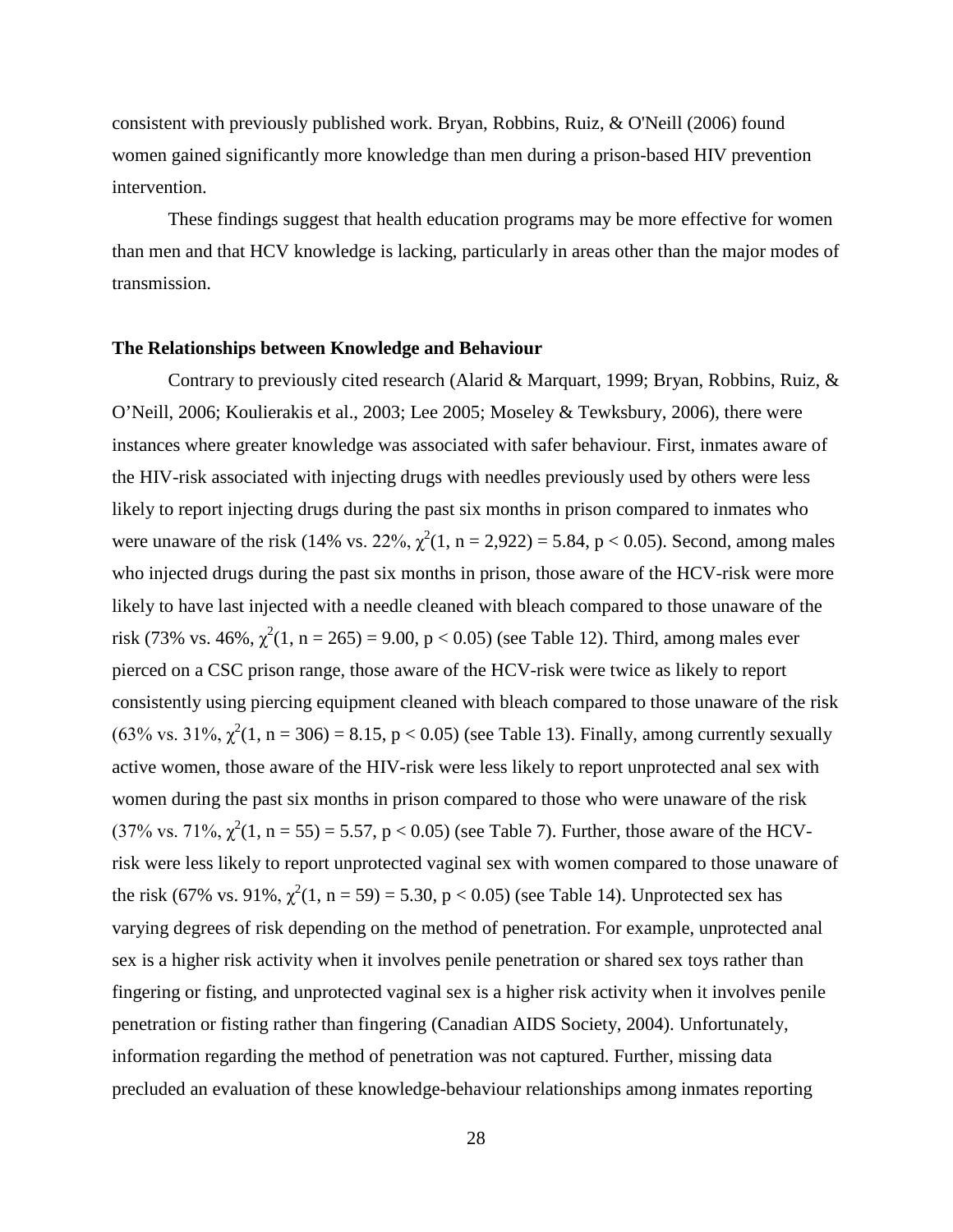consistent with previously published work. Bryan, Robbins, Ruiz, & O'Neill (2006) found women gained significantly more knowledge than men during a prison-based HIV prevention intervention.

These findings suggest that health education programs may be more effective for women than men and that HCV knowledge is lacking, particularly in areas other than the major modes of transmission.

## <span id="page-43-0"></span>**The Relationships between Knowledge and Behaviour**

Contrary to previously cited research (Alarid & Marquart, 1999; Bryan, Robbins, Ruiz, & O'Neill, 2006; Koulierakis et al., 2003; Lee 2005; Moseley & Tewksbury, 2006), there were instances where greater knowledge was associated with safer behaviour. First, inmates aware of the HIV-risk associated with injecting drugs with needles previously used by others were less likely to report injecting drugs during the past six months in prison compared to inmates who were unaware of the risk (14% vs. 22%,  $\chi^2(1, n = 2.922) = 5.84$ , p < 0.05). Second, among males who injected drugs during the past six months in prison, those aware of the HCV-risk were more likely to have last injected with a needle cleaned with bleach compared to those unaware of the risk (73% vs. 46%,  $\chi^2(1, n = 265) = 9.00$ , p < 0.05) (see Table 12). Third, among males ever pierced on a CSC prison range, those aware of the HCV-risk were twice as likely to report consistently using piercing equipment cleaned with bleach compared to those unaware of the risk  $(63\% \text{ vs. } 31\%, \chi^2(1, n = 306) = 8.15, p < 0.05)$  (see Table 13). Finally, among currently sexually active women, those aware of the HIV-risk were less likely to report unprotected anal sex with women during the past six months in prison compared to those who were unaware of the risk (37% vs. 71%,  $\chi^2(1, n = 55) = 5.57$ , p < 0.05) (see Table 7). Further, those aware of the HCVrisk were less likely to report unprotected vaginal sex with women compared to those unaware of the risk (67% vs. 91%,  $\chi^2(1, n = 59) = 5.30, p < 0.05$ ) (see Table 14). Unprotected sex has varying degrees of risk depending on the method of penetration. For example, unprotected anal sex is a higher risk activity when it involves penile penetration or shared sex toys rather than fingering or fisting, and unprotected vaginal sex is a higher risk activity when it involves penile penetration or fisting rather than fingering (Canadian AIDS Society, 2004). Unfortunately, information regarding the method of penetration was not captured. Further, missing data precluded an evaluation of these knowledge-behaviour relationships among inmates reporting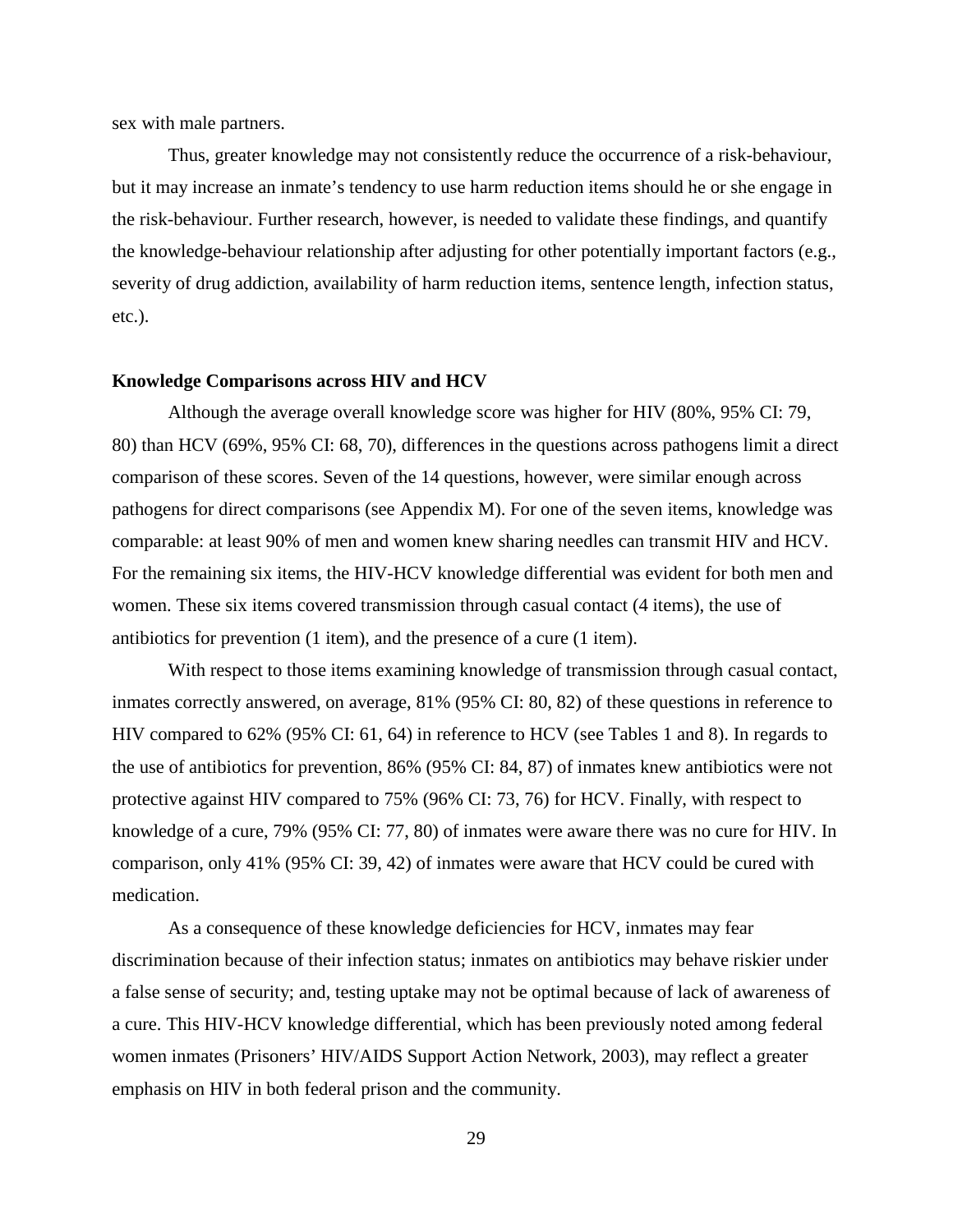sex with male partners.

Thus, greater knowledge may not consistently reduce the occurrence of a risk-behaviour, but it may increase an inmate's tendency to use harm reduction items should he or she engage in the risk-behaviour. Further research, however, is needed to validate these findings, and quantify the knowledge-behaviour relationship after adjusting for other potentially important factors (e.g., severity of drug addiction, availability of harm reduction items, sentence length, infection status, etc.).

#### <span id="page-44-0"></span>**Knowledge Comparisons across HIV and HCV**

Although the average overall knowledge score was higher for HIV (80%, 95% CI: 79, 80) than HCV (69%, 95% CI: 68, 70), differences in the questions across pathogens limit a direct comparison of these scores. Seven of the 14 questions, however, were similar enough across pathogens for direct comparisons (see Appendix M). For one of the seven items, knowledge was comparable: at least 90% of men and women knew sharing needles can transmit HIV and HCV. For the remaining six items, the HIV-HCV knowledge differential was evident for both men and women. These six items covered transmission through casual contact (4 items), the use of antibiotics for prevention (1 item), and the presence of a cure (1 item).

With respect to those items examining knowledge of transmission through casual contact, inmates correctly answered, on average, 81% (95% CI: 80, 82) of these questions in reference to HIV compared to 62% (95% CI: 61, 64) in reference to HCV (see Tables 1 and 8). In regards to the use of antibiotics for prevention, 86% (95% CI: 84, 87) of inmates knew antibiotics were not protective against HIV compared to 75% (96% CI: 73, 76) for HCV. Finally, with respect to knowledge of a cure, 79% (95% CI: 77, 80) of inmates were aware there was no cure for HIV. In comparison, only 41% (95% CI: 39, 42) of inmates were aware that HCV could be cured with medication.

As a consequence of these knowledge deficiencies for HCV, inmates may fear discrimination because of their infection status; inmates on antibiotics may behave riskier under a false sense of security; and, testing uptake may not be optimal because of lack of awareness of a cure. This HIV-HCV knowledge differential, which has been previously noted among federal women inmates (Prisoners' HIV/AIDS Support Action Network, 2003), may reflect a greater emphasis on HIV in both federal prison and the community.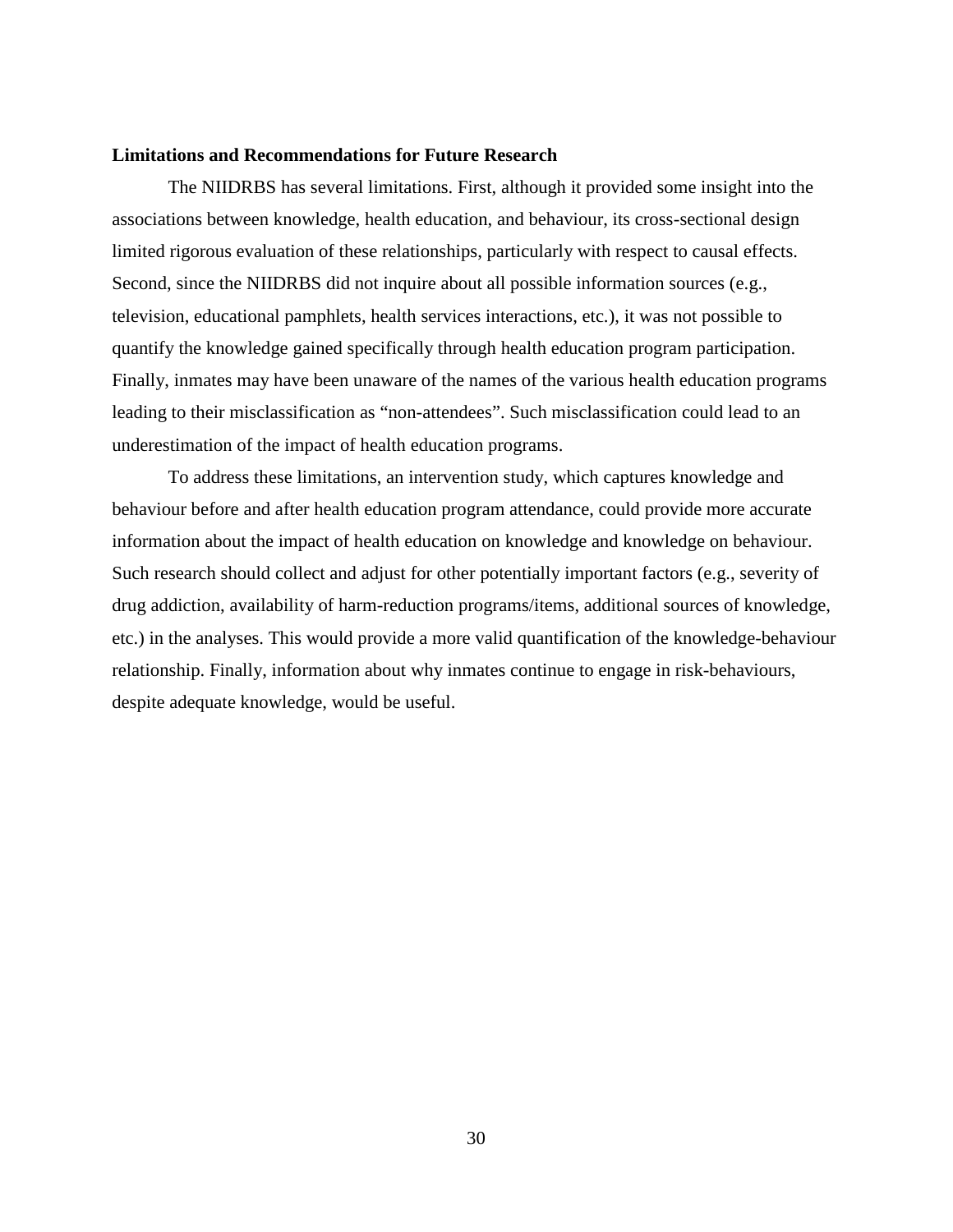## <span id="page-45-0"></span>**Limitations and Recommendations for Future Research**

The NIIDRBS has several limitations. First, although it provided some insight into the associations between knowledge, health education, and behaviour, its cross-sectional design limited rigorous evaluation of these relationships, particularly with respect to causal effects. Second, since the NIIDRBS did not inquire about all possible information sources (e.g., television, educational pamphlets, health services interactions, etc.), it was not possible to quantify the knowledge gained specifically through health education program participation. Finally, inmates may have been unaware of the names of the various health education programs leading to their misclassification as "non-attendees". Such misclassification could lead to an underestimation of the impact of health education programs.

To address these limitations, an intervention study, which captures knowledge and behaviour before and after health education program attendance, could provide more accurate information about the impact of health education on knowledge and knowledge on behaviour. Such research should collect and adjust for other potentially important factors (e.g., severity of drug addiction, availability of harm-reduction programs/items, additional sources of knowledge, etc.) in the analyses. This would provide a more valid quantification of the knowledge-behaviour relationship. Finally, information about why inmates continue to engage in risk-behaviours, despite adequate knowledge, would be useful.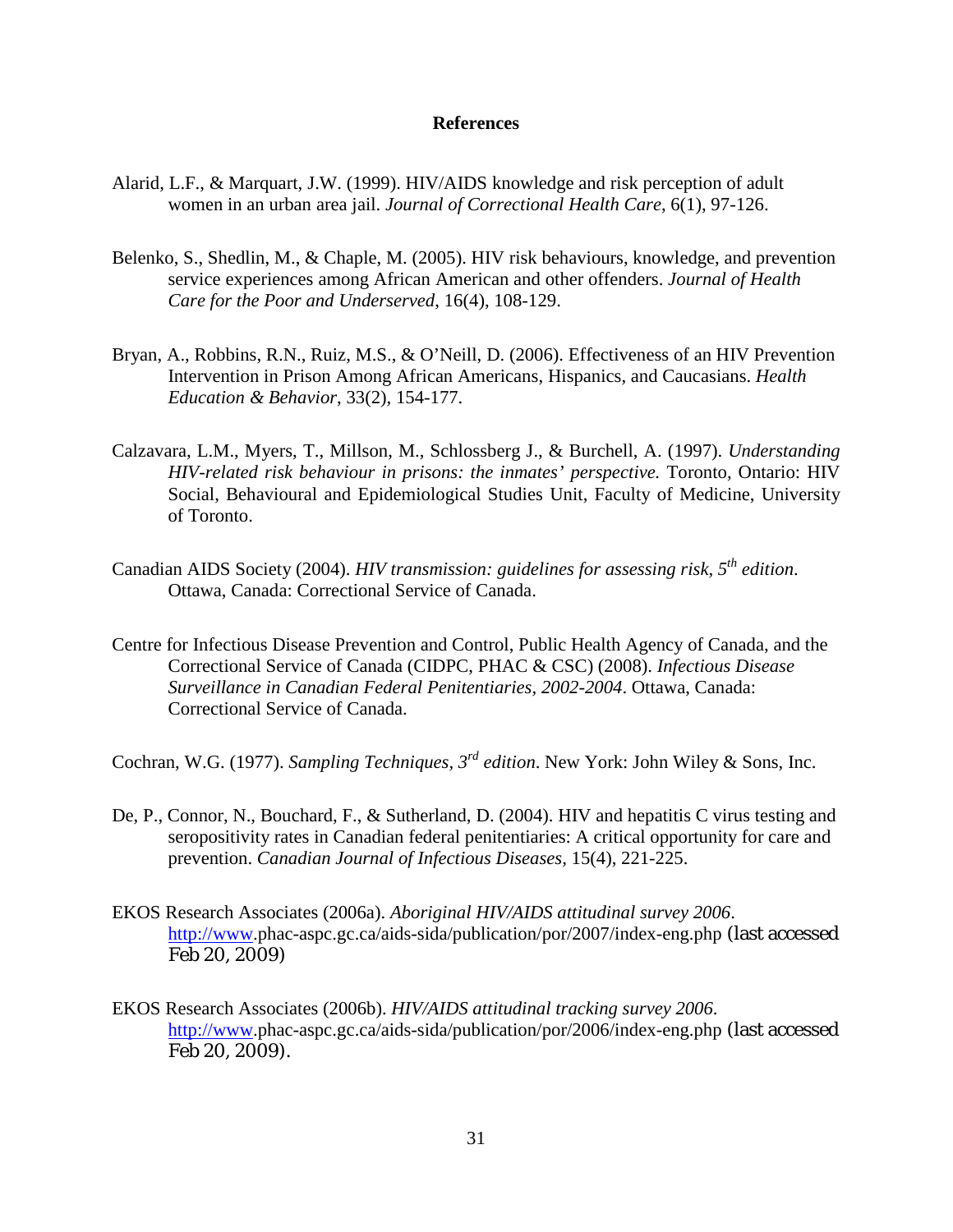## **References**

- <span id="page-46-0"></span>Alarid, L.F., & Marquart, J.W. (1999). HIV/AIDS knowledge and risk perception of adult women in an urban area jail. *Journal of Correctional Health Care*, 6(1), 97-126.
- Belenko, S., Shedlin, M., & Chaple, M. (2005). HIV risk behaviours, knowledge, and prevention service experiences among African American and other offenders. *Journal of Health Care for the Poor and Underserved*, 16(4), 108-129.
- Bryan, A., Robbins, R.N., Ruiz, M.S., & O'Neill, D. (2006). Effectiveness of an HIV Prevention Intervention in Prison Among African Americans, Hispanics, and Caucasians. *Health Education & Behavior*, 33(2), 154-177.
- Calzavara, L.M., Myers, T., Millson, M., Schlossberg J., & Burchell, A. (1997). *Understanding HIV-related risk behaviour in prisons: the inmates' perspective.* Toronto, Ontario: HIV Social, Behavioural and Epidemiological Studies Unit, Faculty of Medicine, University of Toronto.
- Canadian AIDS Society (2004). *HIV transmission: guidelines for assessing risk, 5th edition*. Ottawa, Canada: Correctional Service of Canada.
- Centre for Infectious Disease Prevention and Control, Public Health Agency of Canada, and the Correctional Service of Canada (CIDPC, PHAC & CSC) (2008). *Infectious Disease Surveillance in Canadian Federal Penitentiaries, 2002-2004*. Ottawa, Canada: Correctional Service of Canada.

Cochran, W.G. (1977). *Sampling Techniques, 3rd edition*. New York: John Wiley & Sons, Inc.

- De, P., Connor, N., Bouchard, F., & Sutherland, D. (2004). HIV and hepatitis C virus testing and seropositivity rates in Canadian federal penitentiaries: A critical opportunity for care and prevention. *Canadian Journal of Infectious Diseases,* 15(4), 221-225.
- EKOS Research Associates (2006a). *Aboriginal HIV/AIDS attitudinal survey 2006*. [http://www.](http://www/)phac-aspc.gc.ca/aids-sida/publication/por/2007/index-eng.php (last accessed Feb 20, 2009)
- EKOS Research Associates (2006b). *HIV/AIDS attitudinal tracking survey 2006*. [http://www.](http://www/)phac-aspc.gc.ca/aids-sida/publication/por/2006/index-eng.php (last accessed Feb 20, 2009).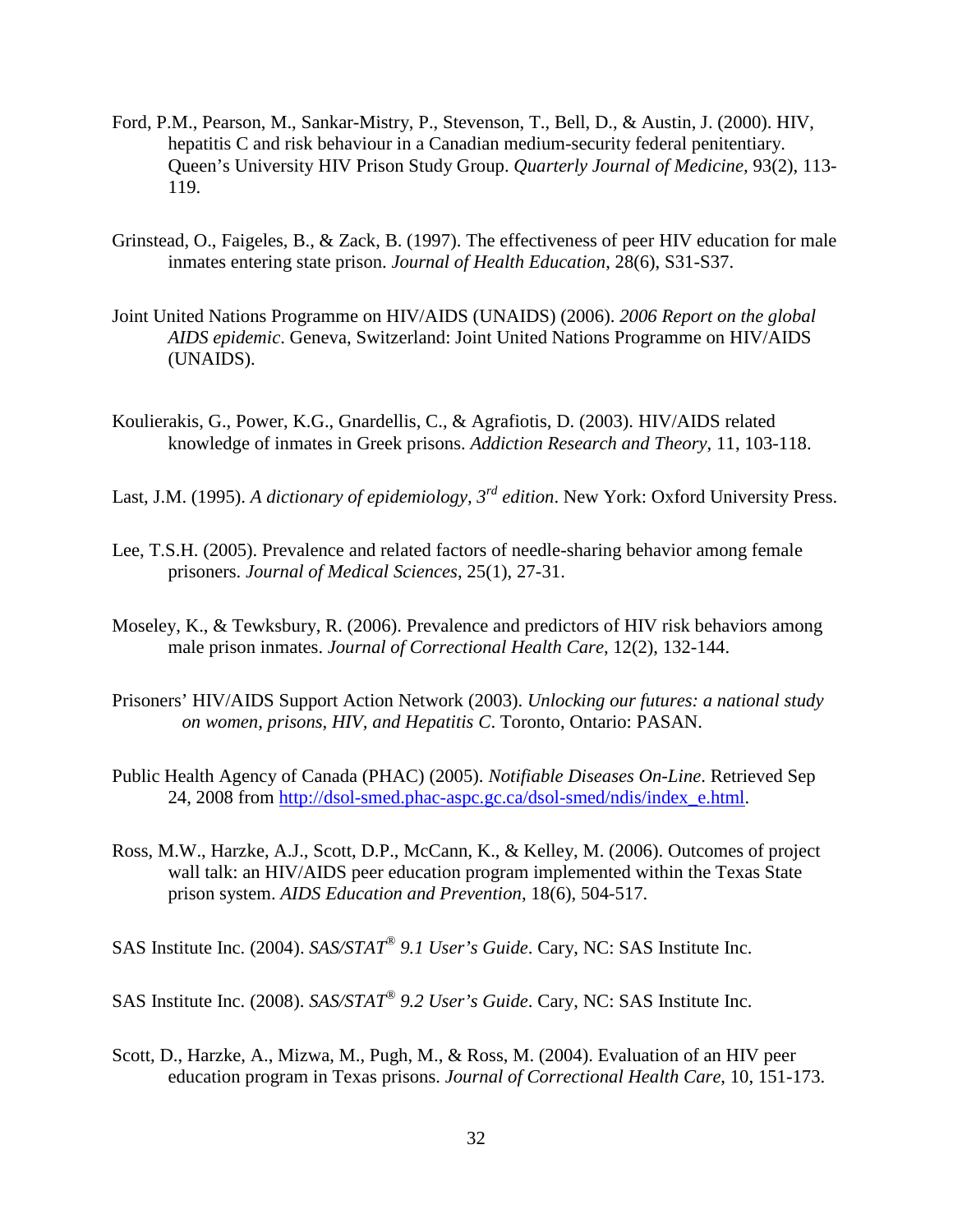- Ford, P.M., Pearson, M., Sankar-Mistry, P., Stevenson, T., Bell, D., & Austin, J. (2000). HIV, hepatitis C and risk behaviour in a Canadian medium-security federal penitentiary. Queen's University HIV Prison Study Group. *Quarterly Journal of Medicine,* 93(2), 113- 119.
- Grinstead, O., Faigeles, B., & Zack, B. (1997). The effectiveness of peer HIV education for male inmates entering state prison. *Journal of Health Education*, 28(6), S31-S37.
- Joint United Nations Programme on HIV/AIDS (UNAIDS) (2006). *2006 Report on the global AIDS epidemic*. Geneva, Switzerland: Joint United Nations Programme on HIV/AIDS (UNAIDS).
- Koulierakis, G., Power, K.G., Gnardellis, C., & Agrafiotis, D. (2003). HIV/AIDS related knowledge of inmates in Greek prisons. *Addiction Research and Theory*, 11, 103-118.
- Last, J.M. (1995). *A dictionary of epidemiology, 3rd edition*. New York: Oxford University Press.
- Lee, T.S.H. (2005). Prevalence and related factors of needle-sharing behavior among female prisoners. *Journal of Medical Sciences*, 25(1), 27-31.
- Moseley, K., & Tewksbury, R. (2006). Prevalence and predictors of HIV risk behaviors among male prison inmates. *Journal of Correctional Health Care*, 12(2), 132-144.
- Prisoners' HIV/AIDS Support Action Network (2003). *Unlocking our futures: a national study on women, prisons, HIV, and Hepatitis C*. Toronto, Ontario: PASAN.
- Public Health Agency of Canada (PHAC) (2005). *Notifiable Diseases On-Line*. Retrieved Sep 24, 2008 from [http://dsol-smed.phac-aspc.gc.ca/dsol-smed/ndis/index\\_e.html.](http://dsol-smed.phac-aspc.gc.ca/dsol-smed/ndis/index_e.html)
- Ross, M.W., Harzke, A.J., Scott, D.P., McCann, K., & Kelley, M. (2006). Outcomes of project wall talk: an HIV/AIDS peer education program implemented within the Texas State prison system. *AIDS Education and Prevention*, 18(6), 504-517.
- SAS Institute Inc. (2004). *SAS/STAT® 9.1 User's Guide*. Cary, NC: SAS Institute Inc.

SAS Institute Inc. (2008). *SAS/STAT® 9.2 User's Guide*. Cary, NC: SAS Institute Inc.

Scott, D., Harzke, A., Mizwa, M., Pugh, M., & Ross, M. (2004). Evaluation of an HIV peer education program in Texas prisons. *Journal of Correctional Health Care*, 10, 151-173.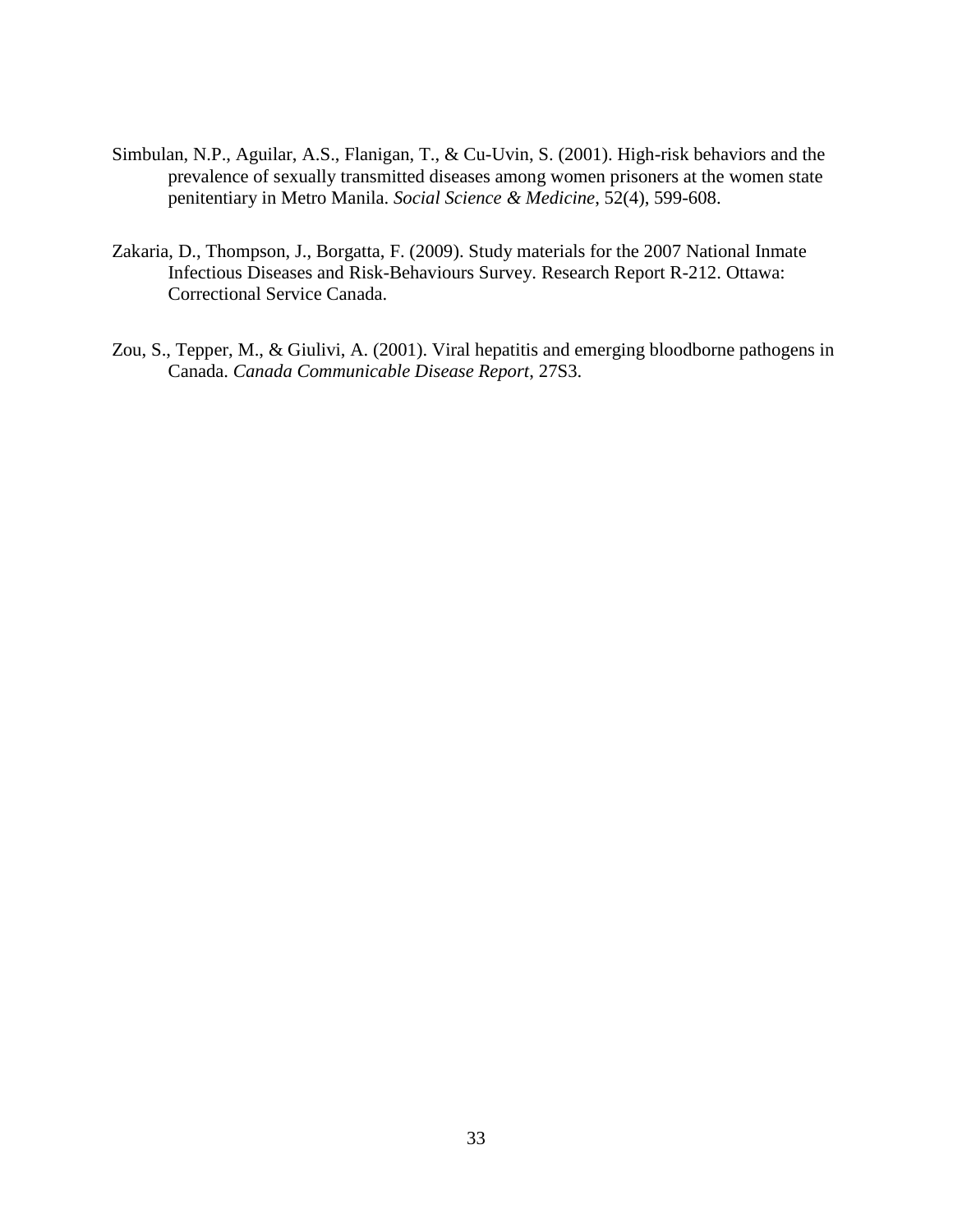- Simbulan, N.P., Aguilar, A.S., Flanigan, T., & Cu-Uvin, S. (2001). High-risk behaviors and the prevalence of sexually transmitted diseases among women prisoners at the women state penitentiary in Metro Manila. *Social Science & Medicine*, 52(4), 599-608.
- Zakaria, D., Thompson, J., Borgatta, F. (2009). Study materials for the 2007 National Inmate Infectious Diseases and Risk-Behaviours Survey. Research Report R-212. Ottawa: Correctional Service Canada.
- Zou, S., Tepper, M., & Giulivi, A. (2001). Viral hepatitis and emerging bloodborne pathogens in Canada. *Canada Communicable Disease Report*, 27S3.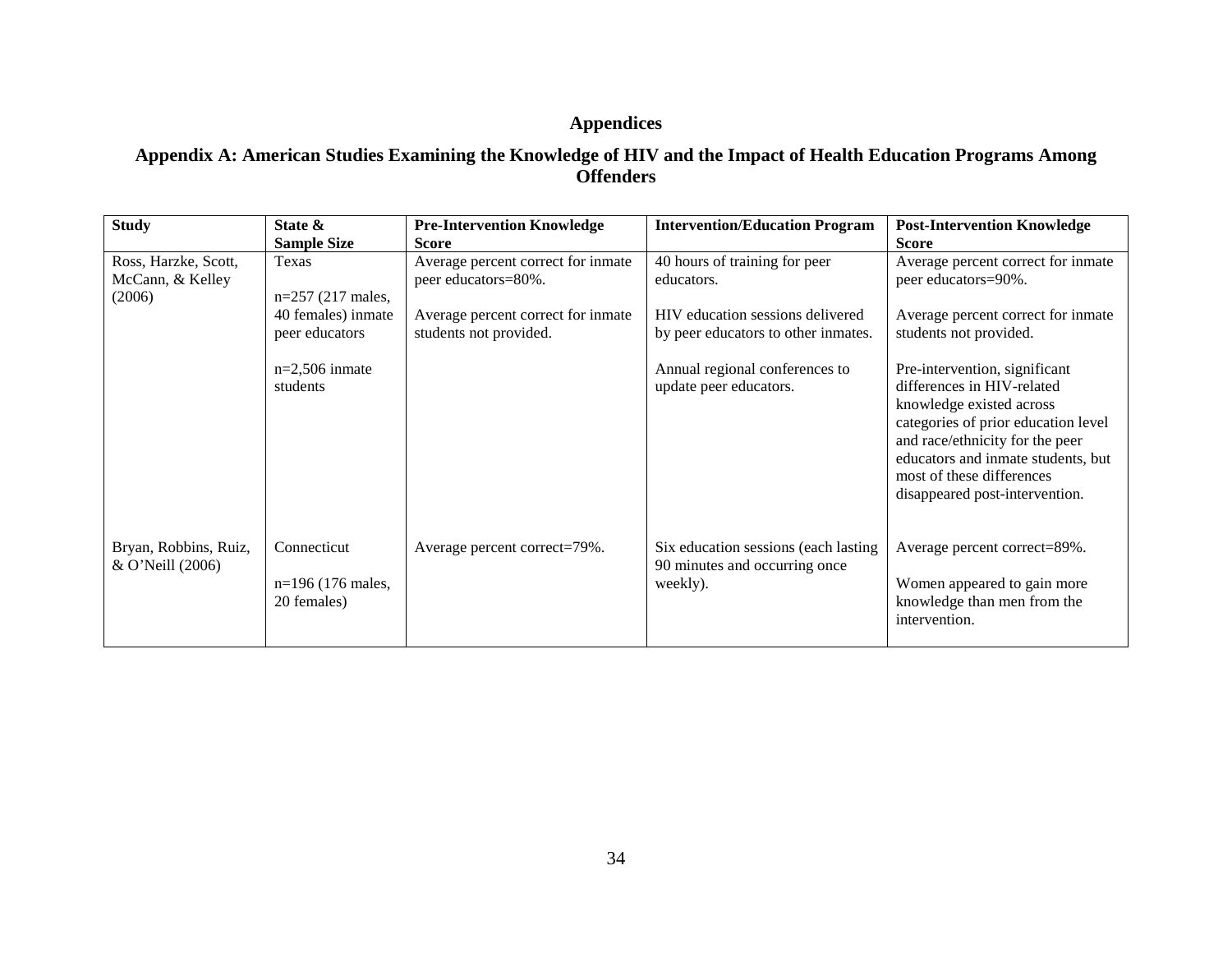# **Appendices**

## **Appendix A: American Studies Examining the Knowledge of HIV and the Impact of Health Education Programs Among Offenders**

<span id="page-49-1"></span><span id="page-49-0"></span>

| <b>Study</b>                                       | State &<br><b>Sample Size</b>                                                                        | <b>Pre-Intervention Knowledge</b><br><b>Score</b>                                                                         | <b>Intervention/Education Program</b>                                                                                                                                              | <b>Post-Intervention Knowledge</b><br><b>Score</b>                                                                                                                                                                                                                                                                                                                |
|----------------------------------------------------|------------------------------------------------------------------------------------------------------|---------------------------------------------------------------------------------------------------------------------------|------------------------------------------------------------------------------------------------------------------------------------------------------------------------------------|-------------------------------------------------------------------------------------------------------------------------------------------------------------------------------------------------------------------------------------------------------------------------------------------------------------------------------------------------------------------|
| Ross, Harzke, Scott,<br>McCann, & Kelley<br>(2006) | Texas<br>$n=257$ (217 males,<br>40 females) inmate<br>peer educators<br>$n=2,506$ inmate<br>students | Average percent correct for inmate<br>peer educators=80%.<br>Average percent correct for inmate<br>students not provided. | 40 hours of training for peer<br>educators.<br>HIV education sessions delivered<br>by peer educators to other inmates.<br>Annual regional conferences to<br>update peer educators. | Average percent correct for inmate<br>peer educators=90%.<br>Average percent correct for inmate<br>students not provided.<br>Pre-intervention, significant<br>differences in HIV-related<br>knowledge existed across<br>categories of prior education level<br>and race/ethnicity for the peer<br>educators and inmate students, but<br>most of these differences |
| Bryan, Robbins, Ruiz,<br>& O'Neill (2006)          | Connecticut<br>$n=196$ (176 males,<br>20 females)                                                    | Average percent correct=79%.                                                                                              | Six education sessions (each lasting<br>90 minutes and occurring once<br>weekly).                                                                                                  | disappeared post-intervention.<br>Average percent correct=89%.<br>Women appeared to gain more<br>knowledge than men from the<br>intervention.                                                                                                                                                                                                                     |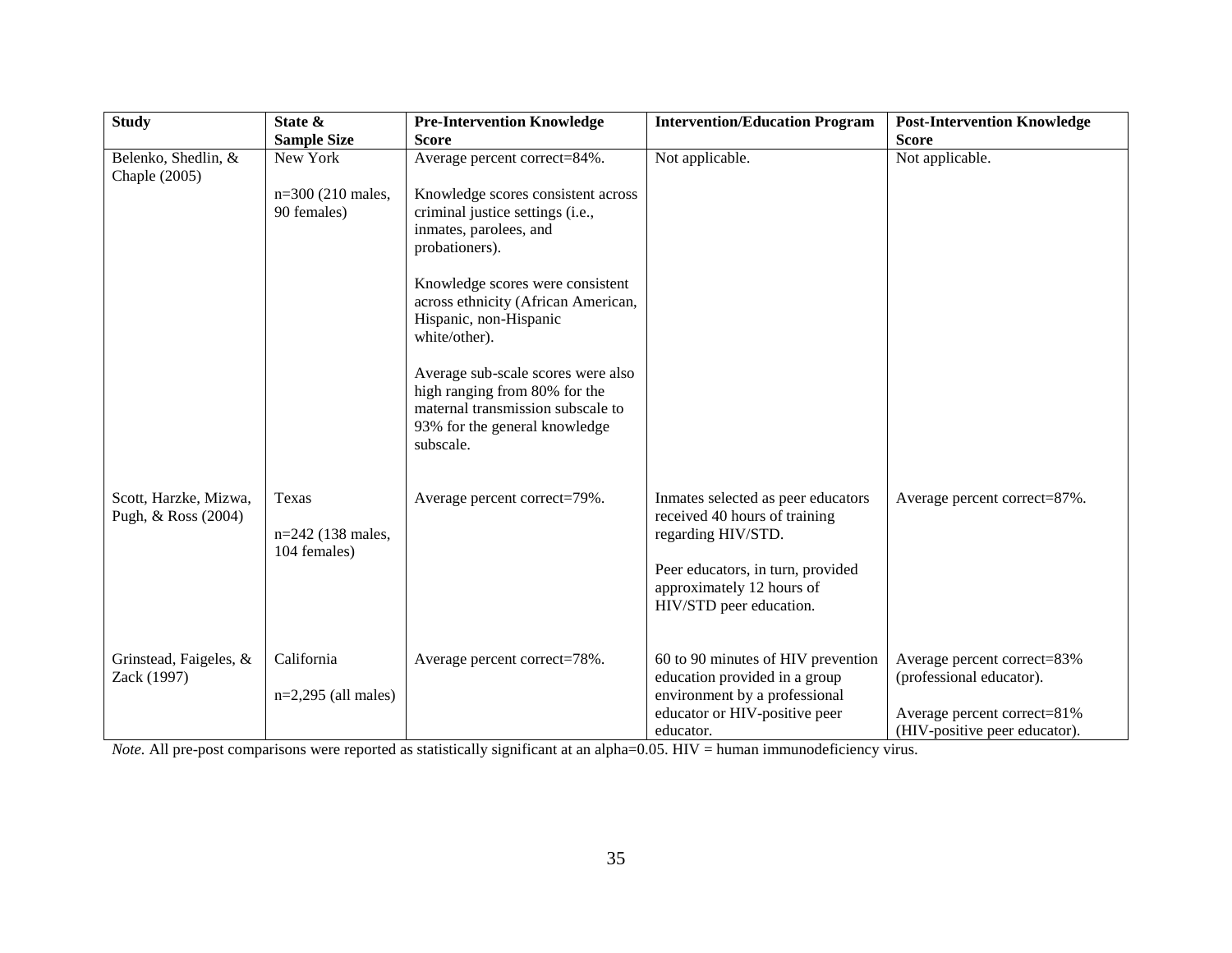| <b>Study</b>                         | State &               | <b>Pre-Intervention Knowledge</b>   | <b>Intervention/Education Program</b>                          | <b>Post-Intervention Knowledge</b> |  |
|--------------------------------------|-----------------------|-------------------------------------|----------------------------------------------------------------|------------------------------------|--|
|                                      | <b>Sample Size</b>    | <b>Score</b>                        |                                                                | <b>Score</b>                       |  |
| Belenko, Shedlin, &<br>Chaple (2005) | New York              | Average percent correct=84%.        | Not applicable.                                                | Not applicable.                    |  |
|                                      | n=300 (210 males,     | Knowledge scores consistent across  |                                                                |                                    |  |
|                                      | 90 females)           | criminal justice settings (i.e.,    |                                                                |                                    |  |
|                                      |                       | inmates, parolees, and              |                                                                |                                    |  |
|                                      |                       | probationers).                      |                                                                |                                    |  |
|                                      |                       | Knowledge scores were consistent    |                                                                |                                    |  |
|                                      |                       | across ethnicity (African American, |                                                                |                                    |  |
|                                      |                       | Hispanic, non-Hispanic              |                                                                |                                    |  |
|                                      |                       | white/other).                       |                                                                |                                    |  |
|                                      |                       | Average sub-scale scores were also  |                                                                |                                    |  |
|                                      |                       | high ranging from 80% for the       |                                                                |                                    |  |
|                                      |                       | maternal transmission subscale to   |                                                                |                                    |  |
|                                      |                       | 93% for the general knowledge       |                                                                |                                    |  |
|                                      |                       | subscale.                           |                                                                |                                    |  |
|                                      |                       |                                     |                                                                |                                    |  |
| Scott, Harzke, Mizwa,                | Texas                 | Average percent correct=79%.        | Inmates selected as peer educators                             | Average percent correct=87%.       |  |
| Pugh, & Ross (2004)                  |                       |                                     | received 40 hours of training                                  |                                    |  |
|                                      | n=242 (138 males,     |                                     | regarding HIV/STD.                                             |                                    |  |
|                                      | 104 females)          |                                     |                                                                |                                    |  |
|                                      |                       |                                     | Peer educators, in turn, provided<br>approximately 12 hours of |                                    |  |
|                                      |                       |                                     | HIV/STD peer education.                                        |                                    |  |
|                                      |                       |                                     |                                                                |                                    |  |
| Grinstead, Faigeles, &               | California            | Average percent correct=78%.        | 60 to 90 minutes of HIV prevention                             | Average percent correct=83%        |  |
| Zack (1997)                          |                       |                                     | education provided in a group                                  | (professional educator).           |  |
|                                      | $n=2,295$ (all males) |                                     | environment by a professional                                  |                                    |  |
|                                      |                       |                                     | educator or HIV-positive peer                                  | Average percent correct=81%        |  |
|                                      |                       |                                     | educator.                                                      | (HIV-positive peer educator).      |  |

*Note.* All pre-post comparisons were reported as statistically significant at an alpha=0.05. HIV = human immunodeficiency virus.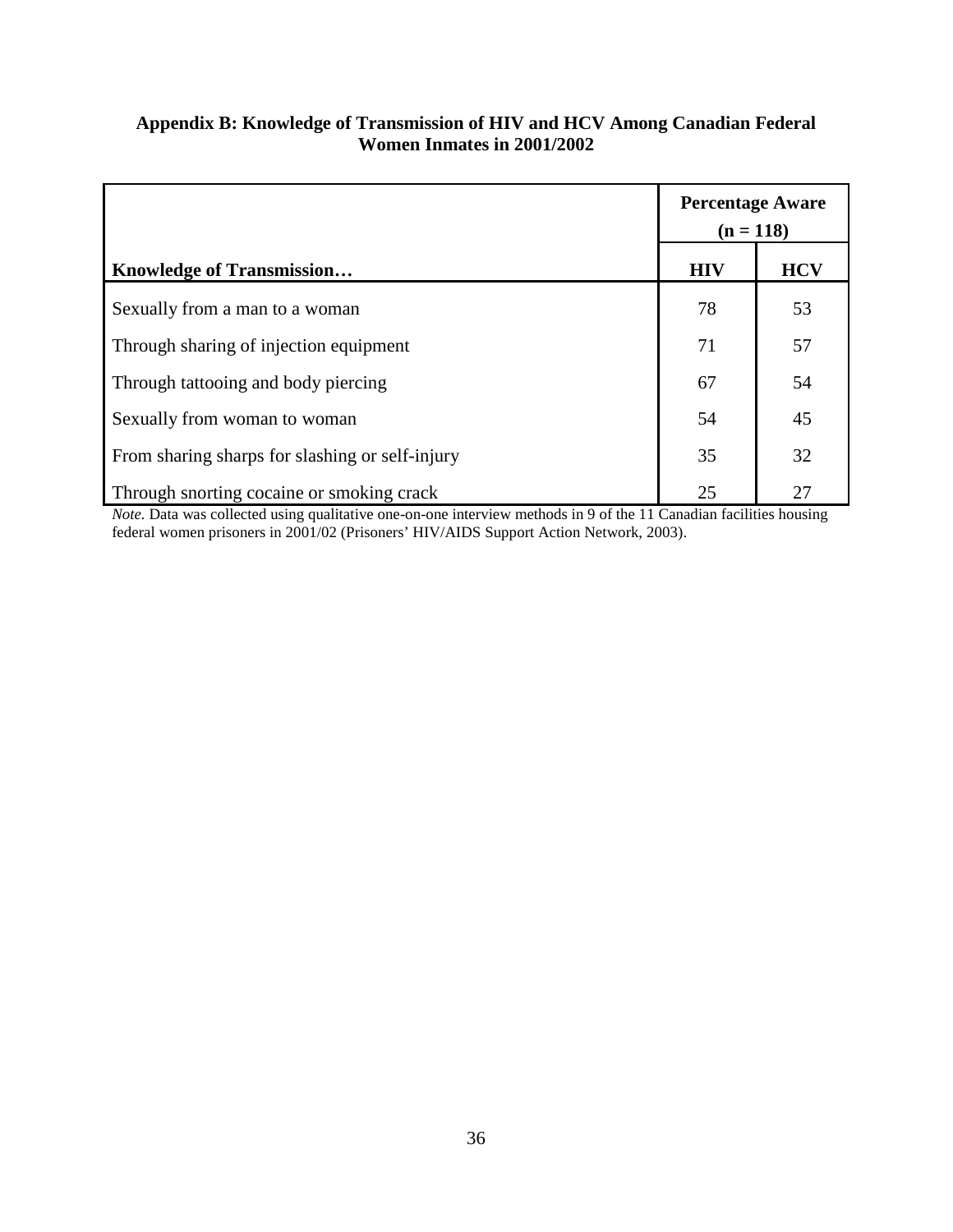## <span id="page-51-0"></span>**Appendix B: Knowledge of Transmission of HIV and HCV Among Canadian Federal Women Inmates in 2001/2002**

|                                                 | <b>Percentage Aware</b><br>$(n = 118)$ |            |  |
|-------------------------------------------------|----------------------------------------|------------|--|
| <b>Knowledge of Transmission</b>                | <b>HIV</b>                             | <b>HCV</b> |  |
| Sexually from a man to a woman                  | 78                                     | 53         |  |
| Through sharing of injection equipment          | 71                                     | 57         |  |
| Through tattooing and body piercing             | 67                                     | 54         |  |
| Sexually from woman to woman                    | 54                                     | 45         |  |
| From sharing sharps for slashing or self-injury | 35                                     | 32         |  |
| Through snorting cocaine or smoking crack       | 25                                     | 27         |  |

*Note.* Data was collected using qualitative one-on-one interview methods in 9 of the 11 Canadian facilities housing federal women prisoners in 2001/02 (Prisoners' HIV/AIDS Support Action Network, 2003).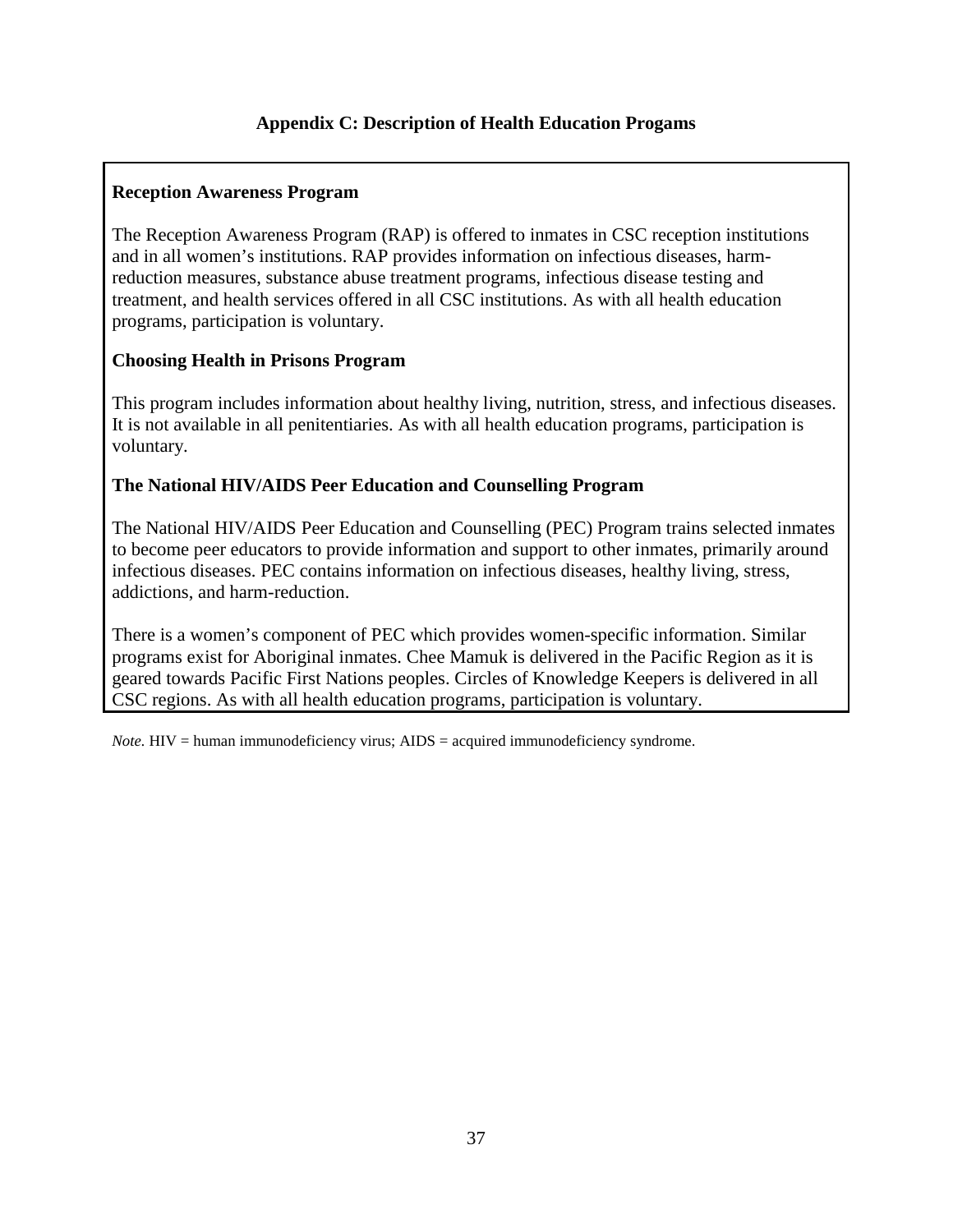# <span id="page-52-0"></span>**Reception Awareness Program**

The Reception Awareness Program (RAP) is offered to inmates in CSC reception institutions and in all women's institutions. RAP provides information on infectious diseases, harmreduction measures, substance abuse treatment programs, infectious disease testing and treatment, and health services offered in all CSC institutions. As with all health education programs, participation is voluntary.

## **Choosing Health in Prisons Program**

This program includes information about healthy living, nutrition, stress, and infectious diseases. It is not available in all penitentiaries. As with all health education programs, participation is voluntary.

# **The National HIV/AIDS Peer Education and Counselling Program**

The National HIV/AIDS Peer Education and Counselling (PEC) Program trains selected inmates to become peer educators to provide information and support to other inmates, primarily around infectious diseases. PEC contains information on infectious diseases, healthy living, stress, addictions, and harm-reduction.

There is a women's component of PEC which provides women-specific information. Similar programs exist for Aboriginal inmates. Chee Mamuk is delivered in the Pacific Region as it is geared towards Pacific First Nations peoples. Circles of Knowledge Keepers is delivered in all CSC regions. As with all health education programs, participation is voluntary.

*Note.* HIV = human immunodeficiency virus; AIDS = acquired immunodeficiency syndrome.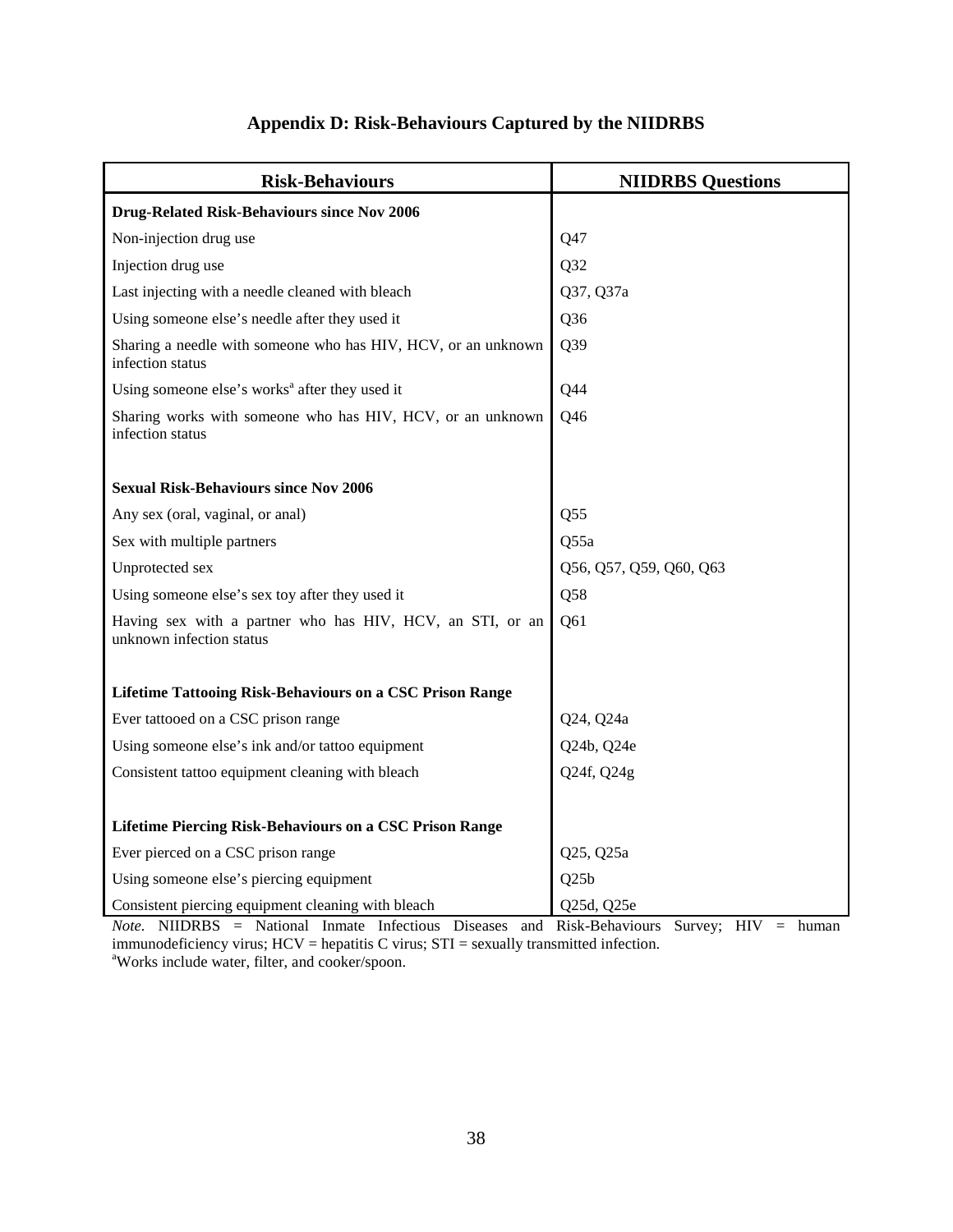<span id="page-53-0"></span>

| <b>Risk-Behaviours</b>                                                                | <b>NIIDRBS Questions</b> |  |  |  |  |
|---------------------------------------------------------------------------------------|--------------------------|--|--|--|--|
| <b>Drug-Related Risk-Behaviours since Nov 2006</b>                                    |                          |  |  |  |  |
| Non-injection drug use                                                                | Q47                      |  |  |  |  |
| Injection drug use                                                                    | Q32                      |  |  |  |  |
| Last injecting with a needle cleaned with bleach                                      | Q37, Q37a                |  |  |  |  |
| Using someone else's needle after they used it                                        | Q36                      |  |  |  |  |
| Sharing a needle with someone who has HIV, HCV, or an unknown<br>infection status     | Q39                      |  |  |  |  |
| Using someone else's works <sup>a</sup> after they used it                            | Q44                      |  |  |  |  |
| Sharing works with someone who has HIV, HCV, or an unknown<br>infection status        | Q46                      |  |  |  |  |
| <b>Sexual Risk-Behaviours since Nov 2006</b>                                          |                          |  |  |  |  |
| Any sex (oral, vaginal, or anal)                                                      | Q <sub>55</sub>          |  |  |  |  |
| Sex with multiple partners                                                            | Q55a                     |  |  |  |  |
| Unprotected sex                                                                       | Q56, Q57, Q59, Q60, Q63  |  |  |  |  |
| Using someone else's sex toy after they used it                                       | Q58                      |  |  |  |  |
| Having sex with a partner who has HIV, HCV, an STI, or an<br>unknown infection status | Q61                      |  |  |  |  |
|                                                                                       |                          |  |  |  |  |
| Lifetime Tattooing Risk-Behaviours on a CSC Prison Range                              |                          |  |  |  |  |
| Ever tattooed on a CSC prison range                                                   | Q24, Q24a                |  |  |  |  |
| Using someone else's ink and/or tattoo equipment                                      | Q24b, Q24e               |  |  |  |  |
| Consistent tattoo equipment cleaning with bleach                                      | Q24f, Q24g               |  |  |  |  |
|                                                                                       |                          |  |  |  |  |
| <b>Lifetime Piercing Risk-Behaviours on a CSC Prison Range</b>                        |                          |  |  |  |  |
| Ever pierced on a CSC prison range                                                    | Q25, Q25a                |  |  |  |  |
| Using someone else's piercing equipment                                               | Q25b                     |  |  |  |  |
| Consistent piercing equipment cleaning with bleach                                    | Q25d, Q25e               |  |  |  |  |

# **Appendix D: Risk-Behaviours Captured by the NIIDRBS**

*Note.* NIIDRBS = National Inmate Infectious Diseases and Risk-Behaviours Survey; HIV = human immunodeficiency virus; HCV = hepatitis C virus; STI = sexually transmitted infection. a Works include water, filter, and cooker/spoon.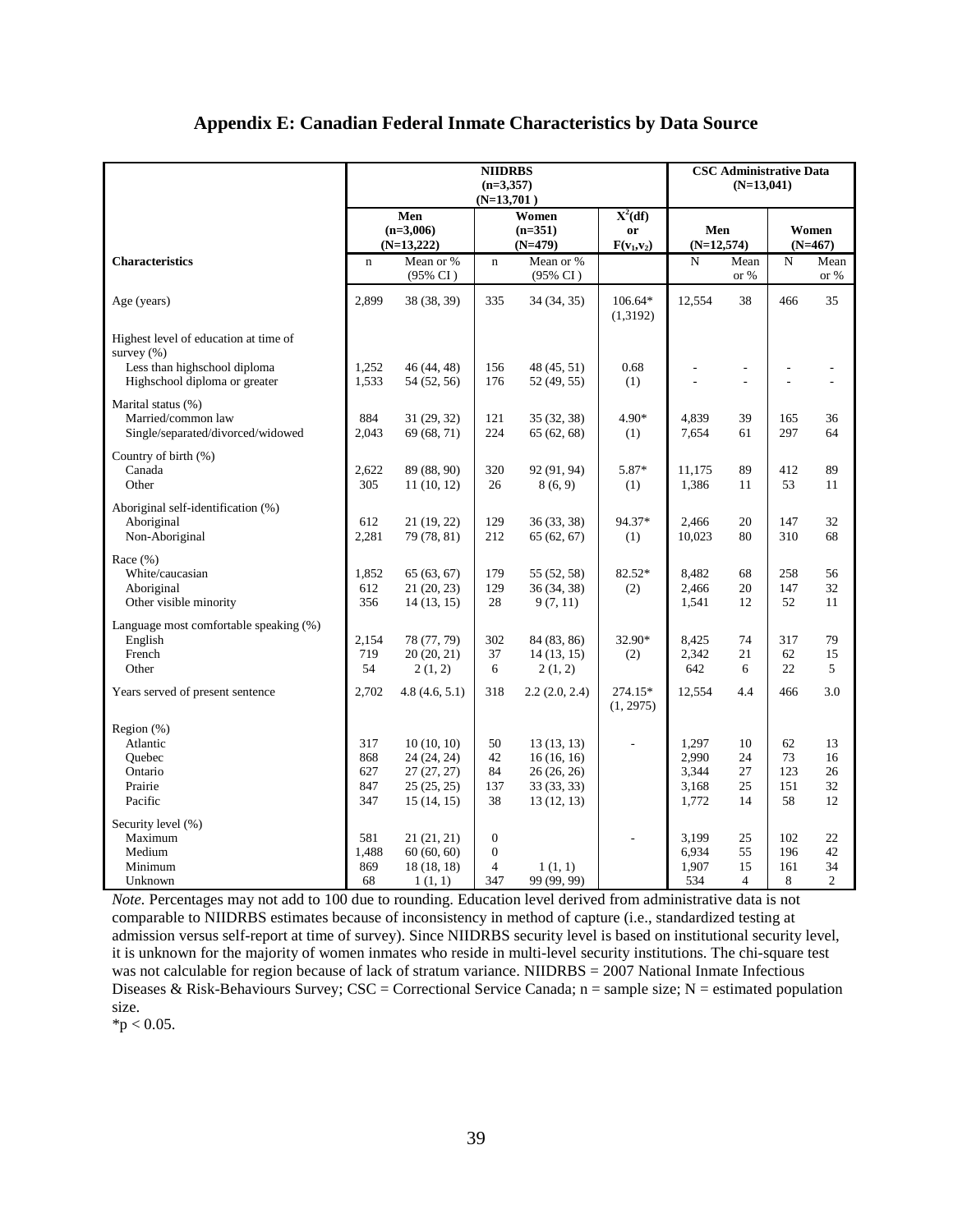<span id="page-54-0"></span>

|                                                                               |                                 |                                                                     | <b>NIIDRBS</b><br>$(n=3,357)$<br>$(N=13,701)$           |                                                                     | <b>CSC Administrative Data</b><br>$(N=13,041)$ |                                           |                            |                              |                                |  |
|-------------------------------------------------------------------------------|---------------------------------|---------------------------------------------------------------------|---------------------------------------------------------|---------------------------------------------------------------------|------------------------------------------------|-------------------------------------------|----------------------------|------------------------------|--------------------------------|--|
|                                                                               |                                 | Men<br>$(n=3,006)$<br>$(N=13,222)$                                  |                                                         | Women<br>$(n=351)$<br>$(N=479)$                                     | $X^2(df)$<br>or<br>$F(v_1, v_2)$               | Men<br>$(N=12,574)$                       |                            |                              | Women<br>$(N=467)$             |  |
| <b>Characteristics</b>                                                        | $\mathbf n$                     | Mean or %<br>$(95\% \text{ CI})$                                    | $\mathbf{n}$                                            | Mean or %<br>$(95\% \text{ CI})$                                    |                                                | $\mathbf N$                               | Mean<br>or %               | $\mathbf N$                  | Mean<br>or %                   |  |
| Age (years)                                                                   | 2,899                           | 38 (38, 39)                                                         | 335                                                     | 34 (34, 35)                                                         | 106.64*<br>(1,3192)                            | 12,554                                    | 38                         | 466                          | 35                             |  |
| Highest level of education at time of<br>survey $(\%)$                        |                                 |                                                                     |                                                         |                                                                     |                                                |                                           |                            |                              |                                |  |
| Less than highschool diploma<br>Highschool diploma or greater                 | 1,252<br>1,533                  | 46 (44, 48)<br>54 (52, 56)                                          | 156<br>176                                              | 48 (45, 51)<br>52 (49, 55)                                          | 0.68<br>(1)                                    |                                           | $\overline{a}$<br>÷,       |                              |                                |  |
| Marital status (%)<br>Married/common law<br>Single/separated/divorced/widowed | 884<br>2,043                    | 31 (29, 32)<br>69 (68, 71)                                          | 121<br>224                                              | 35 (32, 38)<br>65(62, 68)                                           | 4.90*<br>(1)                                   | 4,839<br>7,654                            | 39<br>61                   | 165<br>297                   | 36<br>64                       |  |
| Country of birth (%)<br>Canada<br>Other                                       | 2,622<br>305                    | 89 (88, 90)<br>11(10, 12)                                           | 320<br>26                                               | 92 (91, 94)<br>8(6, 9)                                              | 5.87*<br>(1)                                   | 11,175<br>1,386                           | 89<br>11                   | 412<br>53                    | 89<br>11                       |  |
| Aboriginal self-identification (%)<br>Aboriginal<br>Non-Aboriginal            | 612<br>2,281                    | 21(19, 22)<br>79 (78, 81)                                           | 129<br>212                                              | 36(33, 38)<br>65(62, 67)                                            | 94.37*<br>(1)                                  | 2,466<br>10,023                           | 20<br>80                   | 147<br>310                   | 32<br>68                       |  |
| Race $(\% )$<br>White/caucasian<br>Aboriginal<br>Other visible minority       | 1,852<br>612<br>356             | 65(63, 67)<br>21(20, 23)<br>14(13, 15)                              | 179<br>129<br>28                                        | 55 (52, 58)<br>36(34, 38)<br>9(7, 11)                               | 82.52*<br>(2)                                  | 8,482<br>2,466<br>1,541                   | 68<br>20<br>12             | 258<br>147<br>52             | 56<br>32<br>11                 |  |
| Language most comfortable speaking (%)<br>English<br>French<br>Other          | 2,154<br>719<br>54              | 78 (77, 79)<br>20(20, 21)<br>2(1, 2)                                | 302<br>37<br>6                                          | 84 (83, 86)<br>14(13, 15)<br>2(1, 2)                                | 32.90*<br>(2)                                  | 8,425<br>2,342<br>642                     | 74<br>21<br>6              | 317<br>62<br>22              | 79<br>15<br>5                  |  |
| Years served of present sentence                                              | 2,702                           | 4.8(4.6, 5.1)                                                       | 318                                                     | 2.2(2.0, 2.4)                                                       | 274.15*<br>(1, 2975)                           | 12,554                                    | 4.4                        | 466                          | 3.0                            |  |
| Region (%)<br>Atlantic<br>Quebec<br>Ontario<br>Prairie<br>Pacific             | 317<br>868<br>627<br>847<br>347 | 10(10, 10)<br>24 (24, 24)<br>27(27, 27)<br>25(25, 25)<br>15(14, 15) | 50<br>42<br>84<br>137<br>38                             | 13(13, 13)<br>16(16, 16)<br>26(26, 26)<br>33 (33, 33)<br>13(12, 13) | $\overline{a}$                                 | 1,297<br>2,990<br>3,344<br>3,168<br>1,772 | 10<br>24<br>27<br>25<br>14 | 62<br>73<br>123<br>151<br>58 | 13<br>16<br>26<br>32<br>12     |  |
| Security level (%)<br>Maximum<br>Medium<br>Minimum<br>Unknown                 | 581<br>1,488<br>869<br>68       | 21(21, 21)<br>60(60, 60)<br>18(18, 18)<br>1(1, 1)                   | $\overline{0}$<br>$\mathbf{0}$<br>$\overline{4}$<br>347 | 1(1, 1)<br>99 (99, 99)                                              |                                                | 3,199<br>6,934<br>1,907<br>534            | 25<br>55<br>15<br>4        | 102<br>196<br>161<br>8       | 22<br>42<br>34<br>$\mathbf{2}$ |  |

## **Appendix E: Canadian Federal Inmate Characteristics by Data Source**

*Note.* Percentages may not add to 100 due to rounding. Education level derived from administrative data is not comparable to NIIDRBS estimates because of inconsistency in method of capture (i.e., standardized testing at admission versus self-report at time of survey). Since NIIDRBS security level is based on institutional security level, it is unknown for the majority of women inmates who reside in multi-level security institutions. The chi-square test was not calculable for region because of lack of stratum variance. NIIDRBS = 2007 National Inmate Infectious Diseases & Risk-Behaviours Survey;  $\text{CSC} = \text{Correctional Service Canada}$ ; n = sample size; N = estimated population size.

 $*$ p < 0.05.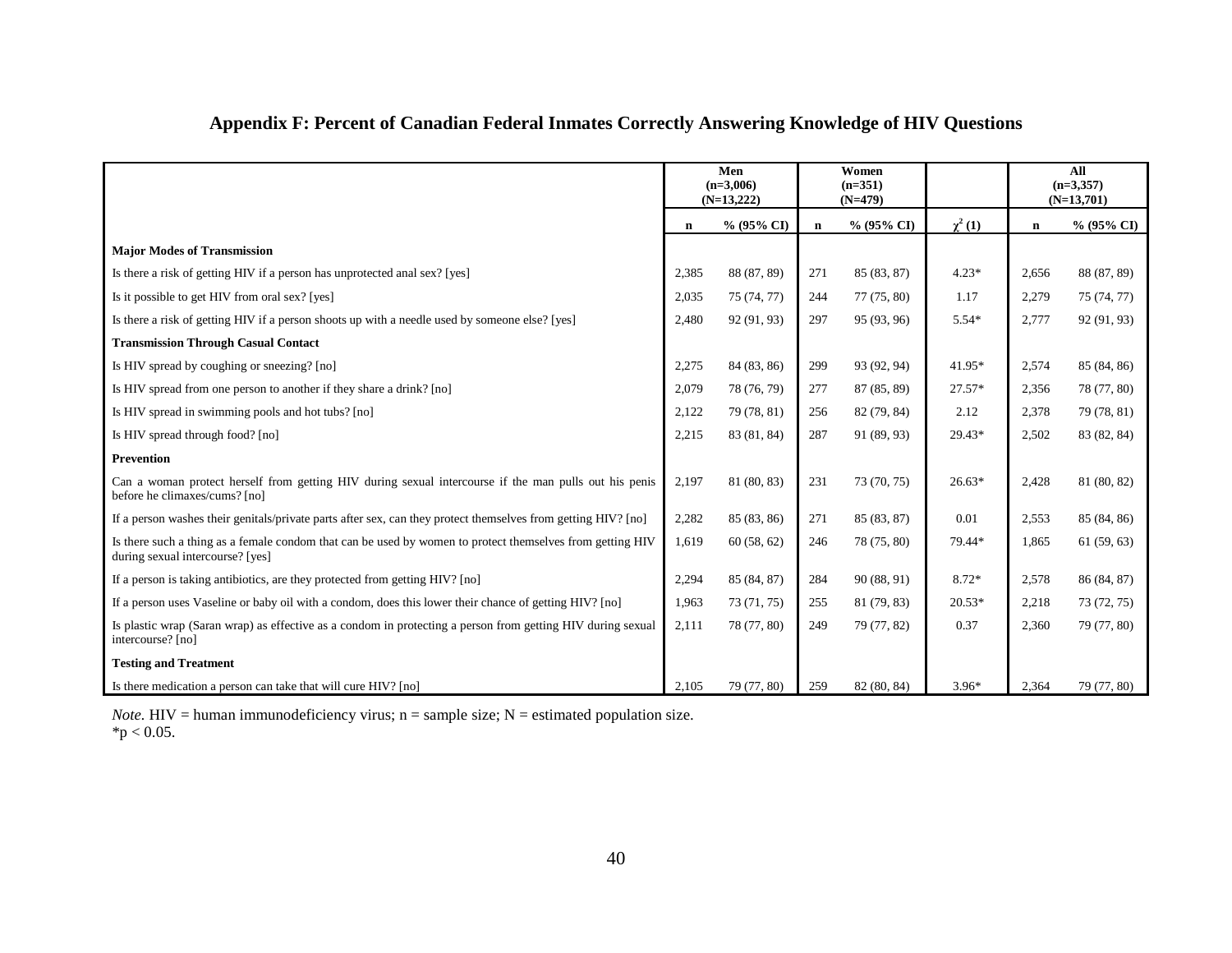<span id="page-55-0"></span>

|                                                                                                                                               |             | Men<br>$(n=3,006)$<br>$(N=13,222)$ |             | Women<br>$(n=351)$<br>$(N=479)$ |             |             | All<br>$(n=3,357)$<br>$(N=13,701)$ |
|-----------------------------------------------------------------------------------------------------------------------------------------------|-------------|------------------------------------|-------------|---------------------------------|-------------|-------------|------------------------------------|
|                                                                                                                                               | $\mathbf n$ | $% (95\% CI)$                      | $\mathbf n$ | $% (95\% CI)$                   | $\chi^2(1)$ | $\mathbf n$ | $% (95\% CI)$                      |
| <b>Major Modes of Transmission</b>                                                                                                            |             |                                    |             |                                 |             |             |                                    |
| Is there a risk of getting HIV if a person has unprotected anal sex? [yes]                                                                    | 2,385       | 88 (87, 89)                        | 271         | 85 (83, 87)                     | $4.23*$     | 2,656       | 88 (87, 89)                        |
| Is it possible to get HIV from oral sex? [yes]                                                                                                | 2,035       | 75 (74, 77)                        | 244         | 77 (75, 80)                     | 1.17        | 2,279       | 75 (74, 77)                        |
| Is there a risk of getting HIV if a person shoots up with a needle used by someone else? [yes]                                                | 2,480       | 92 (91, 93)                        | 297         | 95 (93, 96)                     | $5.54*$     | 2,777       | 92 (91, 93)                        |
| <b>Transmission Through Casual Contact</b>                                                                                                    |             |                                    |             |                                 |             |             |                                    |
| Is HIV spread by coughing or sneezing? [no]                                                                                                   | 2,275       | 84 (83, 86)                        | 299         | 93 (92, 94)                     | 41.95*      | 2,574       | 85 (84, 86)                        |
| Is HIV spread from one person to another if they share a drink? [no]                                                                          | 2,079       | 78 (76, 79)                        | 277         | 87 (85, 89)                     | $27.57*$    | 2,356       | 78 (77, 80)                        |
| Is HIV spread in swimming pools and hot tubs? [no]                                                                                            | 2,122       | 79 (78, 81)                        | 256         | 82 (79, 84)                     | 2.12        | 2,378       | 79 (78, 81)                        |
| Is HIV spread through food? [no]                                                                                                              | 2,215       | 83 (81, 84)                        | 287         | 91 (89, 93)                     | 29.43*      | 2,502       | 83 (82, 84)                        |
| Prevention                                                                                                                                    |             |                                    |             |                                 |             |             |                                    |
| Can a woman protect herself from getting HIV during sexual intercourse if the man pulls out his penis<br>before he climaxes/cums? [no]        | 2,197       | 81 (80, 83)                        | 231         | 73 (70, 75)                     | $26.63*$    | 2,428       | 81 (80, 82)                        |
| If a person washes their genitals/private parts after sex, can they protect themselves from getting HIV? [no]                                 | 2,282       | 85 (83, 86)                        | 271         | 85 (83, 87)                     | 0.01        | 2,553       | 85 (84, 86)                        |
| Is there such a thing as a female condom that can be used by women to protect themselves from getting HIV<br>during sexual intercourse? [yes] | 1,619       | 60(58, 62)                         | 246         | 78 (75, 80)                     | 79.44*      | 1,865       | 61(59, 63)                         |
| If a person is taking antibiotics, are they protected from getting HIV? [no]                                                                  | 2,294       | 85 (84, 87)                        | 284         | 90 (88, 91)                     | 8.72*       | 2,578       | 86 (84, 87)                        |
| If a person uses Vaseline or baby oil with a condom, does this lower their chance of getting HIV? [no]                                        | 1,963       | 73 (71, 75)                        | 255         | 81 (79, 83)                     | $20.53*$    | 2,218       | 73 (72, 75)                        |
| Is plastic wrap (Saran wrap) as effective as a condom in protecting a person from getting HIV during sexual<br>intercourse? [no]              | 2,111       | 78 (77, 80)                        | 249         | 79 (77, 82)                     | 0.37        | 2,360       | 79 (77, 80)                        |
| <b>Testing and Treatment</b>                                                                                                                  |             |                                    |             |                                 |             |             |                                    |
| Is there medication a person can take that will cure HIV? [no]                                                                                | 2,105       | 79 (77, 80)                        | 259         | 82 (80, 84)                     | $3.96*$     | 2,364       | 79 (77, 80)                        |

## **Appendix F: Percent of Canadian Federal Inmates Correctly Answering Knowledge of HIV Questions**

*Note.* HIV = human immunodeficiency virus;  $n =$  sample size;  $N =$  estimated population size.  $*p < 0.05$ .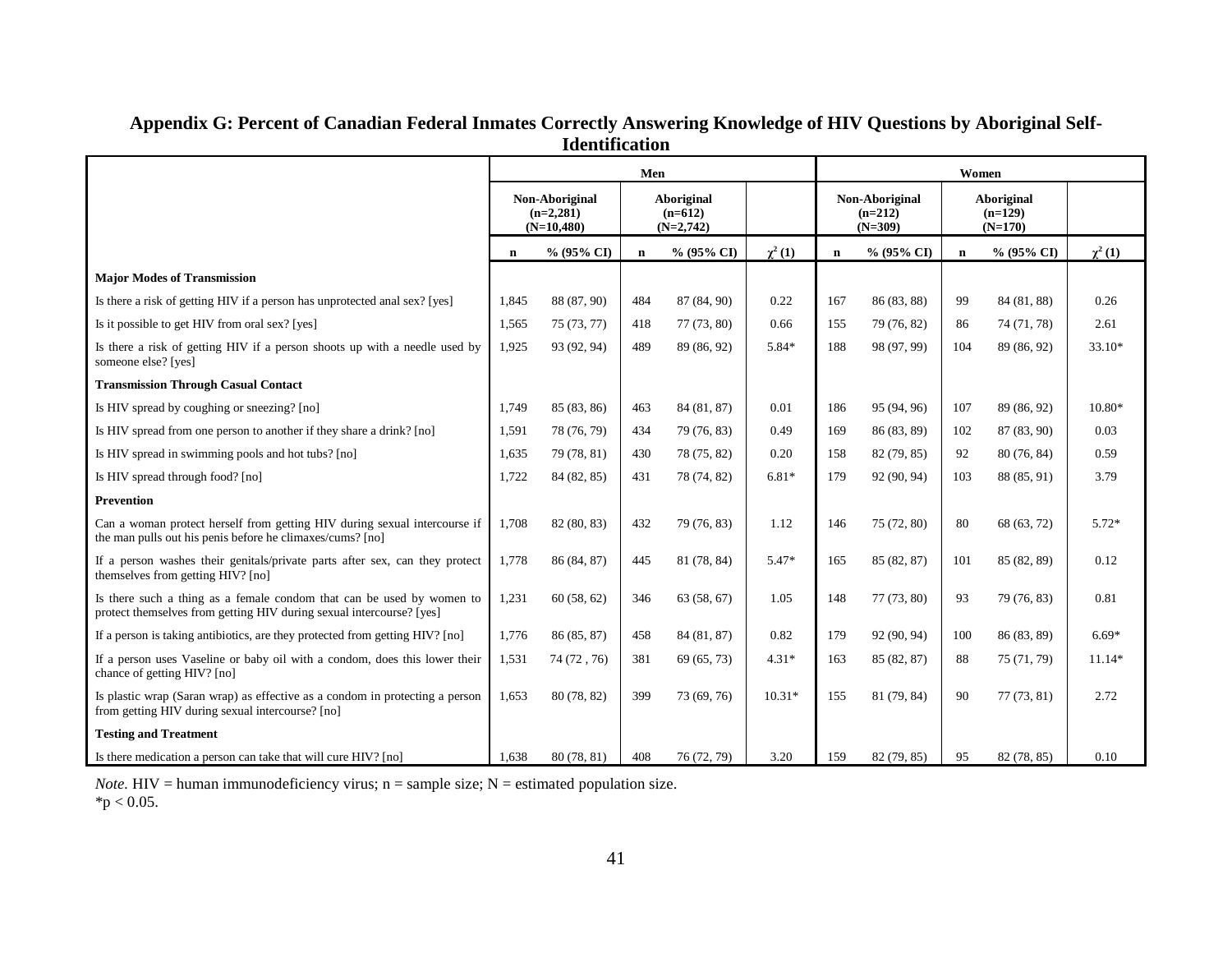<span id="page-56-0"></span>

|                                                                                                                                               |       |                                               | Men         |                                        |             | Women |                                          |             |                                      |             |  |
|-----------------------------------------------------------------------------------------------------------------------------------------------|-------|-----------------------------------------------|-------------|----------------------------------------|-------------|-------|------------------------------------------|-------------|--------------------------------------|-------------|--|
|                                                                                                                                               |       | Non-Aboriginal<br>$(n=2,281)$<br>$(N=10,480)$ |             | Aboriginal<br>$(n=612)$<br>$(N=2,742)$ |             |       | Non-Aboriginal<br>$(n=212)$<br>$(N=309)$ |             | Aboriginal<br>$(n=129)$<br>$(N=170)$ |             |  |
|                                                                                                                                               | n     | % (95% CI)                                    | $\mathbf n$ | $% (95\% CI)$                          | $\chi^2(1)$ | n     | % (95% CI)                               | $\mathbf n$ | $% (95\% CI)$                        | $\chi^2(1)$ |  |
| <b>Major Modes of Transmission</b>                                                                                                            |       |                                               |             |                                        |             |       |                                          |             |                                      |             |  |
| Is there a risk of getting HIV if a person has unprotected anal sex? [yes]                                                                    | 1,845 | 88 (87, 90)                                   | 484         | 87 (84, 90)                            | 0.22        | 167   | 86 (83, 88)                              | 99          | 84 (81, 88)                          | 0.26        |  |
| Is it possible to get HIV from oral sex? [yes]                                                                                                | 1,565 | 75 (73, 77)                                   | 418         | 77 (73, 80)                            | 0.66        | 155   | 79 (76, 82)                              | 86          | 74 (71, 78)                          | 2.61        |  |
| Is there a risk of getting HIV if a person shoots up with a needle used by<br>someone else? [yes]                                             | 1,925 | 93 (92, 94)                                   | 489         | 89 (86, 92)                            | 5.84*       | 188   | 98 (97, 99)                              | 104         | 89 (86, 92)                          | 33.10*      |  |
| <b>Transmission Through Casual Contact</b>                                                                                                    |       |                                               |             |                                        |             |       |                                          |             |                                      |             |  |
| Is HIV spread by coughing or sneezing? [no]                                                                                                   | 1,749 | 85 (83, 86)                                   | 463         | 84 (81, 87)                            | 0.01        | 186   | 95 (94, 96)                              | 107         | 89 (86, 92)                          | 10.80*      |  |
| Is HIV spread from one person to another if they share a drink? [no]                                                                          | 1.591 | 78 (76, 79)                                   | 434         | 79 (76, 83)                            | 0.49        | 169   | 86 (83, 89)                              | 102         | 87 (83, 90)                          | 0.03        |  |
| Is HIV spread in swimming pools and hot tubs? [no]                                                                                            | 1,635 | 79 (78, 81)                                   | 430         | 78 (75, 82)                            | 0.20        | 158   | 82 (79, 85)                              | 92          | 80(76, 84)                           | 0.59        |  |
| Is HIV spread through food? [no]                                                                                                              | 1,722 | 84 (82, 85)                                   | 431         | 78 (74, 82)                            | $6.81*$     | 179   | 92 (90, 94)                              | 103         | 88 (85, 91)                          | 3.79        |  |
| Prevention                                                                                                                                    |       |                                               |             |                                        |             |       |                                          |             |                                      |             |  |
| Can a woman protect herself from getting HIV during sexual intercourse if<br>the man pulls out his penis before he climaxes/cums? [no]        | 1,708 | 82 (80, 83)                                   | 432         | 79 (76, 83)                            | 1.12        | 146   | 75 (72, 80)                              | 80          | 68 (63, 72)                          | $5.72*$     |  |
| If a person washes their genitals/private parts after sex, can they protect<br>themselves from getting HIV? [no]                              | 1,778 | 86 (84, 87)                                   | 445         | 81 (78, 84)                            | 5.47*       | 165   | 85 (82, 87)                              | 101         | 85 (82, 89)                          | 0.12        |  |
| Is there such a thing as a female condom that can be used by women to<br>protect themselves from getting HIV during sexual intercourse? [yes] | 1,231 | 60(58, 62)                                    | 346         | 63(58, 67)                             | 1.05        | 148   | 77 (73, 80)                              | 93          | 79 (76, 83)                          | 0.81        |  |
| If a person is taking antibiotics, are they protected from getting HIV? [no]                                                                  | 1,776 | 86 (85, 87)                                   | 458         | 84 (81, 87)                            | 0.82        | 179   | 92 (90, 94)                              | 100         | 86 (83, 89)                          | $6.69*$     |  |
| If a person uses Vaseline or baby oil with a condom, does this lower their<br>chance of getting HIV? [no]                                     | 1,531 | 74 (72, 76)                                   | 381         | 69 (65, 73)                            | $4.31*$     | 163   | 85 (82, 87)                              | 88          | 75 (71, 79)                          | $11.14*$    |  |
| Is plastic wrap (Saran wrap) as effective as a condom in protecting a person<br>from getting HIV during sexual intercourse? [no]              | 1,653 | 80 (78, 82)                                   | 399         | 73 (69, 76)                            | $10.31*$    | 155   | 81 (79, 84)                              | 90          | 77(73, 81)                           | 2.72        |  |
| <b>Testing and Treatment</b>                                                                                                                  |       |                                               |             |                                        |             |       |                                          |             |                                      |             |  |
| Is there medication a person can take that will cure HIV? [no]                                                                                | 1,638 | 80 (78, 81)                                   | 408         | 76 (72, 79)                            | 3.20        | 159   | 82 (79, 85)                              | 95          | 82 (78, 85)                          | 0.10        |  |

## **Appendix G: Percent of Canadian Federal Inmates Correctly Answering Knowledge of HIV Questions by Aboriginal Self-Identification**

*Note.* HIV = human immunodeficiency virus;  $n =$  sample size;  $N =$  estimated population size.  $*p < 0.05$ .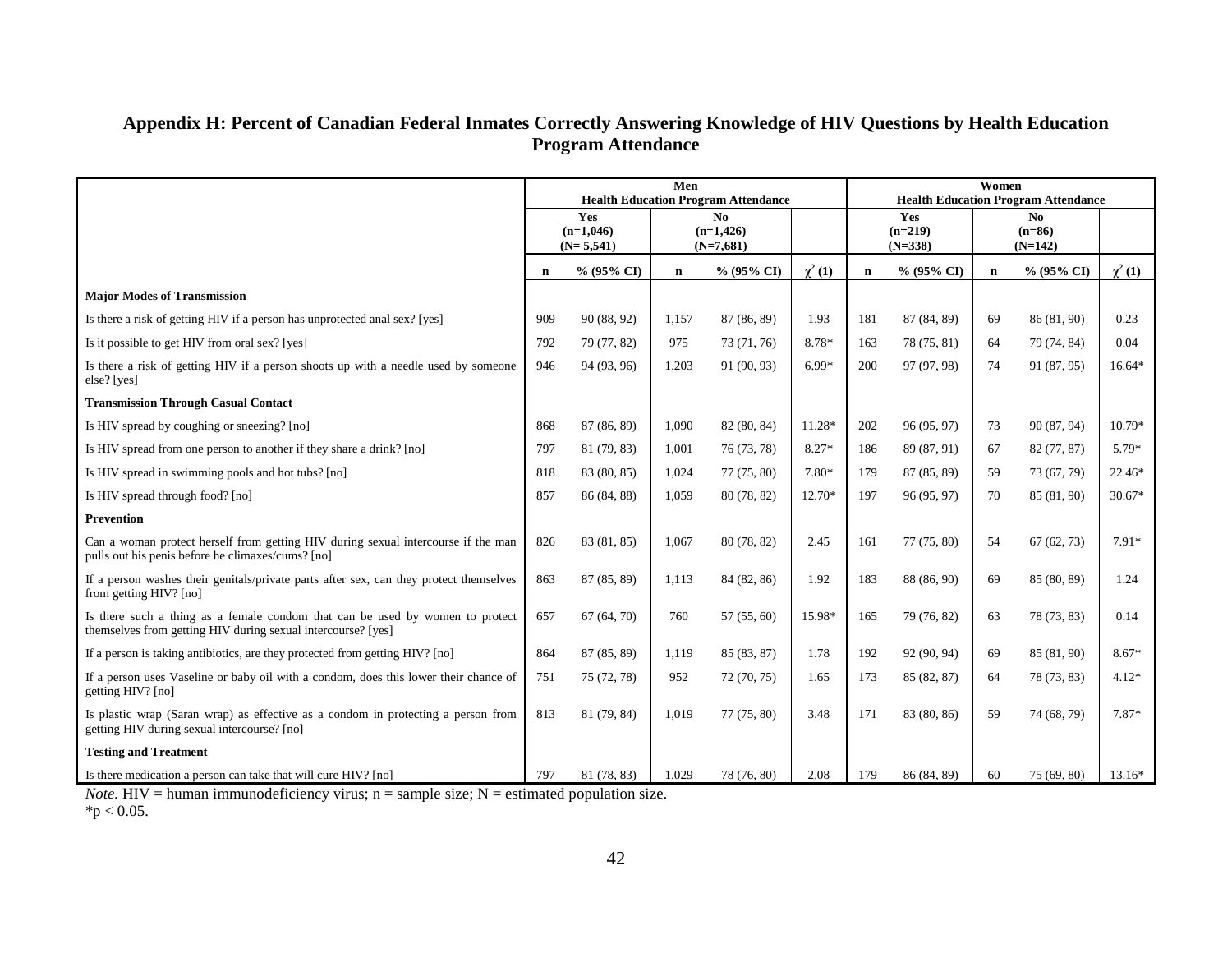## **Appendix H: Percent of Canadian Federal Inmates Correctly Answering Knowledge of HIV Questions by Health Education Program Attendance**

<span id="page-57-0"></span>

|                                                                                                                                               |             |                                   | Men         | <b>Health Education Program Attendance</b>    |             | Women<br><b>Health Education Program Attendance</b> |                               |                              |               |              |  |
|-----------------------------------------------------------------------------------------------------------------------------------------------|-------------|-----------------------------------|-------------|-----------------------------------------------|-------------|-----------------------------------------------------|-------------------------------|------------------------------|---------------|--------------|--|
|                                                                                                                                               |             | Yes<br>$(n=1,046)$<br>$(N=5,541)$ |             | N <sub>0</sub><br>$(n=1, 426)$<br>$(N=7,681)$ |             |                                                     | Yes<br>$(n=219)$<br>$(N=338)$ | No.<br>$(n=86)$<br>$(N=142)$ |               |              |  |
|                                                                                                                                               | $\mathbf n$ | % (95% CI)                        | $\mathbf n$ | $% (95\% CI)$                                 | $\chi^2(1)$ | $\mathbf n$                                         | % (95% CI)                    | $\mathbf n$                  | $% (95\% CI)$ | $\chi^2$ (1) |  |
| <b>Major Modes of Transmission</b>                                                                                                            |             |                                   |             |                                               |             |                                                     |                               |                              |               |              |  |
| Is there a risk of getting HIV if a person has unprotected anal sex? [yes]                                                                    | 909         | 90 (88, 92)                       | 1,157       | 87 (86, 89)                                   | 1.93        | 181                                                 | 87 (84, 89)                   | 69                           | 86 (81, 90)   | 0.23         |  |
| Is it possible to get HIV from oral sex? [yes]                                                                                                | 792         | 79 (77, 82)                       | 975         | 73 (71, 76)                                   | 8.78*       | 163                                                 | 78 (75, 81)                   | 64                           | 79 (74, 84)   | 0.04         |  |
| Is there a risk of getting HIV if a person shoots up with a needle used by someone<br>else? [yes]                                             | 946         | 94 (93, 96)                       | 1,203       | 91 (90, 93)                                   | $6.99*$     | 200                                                 | 97 (97, 98)                   | 74                           | 91 (87, 95)   | $16.64*$     |  |
| <b>Transmission Through Casual Contact</b>                                                                                                    |             |                                   |             |                                               |             |                                                     |                               |                              |               |              |  |
| Is HIV spread by coughing or sneezing? [no]                                                                                                   | 868         | 87 (86, 89)                       | 1,090       | 82 (80, 84)                                   | 11.28*      | 202                                                 | 96 (95, 97)                   | 73                           | 90 (87, 94)   | $10.79*$     |  |
| Is HIV spread from one person to another if they share a drink? [no]                                                                          | 797         | 81 (79, 83)                       | 1,001       | 76 (73, 78)                                   | 8.27*       | 186                                                 | 89 (87, 91)                   | 67                           | 82 (77, 87)   | 5.79*        |  |
| Is HIV spread in swimming pools and hot tubs? [no]                                                                                            | 818         | 83 (80, 85)                       | 1,024       | 77(75, 80)                                    | 7.80*       | 179                                                 | 87 (85, 89)                   | 59                           | 73 (67, 79)   | 22.46*       |  |
| Is HIV spread through food? [no]                                                                                                              | 857         | 86 (84, 88)                       | 1,059       | 80 (78, 82)                                   | 12.70*      | 197                                                 | 96 (95, 97)                   | 70                           | 85 (81, 90)   | $30.67*$     |  |
| <b>Prevention</b>                                                                                                                             |             |                                   |             |                                               |             |                                                     |                               |                              |               |              |  |
| Can a woman protect herself from getting HIV during sexual intercourse if the man<br>pulls out his penis before he climaxes/cums? [no]        | 826         | 83 (81, 85)                       | 1,067       | 80 (78, 82)                                   | 2.45        | 161                                                 | 77(75, 80)                    | 54                           | 67(62, 73)    | 7.91*        |  |
| If a person washes their genitals/private parts after sex, can they protect themselves<br>from getting HIV? [no]                              | 863         | 87 (85, 89)                       | 1.113       | 84 (82, 86)                                   | 1.92        | 183                                                 | 88 (86, 90)                   | 69                           | 85 (80, 89)   | 1.24         |  |
| Is there such a thing as a female condom that can be used by women to protect<br>themselves from getting HIV during sexual intercourse? [yes] | 657         | 67(64, 70)                        | 760         | 57 (55, 60)                                   | 15.98*      | 165                                                 | 79 (76, 82)                   | 63                           | 78 (73, 83)   | 0.14         |  |
| If a person is taking antibiotics, are they protected from getting HIV? [no]                                                                  | 864         | 87 (85, 89)                       | 1,119       | 85 (83, 87)                                   | 1.78        | 192                                                 | 92 (90, 94)                   | 69                           | 85 (81, 90)   | $8.67*$      |  |
| If a person uses Vaseline or baby oil with a condom, does this lower their chance of<br>getting HIV? [no]                                     | 751         | 75 (72, 78)                       | 952         | 72 (70, 75)                                   | 1.65        | 173                                                 | 85 (82, 87)                   | 64                           | 78 (73, 83)   | $4.12*$      |  |
| Is plastic wrap (Saran wrap) as effective as a condom in protecting a person from<br>getting HIV during sexual intercourse? [no]              | 813         | 81 (79, 84)                       | 1,019       | 77 (75, 80)                                   | 3.48        | 171                                                 | 83 (80, 86)                   | 59                           | 74 (68, 79)   | 7.87*        |  |
| <b>Testing and Treatment</b>                                                                                                                  |             |                                   |             |                                               |             |                                                     |                               |                              |               |              |  |
| Is there medication a person can take that will cure HIV? [no]                                                                                | 797         | 81 (78, 83)                       | 1,029       | 78 (76, 80)                                   | 2.08        | 179                                                 | 86 (84, 89)                   | 60                           | 75(69, 80)    | $13.16*$     |  |

*Note.* HIV = human immunodeficiency virus;  $n =$  sample size;  $N =$  estimated population size.

 $*p < 0.05$ .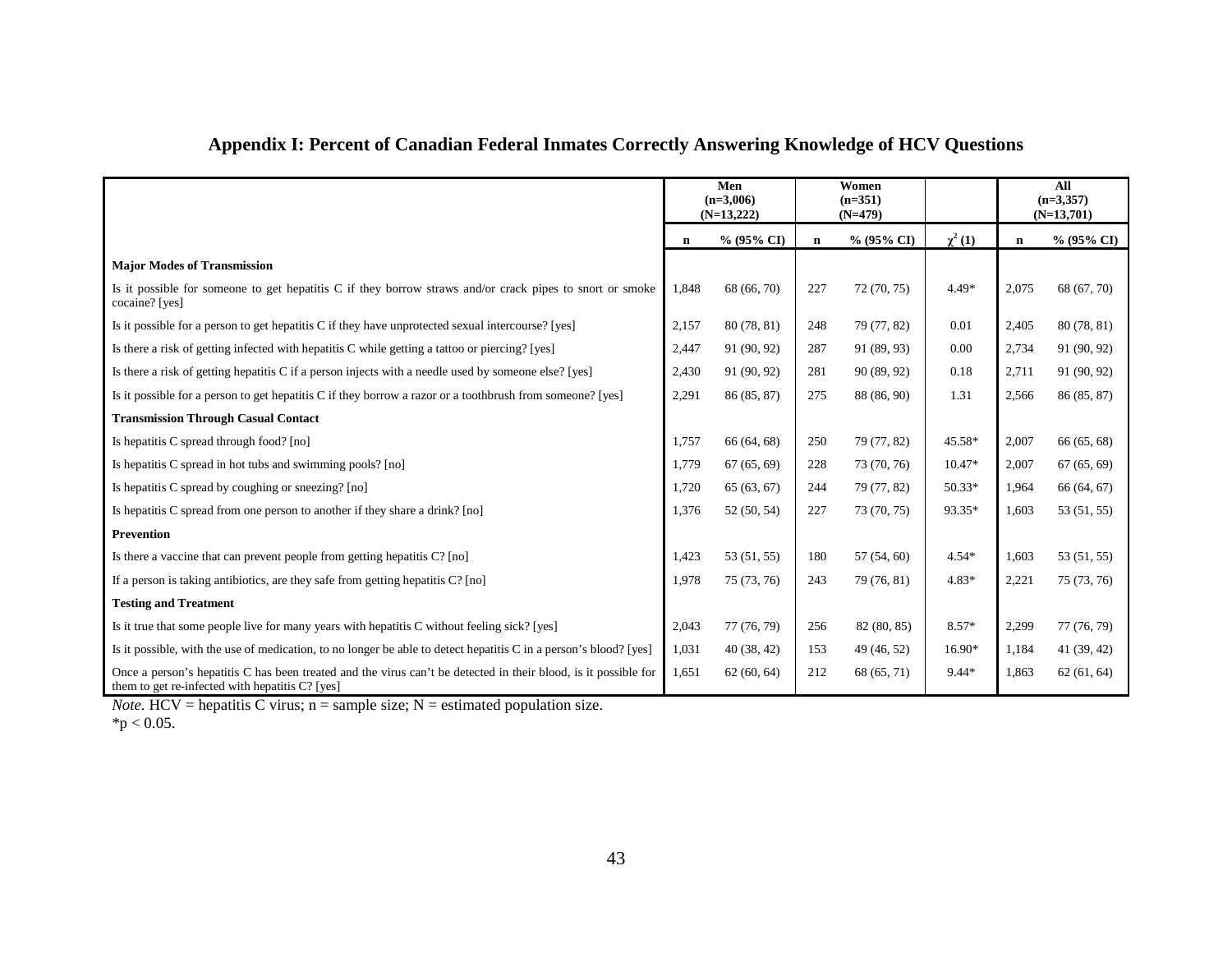<span id="page-58-0"></span>

|                                                                                                                                                                    |       | Men<br>$(n=3.006)$<br>$(N=13,222)$ |             | Women<br>$(n=351)$<br>$(N=479)$ |              |             | All<br>$(n=3,357)$<br>$(N=13,701)$ |
|--------------------------------------------------------------------------------------------------------------------------------------------------------------------|-------|------------------------------------|-------------|---------------------------------|--------------|-------------|------------------------------------|
|                                                                                                                                                                    | n     | $% (95\% CI)$                      | $\mathbf n$ | $% (95\% CI)$                   | $\chi^2$ (1) | $\mathbf n$ | $% (95\% CI)$                      |
| <b>Major Modes of Transmission</b>                                                                                                                                 |       |                                    |             |                                 |              |             |                                    |
| Is it possible for someone to get hepatitis C if they borrow straws and/or crack pipes to snort or smoke<br>cocaine? [yes]                                         | 1,848 | 68 (66, 70)                        | 227         | 72 (70, 75)                     | $4.49*$      | 2,075       | 68 (67, 70)                        |
| Is it possible for a person to get hepatitis C if they have unprotected sexual intercourse? [yes]                                                                  | 2,157 | 80 (78, 81)                        | 248         | 79 (77, 82)                     | 0.01         | 2,405       | 80 (78, 81)                        |
| Is there a risk of getting infected with hepatitis C while getting a tattoo or piercing? [yes]                                                                     | 2,447 | 91 (90, 92)                        | 287         | 91 (89, 93)                     | 0.00         | 2,734       | 91 (90, 92)                        |
| Is there a risk of getting hepatitis C if a person injects with a needle used by someone else? [yes]                                                               | 2,430 | 91 (90, 92)                        | 281         | 90 (89, 92)                     | 0.18         | 2,711       | 91 (90, 92)                        |
| Is it possible for a person to get hepatitis C if they borrow a razor or a toothbrush from someone? [yes]                                                          | 2,291 | 86 (85, 87)                        | 275         | 88 (86, 90)                     | 1.31         | 2,566       | 86 (85, 87)                        |
| <b>Transmission Through Casual Contact</b>                                                                                                                         |       |                                    |             |                                 |              |             |                                    |
| Is hepatitis C spread through food? [no]                                                                                                                           | 1,757 | 66 (64, 68)                        | 250         | 79 (77, 82)                     | 45.58*       | 2,007       | 66 (65, 68)                        |
| Is hepatitis C spread in hot tubs and swimming pools? [no]                                                                                                         | 1.779 | 67(65, 69)                         | 228         | 73 (70, 76)                     | $10.47*$     | 2,007       | 67(65, 69)                         |
| Is hepatitis C spread by coughing or sneezing? [no]                                                                                                                | 1,720 | 65(63, 67)                         | 244         | 79 (77, 82)                     | $50.33*$     | 1,964       | 66 (64, 67)                        |
| Is hepatitis C spread from one person to another if they share a drink? [no]                                                                                       | 1,376 | 52 (50, 54)                        | 227         | 73 (70, 75)                     | 93.35*       | 1.603       | 53(51, 55)                         |
| <b>Prevention</b>                                                                                                                                                  |       |                                    |             |                                 |              |             |                                    |
| Is there a vaccine that can prevent people from getting hepatitis C? [no]                                                                                          | 1,423 | 53 (51, 55)                        | 180         | 57 (54, 60)                     | $4.54*$      | 1,603       | 53(51, 55)                         |
| If a person is taking antibiotics, are they safe from getting hepatitis $C$ ? [no]                                                                                 | 1,978 | 75 (73, 76)                        | 243         | 79 (76, 81)                     | $4.83*$      | 2,221       | 75(73, 76)                         |
| <b>Testing and Treatment</b>                                                                                                                                       |       |                                    |             |                                 |              |             |                                    |
| Is it true that some people live for many years with hepatitis C without feeling sick? [yes]                                                                       | 2,043 | 77 (76, 79)                        | 256         | 82 (80, 85)                     | $8.57*$      | 2,299       | 77 (76, 79)                        |
| Is it possible, with the use of medication, to no longer be able to detect hepatitis C in a person's blood? [yes]                                                  | 1,031 | 40(38, 42)                         | 153         | 49 (46, 52)                     | $16.90*$     | 1,184       | 41(39, 42)                         |
| Once a person's hepatitis C has been treated and the virus can't be detected in their blood, is it possible for<br>them to get re-infected with hepatitis C? [yes] | 1,651 | 62(60, 64)                         | 212         | 68 (65, 71)                     | $9.44*$      | 1.863       | 62(61, 64)                         |

# **Appendix I: Percent of Canadian Federal Inmates Correctly Answering Knowledge of HCV Questions**

*Note.*  $HCV =$  hepatitis C virus;  $n =$  sample size;  $N =$  estimated population size.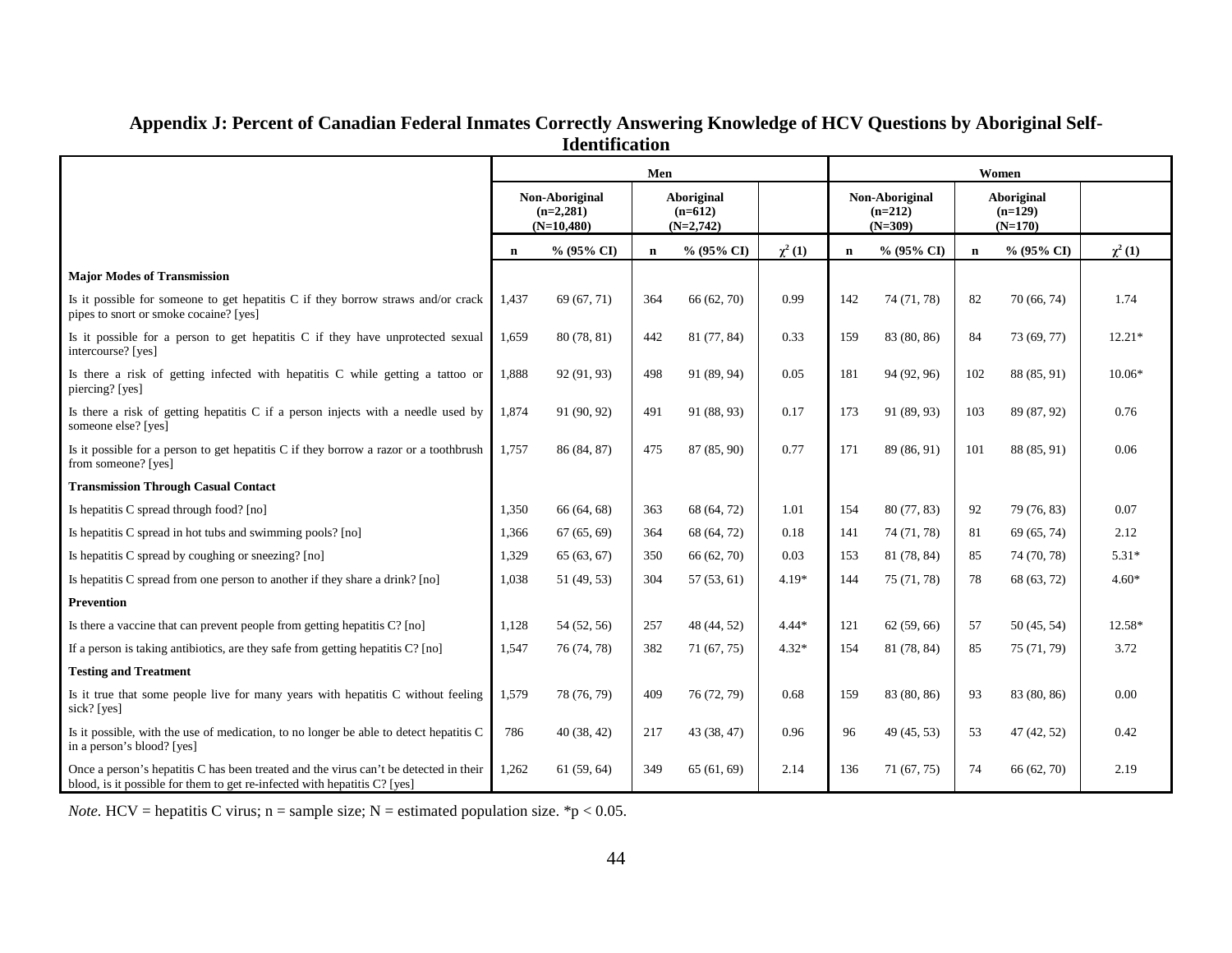<span id="page-59-0"></span>

|                                                                                                                                                                    |             |                                               | Men         |                                        |             | Women       |                                          |                                      |             |             |  |  |
|--------------------------------------------------------------------------------------------------------------------------------------------------------------------|-------------|-----------------------------------------------|-------------|----------------------------------------|-------------|-------------|------------------------------------------|--------------------------------------|-------------|-------------|--|--|
|                                                                                                                                                                    |             | Non-Aboriginal<br>$(n=2,281)$<br>$(N=10,480)$ |             | Aboriginal<br>$(n=612)$<br>$(N=2,742)$ |             |             | Non-Aboriginal<br>$(n=212)$<br>$(N=309)$ | Aboriginal<br>$(n=129)$<br>$(N=170)$ |             |             |  |  |
|                                                                                                                                                                    | $\mathbf n$ | % (95% CI)                                    | $\mathbf n$ | % (95% CI)                             | $\chi^2(1)$ | $\mathbf n$ | % (95% CI)                               | $\mathbf n$                          | % (95% CI)  | $\chi^2(1)$ |  |  |
| <b>Major Modes of Transmission</b>                                                                                                                                 |             |                                               |             |                                        |             |             |                                          |                                      |             |             |  |  |
| Is it possible for someone to get hepatitis C if they borrow straws and/or crack<br>pipes to snort or smoke cocaine? [yes]                                         | 1,437       | 69 (67, 71)                                   | 364         | 66 (62, 70)                            | 0.99        | 142         | 74 (71, 78)                              | 82                                   | 70 (66, 74) | 1.74        |  |  |
| Is it possible for a person to get hepatitis C if they have unprotected sexual<br>intercourse? [yes]                                                               | 1,659       | 80 (78, 81)                                   | 442         | 81 (77, 84)                            | 0.33        | 159         | 83 (80, 86)                              | 84                                   | 73 (69, 77) | $12.21*$    |  |  |
| Is there a risk of getting infected with hepatitis C while getting a tattoo or<br>piercing? [yes]                                                                  | 1,888       | 92 (91, 93)                                   | 498         | 91 (89, 94)                            | 0.05        | 181         | 94 (92, 96)                              | 102                                  | 88 (85, 91) | $10.06*$    |  |  |
| Is there a risk of getting hepatitis C if a person injects with a needle used by<br>someone else? [yes]                                                            | 1,874       | 91 (90, 92)                                   | 491         | 91 (88, 93)                            | 0.17        | 173         | 91 (89, 93)                              | 103                                  | 89 (87, 92) | 0.76        |  |  |
| Is it possible for a person to get hepatitis C if they borrow a razor or a toothbrush<br>from someone? [yes]                                                       | 1,757       | 86 (84, 87)                                   | 475         | 87 (85, 90)                            | 0.77        | 171         | 89 (86, 91)                              | 101                                  | 88 (85, 91) | 0.06        |  |  |
| <b>Transmission Through Casual Contact</b>                                                                                                                         |             |                                               |             |                                        |             |             |                                          |                                      |             |             |  |  |
| Is hepatitis C spread through food? [no]                                                                                                                           | 1,350       | 66 (64, 68)                                   | 363         | 68 (64, 72)                            | 1.01        | 154         | 80 (77, 83)                              | 92                                   | 79 (76, 83) | 0.07        |  |  |
| Is hepatitis C spread in hot tubs and swimming pools? [no]                                                                                                         | 1.366       | 67(65, 69)                                    | 364         | 68 (64, 72)                            | 0.18        | 141         | 74 (71, 78)                              | 81                                   | 69(65, 74)  | 2.12        |  |  |
| Is hepatitis C spread by coughing or sneezing? [no]                                                                                                                | 1,329       | 65(63, 67)                                    | 350         | 66 (62, 70)                            | 0.03        | 153         | 81 (78, 84)                              | 85                                   | 74 (70, 78) | $5.31*$     |  |  |
| Is hepatitis C spread from one person to another if they share a drink? [no]                                                                                       | 1,038       | 51 (49, 53)                                   | 304         | 57(53, 61)                             | $4.19*$     | 144         | 75 (71, 78)                              | 78                                   | 68 (63, 72) | $4.60*$     |  |  |
| <b>Prevention</b>                                                                                                                                                  |             |                                               |             |                                        |             |             |                                          |                                      |             |             |  |  |
| Is there a vaccine that can prevent people from getting hepatitis C? [no]                                                                                          | 1,128       | 54 (52, 56)                                   | 257         | 48 (44, 52)                            | $4.44*$     | 121         | 62(59, 66)                               | 57                                   | 50(45, 54)  | 12.58*      |  |  |
| If a person is taking antibiotics, are they safe from getting hepatitis $C$ ? [no]                                                                                 | 1,547       | 76 (74, 78)                                   | 382         | 71 (67, 75)                            | $4.32*$     | 154         | 81 (78, 84)                              | 85                                   | 75 (71, 79) | 3.72        |  |  |
| <b>Testing and Treatment</b>                                                                                                                                       |             |                                               |             |                                        |             |             |                                          |                                      |             |             |  |  |
| Is it true that some people live for many years with hepatitis C without feeling<br>sick? [yes]                                                                    | 1,579       | 78 (76, 79)                                   | 409         | 76 (72, 79)                            | 0.68        | 159         | 83 (80, 86)                              | 93                                   | 83 (80, 86) | 0.00        |  |  |
| Is it possible, with the use of medication, to no longer be able to detect hepatitis C<br>in a person's blood? [yes]                                               | 786         | 40(38, 42)                                    | 217         | 43 (38, 47)                            | 0.96        | 96          | 49(45, 53)                               | 53                                   | 47(42, 52)  | 0.42        |  |  |
| Once a person's hepatitis C has been treated and the virus can't be detected in their<br>blood, is it possible for them to get re-infected with hepatitis C? [yes] | 1,262       | 61(59, 64)                                    | 349         | 65(61, 69)                             | 2.14        | 136         | 71 (67, 75)                              | 74                                   | 66(62, 70)  | 2.19        |  |  |

## **Appendix J: Percent of Canadian Federal Inmates Correctly Answering Knowledge of HCV Questions by Aboriginal Self-Identification**

*Note.*  $HCV =$  hepatitis C virus; n = sample size; N = estimated population size. \*p < 0.05.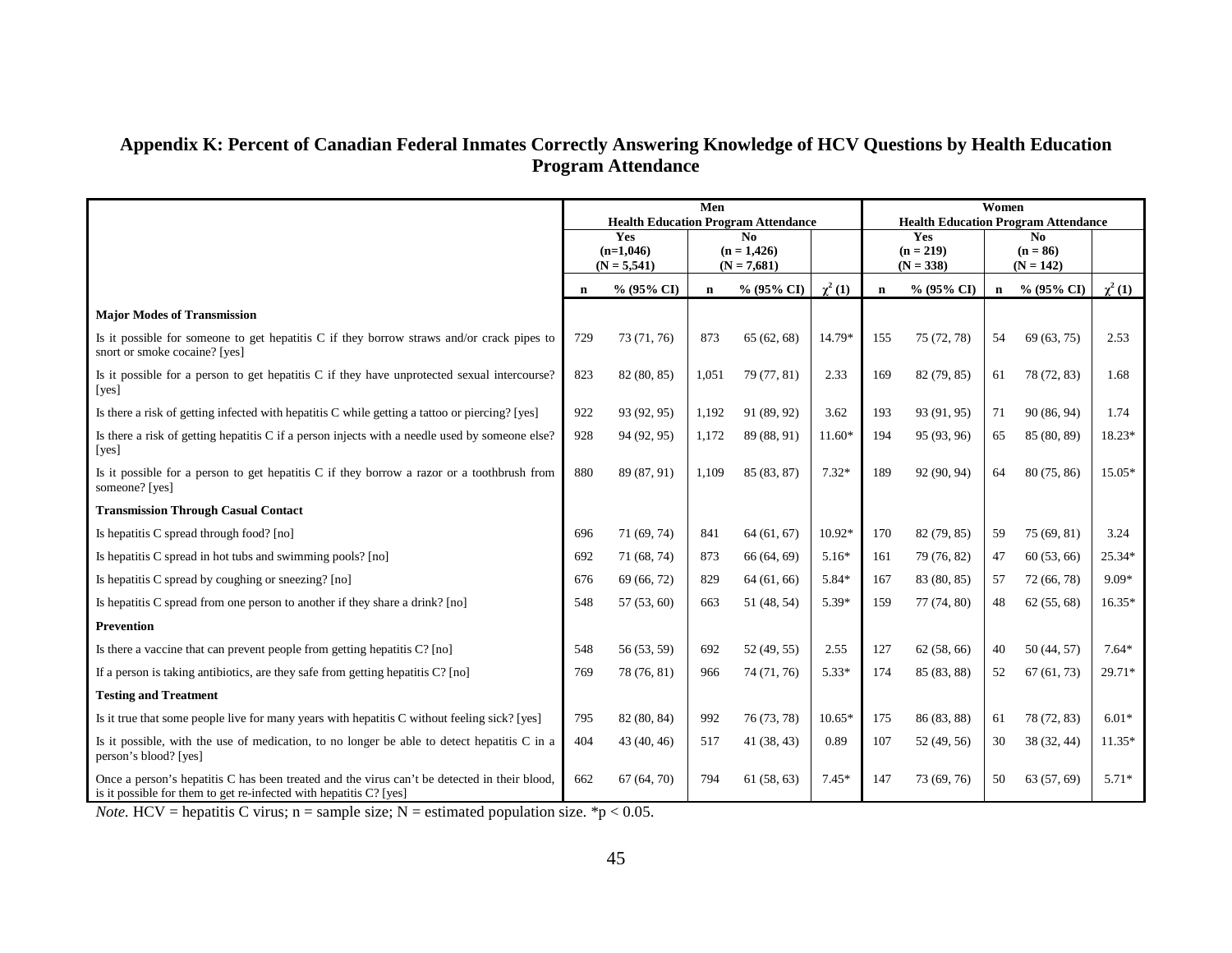## **Appendix K: Percent of Canadian Federal Inmates Correctly Answering Knowledge of HCV Questions by Health Education Program Attendance**

<span id="page-60-0"></span>

|                                                                                                                                                                    | Men<br><b>Health Education Program Attendance</b> |                              |       |                                |             |                                             | Women<br><b>Health Education Program Attendance</b> |             |                           |             |  |
|--------------------------------------------------------------------------------------------------------------------------------------------------------------------|---------------------------------------------------|------------------------------|-------|--------------------------------|-------------|---------------------------------------------|-----------------------------------------------------|-------------|---------------------------|-------------|--|
|                                                                                                                                                                    |                                                   | Yes                          |       | N <sub>0</sub>                 |             |                                             | Yes                                                 |             | N <sub>0</sub>            |             |  |
|                                                                                                                                                                    |                                                   | $(n=1.046)$<br>$(N = 5,541)$ |       | $(n = 1,426)$<br>$(N = 7,681)$ |             |                                             | $(n = 219)$                                         |             | $(n = 86)$<br>$(N = 142)$ |             |  |
|                                                                                                                                                                    | n                                                 | % (95% CI)                   |       | $% (95\% CI)$<br>$\mathbf n$   |             | $(N = 338)$<br>$% (95\% CI)$<br>$\mathbf n$ |                                                     | $\mathbf n$ | $% (95\% CI)$             | $\chi^2(1)$ |  |
| <b>Major Modes of Transmission</b>                                                                                                                                 |                                                   |                              |       |                                | $\chi^2(1)$ |                                             |                                                     |             |                           |             |  |
| Is it possible for someone to get hepatitis C if they borrow straws and/or crack pipes to<br>snort or smoke cocaine? [yes]                                         | 729                                               | 73 (71, 76)                  | 873   | 65(62, 68)                     | 14.79*      | 155                                         | 75 (72, 78)                                         | 54          | 69 (63, 75)               | 2.53        |  |
| Is it possible for a person to get hepatitis C if they have unprotected sexual intercourse?<br>[yes]                                                               | 823                                               | 82(80, 85)                   | 1,051 | 79 (77, 81)                    | 2.33        | 169                                         | 82 (79, 85)                                         | 61          | 78 (72, 83)               | 1.68        |  |
| Is there a risk of getting infected with hepatitis C while getting a tattoo or piercing? [yes]                                                                     | 922                                               | 93 (92, 95)                  | 1,192 | 91 (89, 92)                    | 3.62        | 193                                         | 93 (91, 95)                                         | 71          | 90(86, 94)                | 1.74        |  |
| Is there a risk of getting hepatitis C if a person injects with a needle used by someone else?<br>[yes]                                                            | 928                                               | 94 (92, 95)                  | 1,172 | 89 (88, 91)                    | $11.60*$    | 194                                         | 95 (93, 96)                                         | 65          | 85 (80, 89)               | 18.23*      |  |
| Is it possible for a person to get hepatitis C if they borrow a razor or a toothbrush from<br>someone? [yes]                                                       | 880                                               | 89 (87, 91)                  | 1,109 | 85 (83, 87)                    | $7.32*$     | 189                                         | 92 (90, 94)                                         | 64          | 80(75, 86)                | 15.05*      |  |
| <b>Transmission Through Casual Contact</b>                                                                                                                         |                                                   |                              |       |                                |             |                                             |                                                     |             |                           |             |  |
| Is hepatitis C spread through food? [no]                                                                                                                           | 696                                               | 71 (69, 74)                  | 841   | 64(61, 67)                     | $10.92*$    | 170                                         | 82 (79, 85)                                         | 59          | 75(69, 81)                | 3.24        |  |
| Is hepatitis C spread in hot tubs and swimming pools? [no]                                                                                                         | 692                                               | 71 (68, 74)                  | 873   | 66 (64, 69)                    | $5.16*$     | 161                                         | 79 (76, 82)                                         | 47          | 60(53, 66)                | 25.34*      |  |
| Is hepatitis C spread by coughing or sneezing? [no]                                                                                                                | 676                                               | 69 (66, 72)                  | 829   | 64(61, 66)                     | 5.84*       | 167                                         | 83 (80, 85)                                         | 57          | 72 (66, 78)               | $9.09*$     |  |
| Is hepatitis C spread from one person to another if they share a drink? [no]                                                                                       | 548                                               | 57(53, 60)                   | 663   | 51 (48, 54)                    | 5.39*       | 159                                         | 77 (74, 80)                                         | 48          | 62(55, 68)                | $16.35*$    |  |
| Prevention                                                                                                                                                         |                                                   |                              |       |                                |             |                                             |                                                     |             |                           |             |  |
| Is there a vaccine that can prevent people from getting hepatitis C? [no]                                                                                          | 548                                               | 56 (53, 59)                  | 692   | 52 (49, 55)                    | 2.55        | 127                                         | 62(58, 66)                                          | 40          | 50 (44, 57)               | $7.64*$     |  |
| If a person is taking antibiotics, are they safe from getting hepatitis C? [no]                                                                                    | 769                                               | 78 (76, 81)                  | 966   | 74 (71, 76)                    | 5.33*       | 174                                         | 85 (83, 88)                                         | 52          | 67(61, 73)                | 29.71*      |  |
| <b>Testing and Treatment</b>                                                                                                                                       |                                                   |                              |       |                                |             |                                             |                                                     |             |                           |             |  |
| Is it true that some people live for many years with hepatitis C without feeling sick? [yes]                                                                       | 795                                               | 82 (80, 84)                  | 992   | 76 (73, 78)                    | $10.65*$    | 175                                         | 86 (83, 88)                                         | 61          | 78 (72, 83)               | $6.01*$     |  |
| Is it possible, with the use of medication, to no longer be able to detect hepatitis C in a<br>person's blood? [yes]                                               | 404                                               | 43(40, 46)                   | 517   | 41 (38, 43)                    | 0.89        | 107                                         | 52 (49, 56)                                         | 30          | 38 (32, 44)               | $11.35*$    |  |
| Once a person's hepatitis C has been treated and the virus can't be detected in their blood,<br>is it possible for them to get re-infected with hepatitis C? [yes] | 662                                               | 67(64, 70)                   | 794   | 61(58, 63)                     | $7.45*$     | 147                                         | 73 (69, 76)                                         | 50          | 63 (57, 69)               | $5.71*$     |  |

*Note.*  $HCV =$  hepatitis C virus;  $n =$  sample size;  $N =$  estimated population size. \*p < 0.05.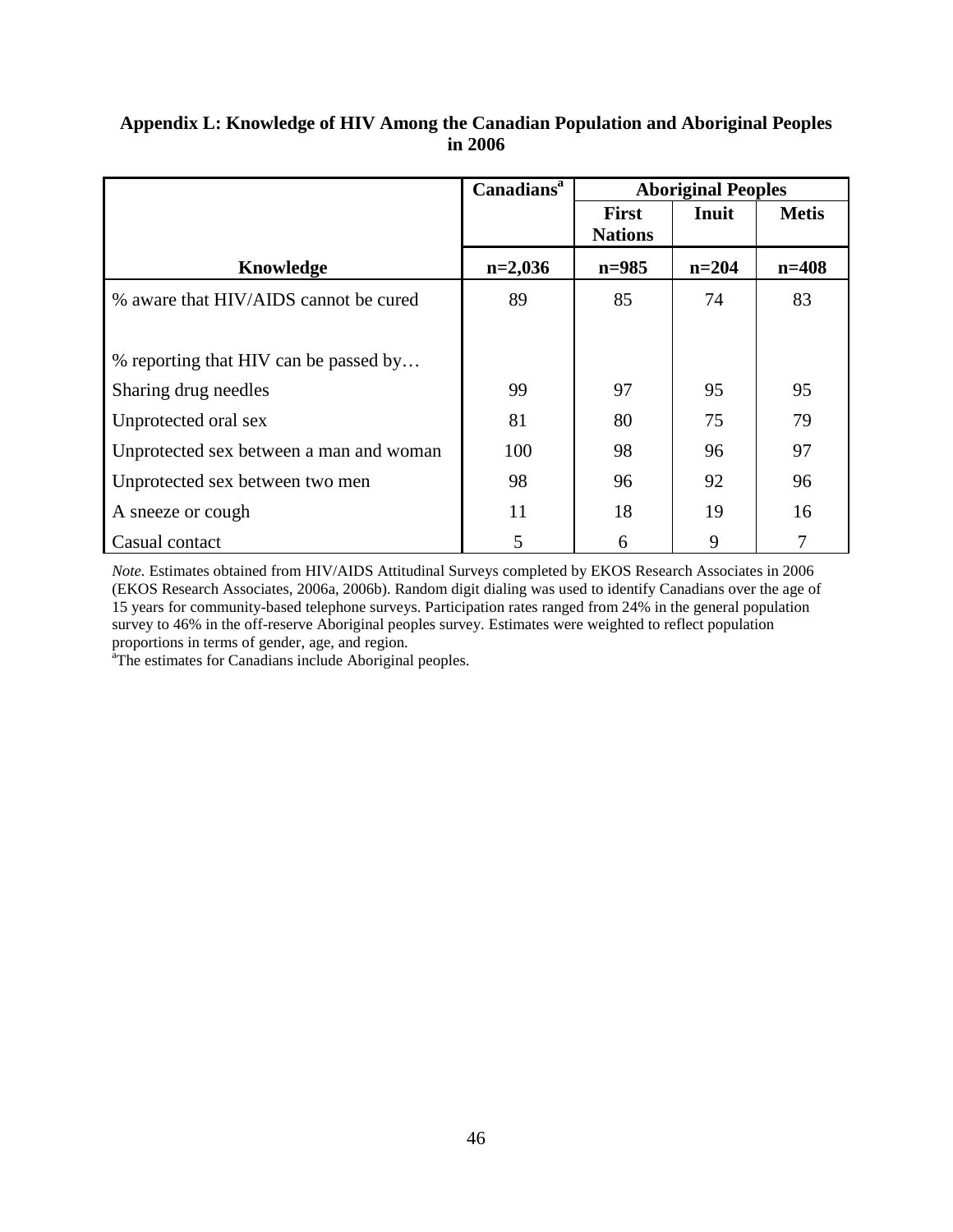## <span id="page-61-0"></span>**Appendix L: Knowledge of HIV Among the Canadian Population and Aboriginal Peoples in 2006**

|                                         | Canadians <sup>a</sup> | <b>Aboriginal Peoples</b>      |         |              |  |  |
|-----------------------------------------|------------------------|--------------------------------|---------|--------------|--|--|
|                                         |                        | <b>First</b><br><b>Nations</b> | Inuit   | <b>Metis</b> |  |  |
| Knowledge                               | $n=2,036$              | $n = 985$                      | $n=204$ | $n = 408$    |  |  |
| % aware that HIV/AIDS cannot be cured   | 89                     | 85                             | 74      | 83           |  |  |
|                                         |                        |                                |         |              |  |  |
| % reporting that HIV can be passed by   |                        |                                |         |              |  |  |
| Sharing drug needles                    | 99                     | 97                             | 95      | 95           |  |  |
| Unprotected oral sex                    | 81                     | 80                             | 75      | 79           |  |  |
| Unprotected sex between a man and woman | 100                    | 98                             | 96      | 97           |  |  |
| Unprotected sex between two men         | 98                     | 96                             | 92      | 96           |  |  |
| A sneeze or cough                       | 11                     | 18                             | 19      | 16           |  |  |
| Casual contact                          | 5                      | 6                              | 9       | 7            |  |  |

*Note.* Estimates obtained from HIV/AIDS Attitudinal Surveys completed by EKOS Research Associates in 2006 (EKOS Research Associates, 2006a, 2006b). Random digit dialing was used to identify Canadians over the age of 15 years for community-based telephone surveys. Participation rates ranged from 24% in the general population survey to 46% in the off-reserve Aboriginal peoples survey. Estimates were weighted to reflect population proportions in terms of gender, age, and region.

<sup>a</sup>The estimates for Canadians include Aboriginal peoples.